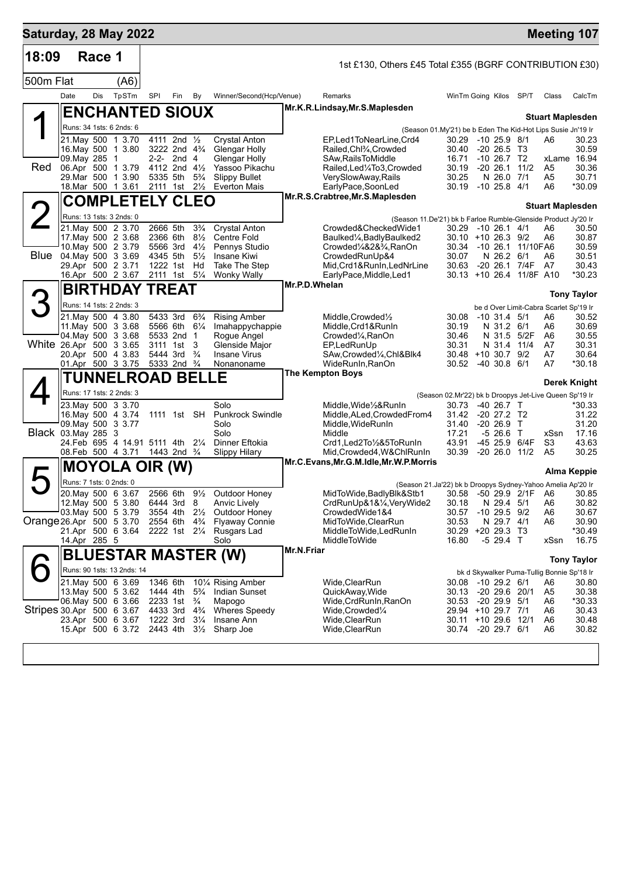|                           |                          |        |                                                        |                      |                                                        |                                  |                                             |               |                                                                                         |                                                             |                             |                                |                                            | <b>Meeting 107</b> |
|---------------------------|--------------------------|--------|--------------------------------------------------------|----------------------|--------------------------------------------------------|----------------------------------|---------------------------------------------|---------------|-----------------------------------------------------------------------------------------|-------------------------------------------------------------|-----------------------------|--------------------------------|--------------------------------------------|--------------------|
| 18:09                     |                          | Race 1 |                                                        |                      |                                                        |                                  |                                             |               | 1st £130, Others £45 Total £355 (BGRF CONTRIBUTION £30)                                 |                                                             |                             |                                |                                            |                    |
| 500m Flat                 |                          |        | (A6)                                                   |                      |                                                        |                                  |                                             |               |                                                                                         |                                                             |                             |                                |                                            |                    |
|                           | Date                     | Dis    | TpSTm                                                  | <b>SPI</b>           | Fin                                                    | By                               | Winner/Second(Hcp/Venue)                    |               | Remarks                                                                                 | WinTm Going Kilos SP/T                                      |                             |                                | Class                                      | CalcTm             |
|                           |                          |        | <b>ENCHANTED SIOUX</b>                                 |                      |                                                        |                                  |                                             |               | Mr.K.R.Lindsay, Mr.S.Maplesden                                                          |                                                             |                             |                                | <b>Stuart Maplesden</b>                    |                    |
|                           |                          |        | Runs: 34 1sts: 6 2nds: 6                               |                      |                                                        |                                  |                                             |               |                                                                                         | (Season 01.My'21) be b Eden The Kid-Hot Lips Susie Jn'19 Ir |                             |                                |                                            |                    |
|                           |                          |        | 21. May 500 1 3.70<br>16. May 500 1 3.80               |                      | 4111 2nd 1/2<br>3222 2nd 4 <sup>3</sup> / <sub>4</sub> |                                  | <b>Crystal Anton</b><br>Glengar Holly       |               | EP,Led1ToNearLine,Crd4<br>Railed, Chl <sup>3</sup> / <sub>4</sub> , Crowded             | 30.29 -10 25.9 8/1<br>30.40                                 | $-20, 26.5, 13$             |                                | A6                                         | 30.23<br>30.59     |
|                           | 09. May 285 1            |        |                                                        |                      | 2-2- 2nd 4                                             |                                  | Glengar Holly                               |               | SAw, Rails To Middle                                                                    | 16.71                                                       | $-10$ 26.7 T2               |                                |                                            | xLame 16.94        |
| Red                       |                          |        | 06.Apr 500 1 3.79                                      |                      | 4112 2nd 41/2                                          |                                  | Yassoo Pikachu                              |               | Railed, Led <sup>1</sup> / <sub>4</sub> To3, Crowded                                    | 30.19                                                       | $-20$ 26.1 $11/2$           |                                | A5                                         | 30.36              |
|                           |                          |        | 29. Mar 500 1 3.90<br>18. Mar 500 1 3.61               | 5335 5th<br>2111 1st |                                                        | $5\frac{3}{4}$<br>$2\frac{1}{2}$ | <b>Slippy Bullet</b><br><b>Everton Mais</b> |               | VerySlowAway, Rails<br>EarlyPace,SoonLed                                                | 30.25<br>30.19 -10 25.8 4/1                                 | N 26.0 7/1                  |                                | A5<br>A6                                   | 30.71<br>*30.09    |
|                           |                          |        | <b>COMPLETELY CLEO</b>                                 |                      |                                                        |                                  |                                             |               | Mr.R.S.Crabtree, Mr.S.Maplesden                                                         |                                                             |                             |                                |                                            |                    |
|                           |                          |        |                                                        |                      |                                                        |                                  |                                             |               |                                                                                         |                                                             |                             |                                | <b>Stuart Maplesden</b>                    |                    |
| $\angle$                  | Runs: 13 1sts: 3 2nds: 0 |        | 21. May 500 2 3.70                                     | 2666 5th             |                                                        | $3\frac{3}{4}$                   | <b>Crystal Anton</b>                        |               | (Season 11.De'21) bk b Farloe Rumble-Glenside Product Jy'20 Ir<br>Crowded&CheckedWide1  | 30.29 -10 26.1 4/1                                          |                             |                                | A6                                         | 30.50              |
|                           |                          |        | 17 May 500 2 3.68                                      | 2366 6th             |                                                        | $8\frac{1}{2}$                   | <b>Centre Fold</b>                          |               | Baulked1/4, Badly Baulked2                                                              | $30.10 + 1026.39/2$                                         |                             |                                | A6                                         | 30.87              |
|                           |                          |        | 10. May 500 2 3.79                                     | 5566 3rd             |                                                        | $4\frac{1}{2}$                   | Pennys Studio                               |               | Crowded1/4&2&3/4,RanOn                                                                  |                                                             |                             | 30.34 -10 26.1 11/10FA6        |                                            | 30.59              |
| Blue 04 May 500 3 3.69    | 29.Apr 500 2 3.71        |        |                                                        | 4345 5th             | 1222 1st                                               | $5\frac{1}{2}$<br>Hd             | Insane Kiwi<br>Take The Step                |               | CrowdedRunUp&4<br>Mid, Crd1&RunIn, LedNrLine                                            | 30.07<br>30.63                                              | N 26.2 6/1                  | -20 26.1 7/4F                  | A6<br>A7                                   | 30.51<br>30.43     |
|                           |                          |        | 16.Apr 500 2 3.67                                      |                      | 2111 1st 51/4                                          |                                  | <b>Wonky Wally</b>                          |               | EarlyPace, Middle, Led1                                                                 |                                                             |                             | 30.13 +10 26.4 11/8F A10       |                                            | *30.23             |
|                           |                          |        | <b>BIRTHDAY TREAT</b>                                  |                      |                                                        |                                  |                                             | Mr.P.D.Whelan |                                                                                         |                                                             |                             |                                |                                            | <b>Tony Taylor</b> |
| 3                         |                          |        | Runs: 14 1sts: 2 2nds: 3                               |                      |                                                        |                                  |                                             |               |                                                                                         |                                                             |                             |                                | be d Over Limit-Cabra Scarlet Sp'19 Ir     |                    |
|                           |                          |        | 21. May 500 4 3.80                                     |                      | 5433 3rd                                               | $6\frac{3}{4}$                   | <b>Rising Amber</b>                         |               | Middle, Crowded <sup>1</sup> / <sub>2</sub>                                             | 30.08                                                       | $-10$ 31.4 5/1              |                                | A6                                         | 30.52              |
|                           |                          |        | 11. May 500 3 3.68                                     |                      | 5566 6th 61/4                                          |                                  | Imahappychappie                             |               | Middle, Crd1&RunIn                                                                      | 30.19                                                       | N 31.2 6/1                  |                                | A6                                         | 30.69              |
| White 26.Apr 500 3 3.65   | 04. May 500 3 3.68       |        |                                                        |                      | 5533 2nd 1<br>3111 1st                                 | 3                                | Rogue Angel<br>Glenside Major               |               | Crowded <sup>1</sup> / <sub>4</sub> , RanOn<br>EP,LedRunUp                              | 30.46<br>30.31                                              | N 31.4                      | N 31.5 5/2F<br>11/4            | A6<br>A7                                   | 30.55<br>30.31     |
|                           |                          |        | 20.Apr 500 4 3.83                                      |                      | 5444 3rd                                               | $\frac{3}{4}$                    | <b>Insane Virus</b>                         |               | SAw, Crowded <sup>1</sup> / <sub>4</sub> , Chl&Blk4                                     | $30.48 + 10.30.7$ 9/2                                       |                             |                                | A7                                         | 30.64              |
|                           |                          |        | 01.Apr 500 3 3.75                                      | 5333 2nd 3/4         |                                                        |                                  | Nonanoname                                  |               | WideRunIn, RanOn<br><b>The Kempton Boys</b>                                             | 30.52 -40 30.8 6/1                                          |                             |                                | A7                                         | *30.18             |
|                           |                          |        | <b>TUNNELROAD BELLE</b>                                |                      |                                                        |                                  |                                             |               |                                                                                         |                                                             |                             |                                |                                            | Derek Knight       |
|                           |                          |        | Runs: 17 1sts: 2 2nds: 3                               |                      |                                                        |                                  |                                             |               |                                                                                         | (Season 02.Mr'22) bk b Droopys Jet-Live Queen Sp'19 Ir      |                             |                                |                                            |                    |
|                           |                          |        | 23. May 500 3 3.70<br>16. May 500 4 3.74               |                      | 1111 1st SH                                            |                                  | Solo<br><b>Punkrock Swindle</b>             |               | Middle, Wide 1/2& RunIn<br>Middle, ALed, Crowded From 4                                 | 30.73<br>31.42                                              | -40 26.7 T<br>-20 27.2 T2   |                                |                                            | *30.33<br>31.22    |
|                           | 09. May 500 3 3.77       |        |                                                        |                      |                                                        |                                  | Solo                                        |               | Middle, WideRunIn                                                                       | 31.40                                                       | $-20, 26.9$ T               |                                |                                            | 31.20              |
| Black 03. May 285 3       |                          |        |                                                        |                      |                                                        |                                  | Solo                                        |               | Middle                                                                                  | 17.21                                                       | $-526.6$ T                  |                                | xSsn                                       | 17.16              |
|                           |                          |        | 24. Feb 695 4 14.91 5111 4th 21/4<br>08.Feb 500 4 3.71 |                      | 1443 2nd <sup>3</sup> / <sub>4</sub>                   |                                  | Dinner Eftokia<br><b>Slippy Hilary</b>      |               | Crd1,Led2To1/2&5ToRunIn<br>Mid, Crowded4, W&ChlRunIn                                    | 43.91<br>30.39                                              |                             | -45 25.9 6/4F<br>$-2026.011/2$ | S3<br>A <sub>5</sub>                       | 43.63<br>30.25     |
|                           |                          |        | <b>MOYOLA OIR (W)</b>                                  |                      |                                                        |                                  |                                             |               | Mr.C.Evans, Mr.G.M.Idle, Mr.W.P.Morris                                                  |                                                             |                             |                                |                                            |                    |
|                           | Runs: 7 1sts: 0 2nds: 0  |        |                                                        |                      |                                                        |                                  |                                             |               |                                                                                         |                                                             |                             |                                |                                            | Alma Keppie        |
|                           |                          |        | 20. May 500 6 3.67                                     |                      | 2566 6th                                               | $9\frac{1}{2}$                   | Outdoor Honey                               |               | (Season 21.Ja'22) bk b Droopys Sydney-Yahoo Amelia Ap'20 Ir<br>MidToWide, BadlyBlk&Stb1 |                                                             |                             |                                | 30.58 -50 29.9 2/1F A6 30.85               |                    |
|                           |                          |        | 12. May 500 5 3.80 6444 3rd 8                          |                      |                                                        |                                  | <b>Anvic Lively</b>                         |               | CrdRunUp&1&1⁄4, VeryWide2                                                               | 30.18                                                       | N 29.4 5/1                  |                                | A6                                         | 30.82              |
|                           | 03. May 500 5 3.79       |        |                                                        |                      | 3554 4th 21/ <sub>2</sub>                              |                                  | Outdoor Honey                               |               | CrowdedWide1&4                                                                          | 30.57                                                       | $-10$ 29.5 $9/2$            |                                | A6                                         | 30.67              |
| Orange 26.Apr 500 5 3.70  |                          |        | 21.Apr 500 6 3.64                                      | 2554 6th             | 2222 1st 21/4                                          | $4\frac{3}{4}$                   | <b>Flyaway Connie</b><br>Rusgars Lad        |               | MidToWide, ClearRun<br>MiddleToWide,LedRunIn                                            | 30.53<br>30.29                                              | N 29.7 4/1<br>$+20$ 29.3 T3 |                                | A6                                         | 30.90<br>*30.49    |
|                           | 14.Apr 285 5             |        |                                                        |                      |                                                        |                                  | Solo                                        |               | MiddleToWide                                                                            | 16.80                                                       | $-529.4$ T                  |                                | xSsn                                       | 16.75              |
|                           |                          |        |                                                        |                      |                                                        |                                  | <b>BLUESTAR MASTER (W)</b>                  | Mr.N.Friar    |                                                                                         |                                                             |                             |                                |                                            | <b>Tony Taylor</b> |
|                           |                          |        | Runs: 90 1sts: 13 2nds: 14                             |                      |                                                        |                                  |                                             |               |                                                                                         |                                                             |                             |                                | bk d Skywalker Puma-Tullig Bonnie Sp'18 Ir |                    |
|                           |                          |        | 21. May 500 6 3.69                                     | 1346 6th             |                                                        |                                  | 10 <sup>1</sup> / <sub>4</sub> Rising Amber |               | Wide, ClearRun                                                                          | 30.08                                                       | -10 29.2 6/1                |                                | A6                                         | 30.80              |
|                           |                          |        | 13. May 500 5 3.62                                     | 1444 4th             |                                                        | $5\frac{3}{4}$                   | Indian Sunset                               |               | QuickAway, Wide                                                                         | 30.13                                                       | -20 29.6 20/1               |                                | A5                                         | 30.38              |
| Stripes 30.Apr 500 6 3.67 |                          |        | 06. May 500 6 3.66                                     | 4433 3rd             | 2233 1st                                               | $\frac{3}{4}$<br>$4\frac{3}{4}$  | Mapogo<br><b>Wheres Speedy</b>              |               | Wide,CrdRunIn,RanOn<br>Wide,Crowded1/4                                                  | 30.53<br>29.94 +10 29.7 7/1                                 | $-20$ 29.9 $5/1$            |                                | A6<br>A6                                   | *30.33<br>30.43    |
|                           |                          |        | 23.Apr 500 6 3.67                                      | 1222 3rd             |                                                        | $3\frac{1}{4}$                   | Insane Ann                                  |               | Wide, Clear Run                                                                         | 30.11 +10 29.6 12/1                                         |                             |                                | A6                                         | 30.48              |
|                           |                          |        | 15.Apr 500 6 3.72                                      | 2443 4th             |                                                        |                                  | $3\frac{1}{2}$ Sharp Joe                    |               | Wide, Clear Run                                                                         | 30.74 -20 29.7 6/1                                          |                             |                                | A6                                         | 30.82              |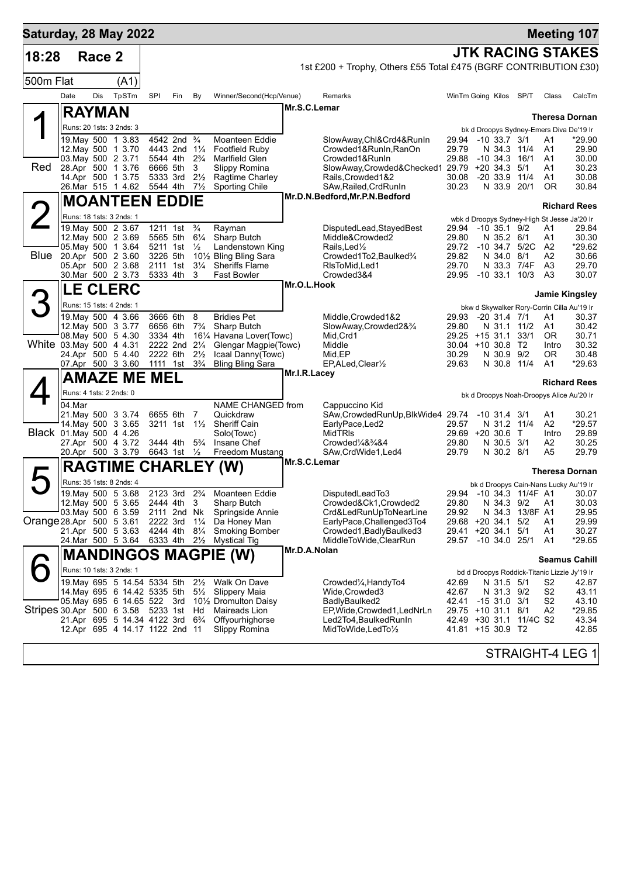| Saturday, 28 May 2022              |                                          |        |                                |                      |                                      |                                  |                                                                        |              |                                                                   |                                       |                |                            |                         |                      | <b>Meeting 107</b>                                             |
|------------------------------------|------------------------------------------|--------|--------------------------------|----------------------|--------------------------------------|----------------------------------|------------------------------------------------------------------------|--------------|-------------------------------------------------------------------|---------------------------------------|----------------|----------------------------|-------------------------|----------------------|----------------------------------------------------------------|
| 18:28                              |                                          | Race 2 |                                |                      |                                      |                                  |                                                                        |              |                                                                   |                                       |                |                            |                         |                      | <b>JTK RACING STAKES</b>                                       |
|                                    |                                          |        |                                |                      |                                      |                                  |                                                                        |              | 1st £200 + Trophy, Others £55 Total £475 (BGRF CONTRIBUTION £30)  |                                       |                |                            |                         |                      |                                                                |
| 500m Flat                          |                                          |        | (A1)                           |                      |                                      |                                  |                                                                        |              |                                                                   |                                       |                |                            |                         |                      |                                                                |
|                                    | Date                                     | Dis    | TpSTm                          | SPI                  | Fin                                  | By                               | Winner/Second(Hcp/Venue)                                               |              | Remarks                                                           | WinTm Going Kilos SP/T                |                |                            |                         | Class                | CalcTm                                                         |
|                                    | <b>RAYMAN</b>                            |        |                                |                      |                                      |                                  |                                                                        | Mr.S.C.Lemar |                                                                   |                                       |                |                            |                         |                      | <b>Theresa Dornan</b>                                          |
|                                    | Runs: 20 1sts: 3 2nds: 3                 |        |                                |                      |                                      |                                  |                                                                        |              |                                                                   |                                       |                |                            |                         |                      | bk d Droopys Sydney-Emers Diva De'19 Ir                        |
|                                    | 19. May 500 1 3.83                       |        |                                |                      | 4542 2nd <sup>3</sup> / <sub>4</sub> |                                  | <b>Moanteen Eddie</b>                                                  |              | SlowAway,Chl&Crd4&RunIn                                           | 29.94                                 | $-10$ 33.7 3/1 |                            |                         | A1                   | *29.90                                                         |
|                                    | 12. May 500 1 3.70<br>03. May 500 2 3.71 |        |                                | 5544 4th             | 4443 2nd 11/4                        | $2\frac{3}{4}$                   | <b>Footfield Ruby</b><br>Marlfield Glen                                |              | Crowded1&RunIn,RanOn<br>Crowded1&RunIn                            | 29.79<br>29.88                        | $-10, 34.3$    | N 34.3                     | 11/4<br>16/1            | A1<br>A1             | 29.90<br>30.00                                                 |
| Red                                | 28.Apr 500 1 3.76                        |        |                                | 6666 5th             |                                      | 3                                | Slippy Romina                                                          |              | SlowAway,Crowded&Checked1 29.79 +20 34.3                          |                                       |                |                            | 5/1                     | A1                   | 30.23                                                          |
|                                    | 14.Apr 500 1 3.75<br>26.Mar 515 1 4.62   |        |                                | 5333 3rd<br>5544 4th |                                      | $2\frac{1}{2}$<br>$7\frac{1}{2}$ | Ragtime Charley<br>Sporting Chile                                      |              | Rails, Crowded 1&2<br>SAw,Railed,CrdRunIn                         | 30.08<br>30.23                        | $-20.33.9$     |                            | 11/4<br>N 33.9 20/1     | A1<br>0R             | 30.08<br>30.84                                                 |
|                                    |                                          |        | <b>MOANTEEN EDDIE</b>          |                      |                                      |                                  |                                                                        |              | Mr.D.N.Bedford, Mr.P.N.Bedford                                    |                                       |                |                            |                         |                      |                                                                |
|                                    | Runs: 18 1sts: 3 2nds: 1                 |        |                                |                      |                                      |                                  |                                                                        |              |                                                                   |                                       |                |                            |                         |                      | <b>Richard Rees</b>                                            |
|                                    | 19. May 500 2 3.67                       |        |                                |                      | 1211 1st                             | $\frac{3}{4}$                    | Rayman                                                                 |              | DisputedLead, StayedBest                                          | 29.94                                 | -10 35.1 9/2   |                            |                         | A1                   | wbk d Droopys Sydney-High St Jesse Ja'20 Ir<br>29.84           |
|                                    | 12. May 500 2 3.69                       |        |                                | 5565 5th             |                                      | $6\frac{1}{4}$                   | Sharp Butch                                                            |              | Middle&Crowded2                                                   | 29.80                                 |                | N 35.2 6/1                 | $-10,34.7,5/2C$         | A1                   | 30.30                                                          |
| Blue                               | 05. May 500 1 3.64<br>20.Apr 500 2 3.60  |        |                                | 5211 1st<br>3226 5th |                                      | $\frac{1}{2}$                    | Landenstown King<br>10½ Bling Bling Sara                               |              | Rails, Led <sup>1</sup> / <sub>2</sub><br>Crowded1To2, Baulked3/4 | 29.72<br>29.82                        |                | N 34.0 8/1                 |                         | A <sub>2</sub><br>A2 | *29.62<br>30.66                                                |
|                                    | 05.Apr 500 2 3.68                        |        |                                | 2111 1st             |                                      | $3\frac{1}{4}$                   | <b>Sheriffs Flame</b>                                                  |              | RIsToMid.Led1                                                     | 29.70                                 |                |                            | N 33.3 7/4F             | A <sub>3</sub>       | 29.70                                                          |
|                                    | 30.Mar 500 2 3.73                        |        |                                | 5333 4th             |                                      | 3                                | <b>Fast Bowler</b>                                                     | Mr.O.L.Hook  | Crowded3&4                                                        | 29.95                                 |                |                            | $-10$ 33.1 $10/3$       | A <sub>3</sub>       | 30.07                                                          |
|                                    |                                          |        | <b>LE CLERC</b>                |                      |                                      |                                  |                                                                        |              |                                                                   |                                       |                |                            |                         |                      | <b>Jamie Kingsley</b>                                          |
|                                    | Runs: 15 1sts: 4 2nds: 1                 |        |                                | 3666 6th             |                                      | 8                                | <b>Bridies Pet</b>                                                     |              |                                                                   | 29.93                                 |                |                            |                         |                      | bkw d Skywalker Rory-Corrin Cilla Au'19 Ir<br>30.37            |
|                                    | 19. May 500 4 3.66<br>12. May 500 3 3.77 |        |                                | 6656 6th             |                                      | $7\frac{3}{4}$                   | Sharp Butch                                                            |              | Middle, Crowded 1&2<br>SlowAway,Crowded2&3/4                      | 29.80                                 |                | $-20$ 31.4 $7/1$<br>N 31.1 | 11/2                    | A1<br>A1             | 30.42                                                          |
|                                    | 08. May 500 5 4.30                       |        |                                | 3334 4th             |                                      |                                  | 161/4 Havana Lover(Towc)                                               |              | Mid, Crd1                                                         | 29.25 +15 31.1                        |                |                            | 33/1                    | <b>OR</b>            | 30.71                                                          |
| White 03. May 500 4 4.31           | 24.Apr 500 5 4.40                        |        |                                | 2222 6th             | 2222 2nd 21/4                        | $2\frac{1}{2}$                   | Glengar Magpie(Towc)<br>Icaal Danny(Towc)                              |              | Middle<br>Mid, EP                                                 | $30.04$ +10 30.8<br>30.29             |                | N 30.9 9/2                 | T2                      | Intro<br>0R          | 30.32<br>30.48                                                 |
|                                    | 07.Apr 500 3 3.60                        |        |                                |                      | 1111 1st                             | $3\frac{3}{4}$                   | <b>Bling Bling Sara</b>                                                |              | EP, ALed, Clear <sup>1/2</sup>                                    | 29.63                                 |                | N 30.8                     | 11/4                    | A1                   | $*29.63$                                                       |
|                                    |                                          |        | AMAZE ME MEL                   |                      |                                      |                                  |                                                                        | Mr.I.R.Lacey |                                                                   |                                       |                |                            |                         |                      | <b>Richard Rees</b>                                            |
|                                    | Runs: 4 1sts: 2 2nds: 0                  |        |                                |                      |                                      |                                  |                                                                        |              |                                                                   |                                       |                |                            |                         |                      | bk d Droopys Noah-Droopys Alice Au'20 Ir                       |
|                                    | 04.Mar                                   |        |                                |                      |                                      |                                  | NAME CHANGED from                                                      |              | Cappuccino Kid                                                    |                                       |                |                            |                         |                      |                                                                |
|                                    | 21. May 500 3 3.74<br>14. May 500 3 3.65 |        |                                | 6655 6th             | $3211$ 1st $1\frac{1}{2}$            | 7                                | Quickdraw<br><b>Sheriff Cain</b>                                       |              | SAw, Crowded Run Up, Blk Wide 4 29.74<br>EarlyPace,Led2           | 29.57                                 | -10 31.4 3/1   |                            | N 31.2 11/4             | A1<br>A2             | 30.21<br>*29.57                                                |
| Black 01.May 500 4 4.26            |                                          |        |                                |                      |                                      |                                  | Solo(Towc)                                                             |              | MidTRIs                                                           | 29.69 +20 30.6                        |                |                            | $\top$                  | Intro                | 29.89                                                          |
|                                    | 27.Apr 500 4 3.72<br>20.Apr 500 3 3.79   |        |                                | 3444 4th             | 6643 1st 1/2                         | $5\frac{3}{4}$                   | Insane Chef<br>Freedom Mustang                                         |              | Crowded1/4&3/4&4<br>SAw, CrdWide1, Led4                           | 29.80<br>29.79                        |                | N 30.5 3/1<br>N 30.2 8/1   |                         | A2<br>A5             | 30.25<br>29.79                                                 |
|                                    |                                          |        |                                |                      |                                      |                                  | <b>RAGTIME CHARLEY (W)</b>                                             | Mr.S.C.Lemar |                                                                   |                                       |                |                            |                         |                      |                                                                |
|                                    | Runs: 35 1sts: 8 2nds: 4                 |        |                                |                      |                                      |                                  |                                                                        |              |                                                                   |                                       |                |                            |                         |                      | <b>Theresa Dornan</b><br>bk d Droopys Cain-Nans Lucky Au'19 Ir |
|                                    |                                          |        |                                |                      |                                      |                                  | 19. May 500 5 3.68 2123 3rd 23/4 Moanteen Eddie                        |              | DisputedLeadTo3                                                   |                                       |                |                            |                         |                      | 29.94 -10 34.3 11/4F A1 30.07                                  |
|                                    | 12. May 500 5 3.65<br>03. May 500 6 3.59 |        |                                |                      | 2444 4th 3<br>2111 2nd Nk            |                                  | Sharp Butch<br>Springside Annie                                        |              | Crowded&Ck1,Crowded2<br>Crd&LedRunUpToNearLine                    | 29.80<br>29.92                        |                | N 34.3 9/2<br>N 34.3       | 13/8F A1                | A1                   | 30.03<br>29.95                                                 |
| Orange 28.Apr 500 5 3.61           |                                          |        |                                | 2222 3rd             |                                      | $1\frac{1}{4}$                   | Da Honey Man                                                           |              | EarlyPace, Challenged3To4                                         | 29.68 +20 34.1                        |                |                            | 5/2                     | A1                   | 29.99                                                          |
|                                    | 21.Apr 500 5 3.63                        |        | 24.Mar 500 5 3.64              | 4244 4th             | 6333 4th $2\frac{1}{2}$              | $8\frac{1}{4}$                   | <b>Smoking Bomber</b>                                                  |              | Crowded1, Badly Baulked3<br>MiddleToWide,ClearRun                 | 29.41 +20 34.1<br>29.57 -10 34.0 25/1 |                |                            | 5/1                     | A1<br>A1             | 30.27<br>*29.65                                                |
|                                    |                                          |        |                                |                      |                                      |                                  | Mystical Tig                                                           | Mr.D.A.Nolan |                                                                   |                                       |                |                            |                         |                      |                                                                |
|                                    |                                          |        |                                |                      |                                      |                                  | <b>MANDINGOS MAGPIE (W)</b>                                            |              |                                                                   |                                       |                |                            |                         |                      | <b>Seamus Cahill</b>                                           |
|                                    | Runs: 10 1sts: 3 2nds: 1                 |        | 19. May 695 5 14.54 5334 5th   |                      |                                      | $2\frac{1}{2}$                   | Walk On Dave                                                           |              | Crowded <sup>1</sup> / <sub>4</sub> , HandyTo4                    | 42.69                                 |                | N 31.5 5/1                 |                         | S2                   | bd d Droopys Roddick-Titanic Lizzie Jy'19 Ir<br>42.87          |
|                                    |                                          |        | 14. May 695 6 14.42 5335 5th   |                      |                                      | $5\frac{1}{2}$                   | Slippery Maia                                                          |              | Wide,Crowded3                                                     | 42.67                                 |                | N 31.3 9/2                 |                         | S2                   | 43.11                                                          |
| Stripes 30 Apr 500 6 3.58 5233 1st |                                          |        | 05 May 695 6 14.65 522 3rd     |                      |                                      |                                  | 10 <sup>1</sup> / <sub>2</sub> Dromulton Daisy<br><b>Maireads Lion</b> |              | BadlyBaulked2                                                     | 42.41<br>29.75 +10 31.1 8/1           | $-1531.0311$   |                            |                         | S <sub>2</sub><br>A2 | 43.10<br>*29.85                                                |
|                                    |                                          |        | 21.Apr 695 5 14.34 4122 3rd    |                      |                                      | Hd<br>$6\frac{3}{4}$             | Offyourhighorse                                                        |              | EP, Wide, Crowded 1, Led NrLn<br>Led2To4,BaulkedRunIn             |                                       |                |                            | 42.49 +30 31.1 11/4C S2 |                      | 43.34                                                          |
|                                    |                                          |        | 12.Apr 695 4 14.17 1122 2nd 11 |                      |                                      |                                  | Slippy Romina                                                          |              | MidToWide,LedTo½                                                  | 41.81 +15 30.9 T2                     |                |                            |                         |                      | 42.85                                                          |
|                                    |                                          |        |                                |                      |                                      |                                  |                                                                        |              |                                                                   |                                       |                |                            |                         |                      | <b>STRAIGHT-4 LEG 1</b>                                        |
|                                    |                                          |        |                                |                      |                                      |                                  |                                                                        |              |                                                                   |                                       |                |                            |                         |                      |                                                                |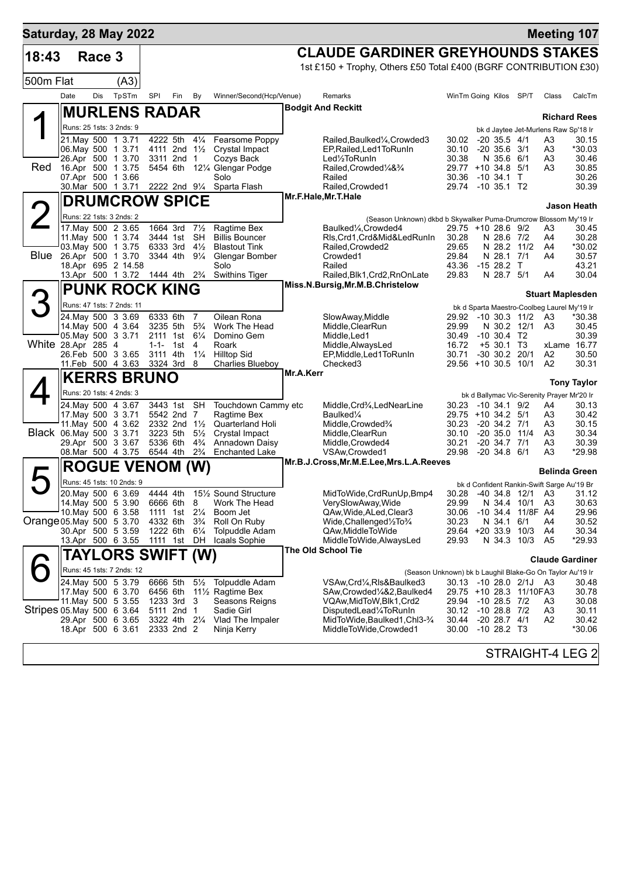| Saturday, 28 May 2022     |      |        |                                                          |           |                           |                                  |                                                       |           |                                                                                                                    |                                          |                                      |                         |                                             | <b>Meeting 107</b>           |
|---------------------------|------|--------|----------------------------------------------------------|-----------|---------------------------|----------------------------------|-------------------------------------------------------|-----------|--------------------------------------------------------------------------------------------------------------------|------------------------------------------|--------------------------------------|-------------------------|---------------------------------------------|------------------------------|
| 18:43                     |      | Race 3 |                                                          |           |                           |                                  |                                                       |           | <b>CLAUDE GARDINER GREYHOUNDS STAKES</b>                                                                           |                                          |                                      |                         |                                             |                              |
|                           |      |        |                                                          |           |                           |                                  |                                                       |           | 1st £150 + Trophy, Others £50 Total £400 (BGRF CONTRIBUTION £30)                                                   |                                          |                                      |                         |                                             |                              |
| 500m Flat                 |      |        | (A3)                                                     |           |                           |                                  |                                                       |           |                                                                                                                    |                                          |                                      |                         |                                             |                              |
|                           | Date | Dis    | TpSTm                                                    | SPI       | Fin                       | By                               | Winner/Second(Hcp/Venue)                              |           | Remarks                                                                                                            | WinTm Going Kilos SP/T                   |                                      |                         | Class                                       | CalcTm                       |
|                           |      |        | <b>MURLENS RADAR</b>                                     |           |                           |                                  |                                                       |           | <b>Bodgit And Reckitt</b>                                                                                          |                                          |                                      |                         |                                             | <b>Richard Rees</b>          |
|                           |      |        | Runs: 25 1sts: 3 2nds: 9                                 |           |                           |                                  |                                                       |           |                                                                                                                    |                                          |                                      |                         | bk d Jaytee Jet-Murlens Raw Sp'18 Ir        |                              |
|                           |      |        | 21. May 500 1 3.71                                       |           | 4222 5th 41/4             |                                  | Fearsome Poppy                                        |           | Railed, Baulked <sup>1</sup> / <sub>4</sub> , Crowded 3                                                            | 30.02 -20 35.5 4/1                       |                                      |                         | A3                                          | 30.15                        |
|                           |      |        | 06. May 500 1 3.71<br>26.Apr 500 1 3.70                  |           | 4111 2nd 1½<br>3311 2nd 1 |                                  | Crystal Impact<br>Cozys Back                          |           | EP, Railed, Led 1 To Run In<br>Led <sup>1</sup> / <sub>2</sub> ToRunIn                                             | 30.10<br>30.38                           | $-20, 35.6, 3/1$<br>N 35.6 6/1       |                         | A3<br>A3                                    | *30.03<br>30.46              |
| Red                       |      |        | 16.Apr 500 1 3.75                                        |           |                           |                                  | 5454 6th 121/4 Glengar Podge                          |           | Railed, Crowded 1/4& 3/4                                                                                           | 29.77 +10 34.8                           |                                      | 5/1                     | A3                                          | 30.85                        |
|                           |      |        | 07.Apr 500 1 3.66                                        |           |                           |                                  | Solo<br>30. Mar 500 1 3.71 2222 2nd 91/4 Sparta Flash |           | Railed<br>Railed, Crowded1                                                                                         | 30.36<br>29.74 -10 35.1 T2               | -10 34.1 T                           |                         |                                             | 30.26<br>30.39               |
|                           |      |        | <b>DRUMCROW SPICE</b>                                    |           |                           |                                  |                                                       |           | Mr.F.Hale, Mr.T.Hale                                                                                               |                                          |                                      |                         |                                             |                              |
|                           |      |        |                                                          |           |                           |                                  |                                                       |           |                                                                                                                    |                                          |                                      |                         |                                             | Jason Heath                  |
| $\angle$                  |      |        | Runs: 22 1sts: 3 2nds: 2<br>17. May 500 2 3.65           |           | 1664 3rd                  | $7\frac{1}{2}$                   | Ragtime Bex                                           |           | (Season Unknown) dkbd b Skywalker Puma-Drumcrow Blossom My'19 Ir<br>Baulked <sup>1</sup> / <sub>4</sub> , Crowded4 | 29.75 +10 28.6 9/2                       |                                      |                         | A3                                          | 30.45                        |
|                           |      |        | 11. May 500 1 3.74                                       |           | 3444 1st                  | – SH                             | <b>Billis Bouncer</b>                                 |           | RIs, Crd1, Crd&Mid&LedRunIn                                                                                        | 30.28                                    | N 28.6 7/2                           |                         | A4                                          | 30.28                        |
|                           |      |        | 03. May 500 1 3.75                                       |           | 6333 3rd                  | $4\frac{1}{2}$                   | <b>Blastout Tink</b>                                  |           | Railed.Crowded2                                                                                                    | 29.65                                    | N 28.2 11/2                          |                         | A4                                          | *30.02                       |
| <b>Blue</b>               |      |        | 26.Apr 500 1 3.70<br>18.Apr 695 2 14.58                  |           | 3344 4th 91/4             |                                  | Glengar Bomber<br>Solo                                |           | Crowded1<br>Railed                                                                                                 | 29.84<br>43.36                           | N 28.1 7/1<br>$-1528.2$ T            |                         | A4                                          | 30.57<br>43.21               |
|                           |      |        | 13.Apr 500 1 3.72 1444 4th 2 <sup>3</sup> / <sub>4</sub> |           |                           |                                  | <b>Swithins Tiger</b>                                 |           | Railed, Blk1, Crd2, RnOnLate                                                                                       | 29.83                                    | N 28.7 5/1                           |                         | A4                                          | 30.04                        |
|                           |      |        | <b>PUNK ROCK KING</b>                                    |           |                           |                                  |                                                       |           | Miss.N.Bursig, Mr.M.B.Christelow                                                                                   |                                          |                                      |                         | <b>Stuart Maplesden</b>                     |                              |
|                           |      |        | Runs: 47 1sts: 7 2nds: 11                                |           |                           |                                  |                                                       |           |                                                                                                                    |                                          |                                      |                         | bk d Sparta Maestro-Coolbeg Laurel My'19 Ir |                              |
|                           |      |        | 24. May 500 3 3.69                                       | 6333 6th  |                           | 7                                | Oilean Rona                                           |           | SlowAway, Middle                                                                                                   | 29.92 -10 30.3 11/2                      |                                      |                         | A3                                          | *30.38                       |
|                           |      |        | 14 May 500 4 3.64                                        |           | 3235 5th                  | $5\frac{3}{4}$                   | Work The Head                                         |           | Middle, ClearRun                                                                                                   | 29.99                                    | N 30.2 12/1                          |                         | A3                                          | 30.45                        |
| White 28.Apr 285 4        |      |        | 05. May 500 3 3.71                                       | $1 - 1 -$ | 2111 1st 61/4<br>1st      | 4                                | Domino Gem<br>Roark                                   |           | Middle, Led1<br>Middle, AlwaysLed                                                                                  | 30.49<br>16.72                           | $-10,30.4$ T2<br>$+5$ 30.1 T3        |                         |                                             | 30.39<br>xLame 16.77         |
|                           |      |        | 26.Feb 500 3 3.65                                        | 3111 4th  |                           | $1\frac{1}{4}$                   | <b>Hilltop Sid</b>                                    |           | EP, Middle, Led 1 To Run In                                                                                        | 30.71                                    | -30 30.2 20/1                        |                         | A2                                          | 30.50                        |
|                           |      |        | 11.Feb 500 4 3.63                                        | 3324 3rd  |                           | 8                                | <b>Charlies Blueboy</b>                               | Mr.A.Kerr | Checked <sub>3</sub>                                                                                               | 29.56 +10 30.5 10/1                      |                                      |                         | A <sub>2</sub>                              | 30.31                        |
|                           |      |        | <b>KERRS BRUNO</b>                                       |           |                           |                                  |                                                       |           |                                                                                                                    |                                          |                                      |                         |                                             | <b>Tony Taylor</b>           |
|                           |      |        | Runs: 20 1sts: 4 2nds: 3                                 |           |                           |                                  |                                                       |           |                                                                                                                    |                                          |                                      |                         | bk d Ballymac Vic-Serenity Prayer Mr'20 Ir  |                              |
|                           |      |        | 24 May 500 4 3.67<br>17 May 500 3 3 71                   |           | 3443 1st SH<br>5542 2nd 7 |                                  | Touchdown Cammy etc<br>Ragtime Bex                    |           | Middle, Crd <sup>3</sup> / <sub>4</sub> , LedNearLine<br>Baulked <sup>1/4</sup>                                    | 30.23<br>29.75 +10 34.2 5/1              | $-10, 34.1, 9/2$                     |                         | A4<br>A3                                    | 30.13<br>30.42               |
|                           |      |        | 11. May 500 4 3.62                                       |           | 2332 2nd 11/2             |                                  | <b>Quarterland Holi</b>                               |           | Middle, Crowded <sup>3</sup> /4                                                                                    | 30.23                                    | $-20, 34.2, 7/1$                     |                         | A3                                          | 30.15                        |
| Black 06. May 500 3 3.71  |      |        |                                                          |           | 3223 5th                  | $5\frac{1}{2}$                   | Crystal Impact                                        |           | Middle, ClearRun                                                                                                   | 30.10                                    | $-20,35.0$                           | 11/4                    | A3                                          | 30.34                        |
|                           |      |        | 29.Apr 500 3 3.67<br>08. Mar 500 4 3.75                  |           | 5336 6th<br>6544 4th      | $4\frac{3}{4}$<br>$2\frac{3}{4}$ | Annadown Daisy<br><b>Enchanted Lake</b>               |           | Middle, Crowded4<br>VSAw, Crowded1                                                                                 | 30.21<br>29.98                           | $-20, 34.7, 7/1$<br>$-20, 34.8, 6/1$ |                         | A3<br>A3                                    | 30.39<br>*29.98              |
|                           |      |        | <b>ROGUE VENOM (W)</b>                                   |           |                           |                                  |                                                       |           | Mr.B.J.Cross, Mr.M.E.Lee, Mrs.L.A.Reeves                                                                           |                                          |                                      |                         |                                             |                              |
| Д                         |      |        |                                                          |           |                           |                                  |                                                       |           |                                                                                                                    |                                          |                                      |                         | <b>Belinda Green</b>                        |                              |
|                           |      |        | Runs: 45 1sts: 10 2nds: 9<br>20. May 500 6 3.69          |           |                           |                                  | 4444 4th 151/2 Sound Structure                        |           | MidToWide,CrdRunUp,Bmp4                                                                                            |                                          |                                      |                         | bk d Confident Rankin-Swift Sarge Au'19 Br  | 30.28 -40 34.8 12/1 A3 31.12 |
|                           |      |        | 14. May 500 5 3.90                                       |           | 6666 6th 8                |                                  | Work The Head                                         |           | VerySlowAway, Wide                                                                                                 | 29.99                                    | N 34.4                               | 10/1                    | A3                                          | 30.63                        |
|                           |      |        | 10. May 500 6 3.58                                       |           | 1111 1st                  | $2\frac{1}{4}$                   | Boom Jet                                              |           | QAw, Wide, ALed, Clear3                                                                                            | 30.06                                    |                                      | -10 34.4 11/8F A4       |                                             | 29.96                        |
| Orange 05. May 500 5 3.70 |      |        | 30.Apr 500 5 3.59                                        | 4332 6th  | 1222 6th                  | $3\frac{3}{4}$<br>$6\frac{1}{4}$ | Roll On Ruby<br><b>Tolpuddle Adam</b>                 |           | Wide, Challenged 1/2To 3/4<br>QAw,MiddleToWide                                                                     | 30.23<br>29.64 +20 33.9 10/3             | N 34.1                               | 6/1                     | A4<br>A4                                    | 30.52<br>30.34               |
|                           |      |        | 13.Apr 500 6 3.55                                        |           | 1111 1st                  | DH                               | Icaals Sophie                                         |           | MiddleToWide, AlwaysLed                                                                                            | 29.93                                    |                                      | N 34.3 10/3             | A5                                          | *29.93                       |
|                           |      |        | TAYLORS SWIFT (W)                                        |           |                           |                                  |                                                       |           | The Old School Tie                                                                                                 |                                          |                                      |                         |                                             | <b>Claude Gardiner</b>       |
|                           |      |        | Runs: 45 1sts: 7 2nds: 12                                |           |                           |                                  |                                                       |           | (Season Unknown) bk b Laughil Blake-Go On Taylor Au'19 Ir                                                          |                                          |                                      |                         |                                             |                              |
|                           |      |        | 24. May 500 5 3.79                                       |           | 6666 5th                  | $5\frac{1}{2}$                   | <b>Tolpuddle Adam</b>                                 |           | VSAw,Crd¼,Rls&Baulked3                                                                                             |                                          |                                      | 30.13 -10 28.0 2/1J A3  |                                             | 30.48                        |
|                           |      |        | 17 May 500 6 3.70                                        | 6456 6th  |                           |                                  | 11 <sup>1</sup> / <sub>2</sub> Ragtime Bex            |           | SAw,Crowded¼&2,Baulked4                                                                                            |                                          |                                      | 29.75 +10 28.3 11/10FA3 |                                             | 30.78                        |
| Stripes 05 May 500 6 3.64 |      |        | 11 May 500 5 3.55                                        |           | 1233 3rd<br>5111 2nd      | 3<br>$\mathbf{1}$                | Seasons Reigns<br>Sadie Girl                          |           | VQAw,MidToW,Blk1,Crd2<br>DisputedLead¼ToRunIn                                                                      | 29.94 -10 28.5 7/2<br>30.12 -10 28.8 7/2 |                                      |                         | A3<br>A3                                    | 30.08<br>30.11               |
|                           |      |        | 29.Apr 500 6 3.65                                        |           | 3322 4th 21/4             |                                  | Vlad The Impaler                                      |           | MidToWide,Baulked1,Chl3-3⁄4                                                                                        | 30.44                                    | $-20$ 28.7 $4/1$                     |                         | A <sub>2</sub>                              | 30.42                        |
|                           |      |        | 18.Apr 500 6 3.61                                        |           | 2333 2nd 2                |                                  | Ninja Kerry                                           |           | MiddleToWide,Crowded1                                                                                              | 30.00                                    | $-10$ 28.2 T3                        |                         |                                             | *30.06                       |
|                           |      |        |                                                          |           |                           |                                  |                                                       |           |                                                                                                                    |                                          |                                      |                         |                                             |                              |
|                           |      |        |                                                          |           |                           |                                  |                                                       |           |                                                                                                                    |                                          |                                      |                         |                                             | STRAIGHT-4 LEG 2             |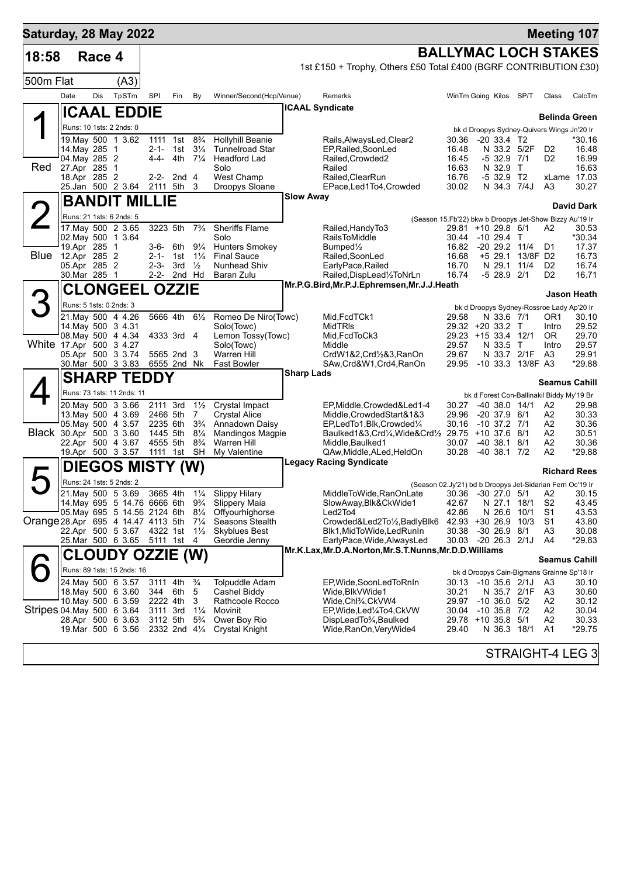| Saturday, 28 May 2022              |                              |        |                                                |            |                           |                                  |                                                   |                   |                                                                                      |                    |                                         |                         |                                  | <b>Meeting 107</b>                               |                      |
|------------------------------------|------------------------------|--------|------------------------------------------------|------------|---------------------------|----------------------------------|---------------------------------------------------|-------------------|--------------------------------------------------------------------------------------|--------------------|-----------------------------------------|-------------------------|----------------------------------|--------------------------------------------------|----------------------|
| 18:58                              |                              | Race 4 |                                                |            |                           |                                  |                                                   |                   |                                                                                      |                    |                                         |                         |                                  | <b>BALLYMAC LOCH STAKES</b>                      |                      |
|                                    |                              |        |                                                |            |                           |                                  |                                                   |                   | 1st £150 + Trophy, Others £50 Total £400 (BGRF CONTRIBUTION £30)                     |                    |                                         |                         |                                  |                                                  |                      |
| 500m Flat                          |                              |        | (A3)                                           |            |                           |                                  |                                                   |                   |                                                                                      |                    |                                         |                         |                                  |                                                  |                      |
|                                    | Date                         | Dis    | TpSTm                                          | <b>SPI</b> | Fin                       | By                               | Winner/Second(Hcp/Venue)                          |                   | Remarks                                                                              |                    | WinTm Going Kilos SP/T                  |                         |                                  | Class                                            | CalcTm               |
|                                    |                              |        | ∥ICAAL EDDIE                                   |            |                           |                                  |                                                   |                   | <b>ICAAL Syndicate</b>                                                               |                    |                                         |                         |                                  | <b>Belinda Green</b>                             |                      |
|                                    |                              |        | Runs: 10 1sts: 2 2nds: 0                       |            |                           |                                  |                                                   |                   |                                                                                      |                    |                                         |                         |                                  | bk d Droopys Sydney-Quivers Wings Jn'20 Ir       |                      |
|                                    | 14. May 285 1                |        | 19. May 500 1 3.62                             |            | 1111 1st<br>2-1- 1st      | $8\frac{3}{4}$<br>$3\frac{1}{4}$ | <b>Hollyhill Beanie</b><br><b>Tunnelroad Star</b> |                   | Rails, Always Led, Clear 2<br>EP.Railed.SoonLed                                      | 30.36<br>16.48     | $-20, 33.4, T2$                         |                         | N 33.2 5/2F                      | D <sub>2</sub>                                   | *30.16<br>16.48      |
|                                    | 04. May 285 2                |        |                                                | 4-4-       | 4th 7¼                    |                                  | <b>Headford Lad</b>                               |                   | Railed, Crowded2                                                                     | 16.45              | $-532.9$                                |                         | 7/1                              | D <sub>2</sub>                                   | 16.99                |
| Red                                | 27.Apr 285 1<br>18.Apr 285 2 |        |                                                | 2-2-       | 2nd <sub>4</sub>          |                                  | Solo<br><b>West Champ</b>                         |                   | Railed<br>Railed, ClearRun                                                           | 16.63<br>16.76     |                                         | N 32.9 T<br>$-532.9$ T2 |                                  |                                                  | 16.63<br>xLame 17.03 |
|                                    |                              |        | 25.Jan 500 2 3.64                              |            | 2111 5th                  | 3                                | Droopys Sloane                                    |                   | EPace, Led1To4, Crowded                                                              | 30.02              |                                         |                         | N 34.3 7/4J                      | A <sub>3</sub>                                   | 30.27                |
|                                    |                              |        | <b>BANDIT MILLIE</b>                           |            |                           |                                  |                                                   | <b>Slow Away</b>  |                                                                                      |                    |                                         |                         |                                  |                                                  | <b>David Dark</b>    |
|                                    |                              |        | Runs: 21 1sts: 6 2nds: 5                       |            |                           |                                  |                                                   |                   | (Season 15.Fb'22) bkw b Droopys Jet-Show Bizzy Au'19 Ir                              |                    |                                         |                         |                                  |                                                  |                      |
|                                    |                              |        | 17 May 500 2 3.65                              | 3223 5th   |                           | $7\frac{3}{4}$                   | <b>Sheriffs Flame</b>                             |                   | Railed, Handy To 3                                                                   |                    | 29.81 +10 29.8 6/1                      |                         |                                  | A2                                               | 30.53                |
|                                    | 19.Apr 285 1                 |        | 02. May 500 1 3.64                             |            | 3-6- 6th                  | $9\frac{1}{4}$                   | Solo<br><b>Hunters Smokey</b>                     |                   | <b>RailsToMiddle</b><br>Bumped <sup>1/2</sup>                                        | 30.44<br>16.82     | -10 29.4 T<br>$-20$ 29.2 $11/4$         |                         |                                  | D1                                               | *30.34<br>17.37      |
| Blue                               | 12.Apr 285 2                 |        |                                                | 2-1-       | 1st                       | $1\frac{1}{4}$                   | <b>Final Sauce</b>                                |                   | Railed, SoonLed                                                                      | 16.68              |                                         |                         | +5 29.1 13/8F D2                 |                                                  | 16.73                |
|                                    | 05.Apr 285 2<br>30.Mar 285 1 |        |                                                | $2 - 3 -$  | 3rd<br>2-2- 2nd Hd        | $\frac{1}{2}$                    | Nunhead Shiv<br>Baran Zulu                        |                   | EarlyPace, Railed<br>Railed, DispLead1/2ToNrLn                                       | 16.70<br>16.74     | N 29.1                                  | $-528.92/1$             | 11/4                             | D <sub>2</sub><br>D <sub>2</sub>                 | 16.74<br>16.71       |
|                                    |                              |        | <b>CLONGEEL OZZIE</b>                          |            |                           |                                  |                                                   |                   | Mr.P.G.Bird, Mr.P.J.Ephremsen, Mr.J.J.Heath                                          |                    |                                         |                         |                                  |                                                  |                      |
| З                                  | Runs: 5 1sts: 0 2nds: 3      |        |                                                |            |                           |                                  |                                                   |                   |                                                                                      |                    |                                         |                         |                                  |                                                  | Jason Heath          |
|                                    |                              |        | 21. May 500 4 4.26                             |            | 5666 4th                  | $6\frac{1}{2}$                   | Romeo De Niro(Towc)                               |                   | Mid, FcdTCk1                                                                         | 29.58              |                                         | N 33.6 7/1              |                                  | bk d Droopys Sydney-Rossroe Lady Ap'20 Ir<br>OR1 | 30.10                |
|                                    |                              |        | 14. May 500 3 4.31<br>08. May 500 4 4.34       |            | 4333 3rd 4                |                                  | Solo(Towc)<br>Lemon Tossy(Towc)                   |                   | <b>MidTRIs</b><br>Mid, FcdToCk3                                                      |                    | 29.32 +20 33.2 T<br>29.23 +15 33.4 12/1 |                         |                                  | Intro<br>0R                                      | 29.52<br>29.70       |
| White 17.Apr 500 3 4.27            |                              |        |                                                |            |                           |                                  | Solo(Towc)                                        |                   | Middle                                                                               | 29.57              |                                         | N 33.5 T                |                                  | Intro                                            | 29.57                |
|                                    |                              |        | 05.Apr 500 3 3.74<br>30.Mar 500 3 3.83         |            | 5565 2nd 3<br>6555 2nd Nk |                                  | Warren Hill<br>Fast Bowler                        |                   | CrdW1&2,Crd1/2&3,RanOn<br>SAw,Crd&W1,Crd4,RanOn                                      | 29.67<br>29.95     |                                         |                         | N 33.7 2/1F<br>-10 33.3 13/8F A3 | A3                                               | 29.91<br>*29.88      |
|                                    |                              |        | <b>SHARP TEDDY</b>                             |            |                           |                                  |                                                   | <b>Sharp Lads</b> |                                                                                      |                    |                                         |                         |                                  |                                                  |                      |
|                                    |                              |        | Runs: 73 1sts: 11 2nds: 11                     |            |                           |                                  |                                                   |                   |                                                                                      |                    |                                         |                         |                                  | <b>Seamus Cahill</b>                             |                      |
|                                    |                              |        | 20. May 500 3 3.66                             | 2111 3rd   |                           | $1\frac{1}{2}$                   | Crystal Impact                                    |                   | EP, Middle, Crowded & Led 1-4                                                        | 30.27              | $-40, 38.0, 14/1$                       |                         |                                  | bk d Forest Con-Ballinakil Biddy My'19 Br<br>A2  | 29.98                |
|                                    |                              |        | 13. May 500 4 3.69                             | 2466 5th   |                           | 7                                | <b>Crystal Alice</b>                              |                   | Middle, Crowded Start&1&3                                                            | 29.96              | $-20$ 37.9 $6/1$                        |                         |                                  | A2                                               | 30.33                |
| Black 30.Apr 500 3 3.60            |                              |        | 05 May 500 4 3.57                              |            | 2235 6th<br>1445 5th      | $3\frac{3}{4}$<br>$8\frac{1}{4}$ | Annadown Daisy<br>Mandingos Magpie                |                   | EP,LedTo1,Blk,Crowded1/4<br>Baulked1&3, Crd1/ <sub>4</sub> , Wide&Crd1/2 29.75       | 30.16              | $-10$ 37.2 $7/1$<br>$+10$ 37.6 8/1      |                         |                                  | A2<br>A2                                         | 30.36<br>30.51       |
|                                    |                              |        | 22.Apr 500 4 3.67                              |            | 4555 5th                  | $8\frac{3}{4}$                   | Warren Hill                                       |                   | Middle, Baulked 1                                                                    | 30.07              | $-40, 38.1$                             |                         | 8/1                              | A2                                               | 30.36                |
|                                    |                              |        | 19.Apr 500 3 3.57                              |            | 1111 1st SH               |                                  | My Valentine                                      |                   | QAw,Middle,ALed,HeldOn<br><b>Legacy Racing Syndicate</b>                             | 30.28              | $-40, 38.1, 7/2$                        |                         |                                  | A2                                               | *29.88               |
|                                    |                              |        | DIEGOS MISTY (W)                               |            |                           |                                  |                                                   |                   |                                                                                      |                    |                                         |                         |                                  | <b>Richard Rees</b>                              |                      |
|                                    |                              |        | Runs: 24 1sts: 5 2nds: 2<br>21. May 500 5 3.69 |            | 3665 4th 11/4             |                                  | <b>Slippy Hilary</b>                              |                   | (Season 02.Jy'21) bd b Droopys Jet-Sidarian Fern Oc'19 Ir<br>MiddleToWide,RanOnLate  | 30.36 -30 27.0 5/1 |                                         |                         |                                  | A2                                               | 30.15                |
|                                    |                              |        | 14. May 695 5 14.76 6666 6th 93/4              |            |                           |                                  | Slippery Maia                                     |                   | SlowAway, Blk&CkWide1                                                                | 42.67              | N 27.1                                  |                         | 18/1                             | S <sub>2</sub>                                   | 43.45                |
| Orange 28.Apr 695 4 14.47 4113 5th |                              |        | 05. May 695 5 14.56 2124 6th 81/4              |            |                           | $7\frac{1}{4}$                   | Offyourhighorse<br>Seasons Stealth                |                   | Led2To4<br>Crowded&Led2To1/2, BadlyBlk6                                              | 42.86<br>42.93     | $+3026.9$                               | N 26.6                  | 10/1<br>10/3                     | S <sub>1</sub><br>S <sub>1</sub>                 | 43.53<br>43.80       |
|                                    |                              |        | 22.Apr 500 5 3.67 4322 1st 11/2                |            |                           |                                  | <b>Skyblues Best</b>                              |                   | Blk1, MidToWide, Led Run In                                                          | 30.38              | $-30$ 26.9 $8/1$                        |                         |                                  | A <sub>3</sub>                                   | 30.08                |
|                                    |                              |        | 25.Mar 500 6 3.65                              |            | 5111 1st 4                |                                  | Geordie Jenny                                     |                   | EarlyPace, Wide, AlwaysLed<br>Mr.K.Lax, Mr.D.A.Norton, Mr.S.T.Nunns, Mr.D.D.Williams | 30.03              | $-20$ 26.3 $2/1J$                       |                         |                                  | A4                                               | *29.83               |
|                                    |                              |        | CLOUDY OZZIE (W)                               |            |                           |                                  |                                                   |                   |                                                                                      |                    |                                         |                         |                                  | <b>Seamus Cahill</b>                             |                      |
|                                    |                              |        | Runs: 89 1sts: 15 2nds: 16                     |            |                           |                                  |                                                   |                   |                                                                                      |                    |                                         |                         |                                  | bk d Droopys Cain-Bigmans Grainne Sp'18 Ir       |                      |
|                                    |                              |        | 24. May 500 6 3.57<br>18. May 500 6 3.60       | 344        | 3111 4th<br>6th           | $\frac{3}{4}$<br>5               | <b>Tolpuddle Adam</b><br>Cashel Biddy             |                   | EP, Wide, SoonLed To RnIn<br>Wide, BlkVWide1                                         | 30.13<br>30.21     | $-10$ 35.6 $2/1J$                       |                         | N 35.7 2/1F                      | A3<br>A3                                         | 30.10<br>30.60       |
|                                    |                              |        | 10 May 500 6 3.59                              |            | 2222 4th                  | 3                                | Rathcoole Rocco                                   |                   | Wide,Chl¾,CkVW4                                                                      | 29.97              | $-10$ 36.0 $5/2$                        |                         |                                  | A <sub>2</sub>                                   | 30.12                |
| Stripes 04 May 500 6 3.64          |                              |        | 28.Apr 500 6 3.63                              | 3111 3rd   | 3112 5th                  | $1\frac{1}{4}$<br>$5\frac{3}{4}$ | Movinit<br>Ower Boy Rio                           |                   | EP, Wide, Led 1/4 To 4, Ck VW<br>DispLeadTo <sup>3</sup> / <sub>4</sub> ,Baulked     | 30.04<br>29.78     | $-10$ 35.8 $7/2$<br>$+10$ 35.8 5/1      |                         |                                  | A <sub>2</sub><br>A <sub>2</sub>                 | 30.04<br>30.33       |
|                                    |                              |        | 19.Mar 500 6 3.56                              |            | 2332 2nd 41/4             |                                  | <b>Crystal Knight</b>                             |                   | Wide, RanOn, Very Wide4                                                              | 29.40              |                                         |                         | N 36.3 18/1                      | A <sub>1</sub>                                   | $*29.75$             |
|                                    |                              |        |                                                |            |                           |                                  |                                                   |                   |                                                                                      |                    |                                         |                         |                                  |                                                  |                      |
|                                    |                              |        |                                                |            |                           |                                  |                                                   |                   |                                                                                      |                    |                                         |                         |                                  | STRAIGHT-4 LEG 3                                 |                      |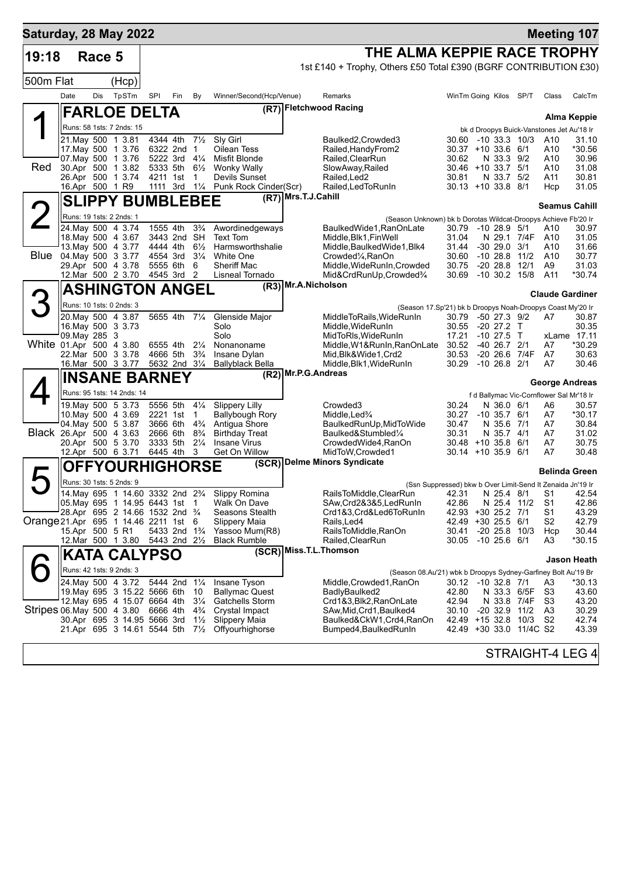| Saturday, 28 May 2022                |                 |        |                                                                   |                      |                                                                                  |                                  |                                              |                                                                           |                                                                         |                                |                         | <b>Meeting 107</b>                             |                 |
|--------------------------------------|-----------------|--------|-------------------------------------------------------------------|----------------------|----------------------------------------------------------------------------------|----------------------------------|----------------------------------------------|---------------------------------------------------------------------------|-------------------------------------------------------------------------|--------------------------------|-------------------------|------------------------------------------------|-----------------|
| 19:18                                |                 | Race 5 |                                                                   |                      |                                                                                  |                                  |                                              | THE ALMA KEPPIE RACE TROPHY                                               |                                                                         |                                |                         |                                                |                 |
|                                      |                 |        |                                                                   |                      |                                                                                  |                                  |                                              | 1st £140 + Trophy, Others £50 Total £390 (BGRF CONTRIBUTION £30)          |                                                                         |                                |                         |                                                |                 |
| 500m Flat                            |                 |        | (Hcp)                                                             |                      |                                                                                  |                                  |                                              |                                                                           |                                                                         |                                |                         |                                                |                 |
|                                      | Date            | Dis    | TpSTm                                                             | SPI                  | Fin                                                                              | By                               | Winner/Second(Hcp/Venue)                     | Remarks                                                                   | WinTm Going Kilos SP/T                                                  |                                |                         | Class                                          | CalcTm          |
|                                      |                 |        | <b>FARLOE DELTA</b>                                               |                      |                                                                                  |                                  |                                              | (R7) Fletchwood Racing                                                    |                                                                         |                                |                         |                                                | Alma Keppie     |
|                                      |                 |        | Runs: 58 1sts: 7 2nds: 15                                         |                      |                                                                                  |                                  |                                              |                                                                           |                                                                         |                                |                         | bk d Droopys Buick-Vanstones Jet Au'18 Ir      |                 |
|                                      |                 |        | 21. May 500 1 3.81                                                | 4344 4th             |                                                                                  | $7\frac{1}{2}$                   | Sly Girl                                     | Baulked2, Crowded3                                                        | 30.60                                                                   | $-10$ 33.3 10/3                |                         | A10                                            | 31.10           |
|                                      |                 |        | 17 May 500 1 3.76<br>07 May 500 1 3.76                            | 5222 3rd             | 6322 2nd                                                                         | $\overline{1}$<br>$4\frac{1}{4}$ | Oilean Tess<br>Misfit Blonde                 | Railed, Handy From 2<br>Railed, ClearRun                                  | $30.37 + 10.33.6$ 6/1<br>30.62                                          | N 33.3 9/2                     |                         | A10<br>A10                                     | *30.56<br>30.96 |
| Red                                  |                 |        | 30.Apr 500 1 3.82                                                 | 5333 5th             |                                                                                  | $6\frac{1}{2}$                   | <b>Wonky Wally</b>                           | SlowAway, Railed                                                          | 30.46 +10 33.7 5/1                                                      |                                |                         | A10                                            | 31.08           |
|                                      | 16.Apr 500 1 R9 |        | 26.Apr 500 1 3.74                                                 | 4211 1st             | 1111 3rd                                                                         | 1<br>$1\frac{1}{4}$              | Devils Sunset<br>Punk Rock Cinder(Scr)       | Railed, Led2<br>Railed, Led To Run In                                     | 30.81<br>30.13 +10 33.8 8/1                                             | N 33.7 5/2                     |                         | A11<br>Hcp                                     | 30.81<br>31.05  |
|                                      |                 |        | <b>SLIPPY BUMBLEBEE</b>                                           |                      |                                                                                  |                                  |                                              | (R7) Mrs.T.J.Cahill                                                       |                                                                         |                                |                         |                                                |                 |
|                                      |                 |        |                                                                   |                      |                                                                                  |                                  |                                              |                                                                           |                                                                         |                                |                         | <b>Seamus Cahill</b>                           |                 |
|                                      |                 |        | Runs: 19 1sts: 2 2nds: 1<br>24. May 500 4 3.74                    | 1555 4th             |                                                                                  | $3\frac{3}{4}$                   | Awordinedgeways                              | BaulkedWide1,RanOnLate                                                    | (Season Unknown) bk b Dorotas Wildcat-Droopys Achieve Fb'20 Ir<br>30.79 | $-1028.951$                    |                         | A10                                            | 30.97           |
|                                      |                 |        | 18. May 500 4 3.67                                                |                      | 3443 2nd SH                                                                      |                                  | <b>Text Tom</b>                              | Middle, Blk1, Fin Well                                                    | 31.04                                                                   | N 29.1 7/4F                    |                         | A10                                            | 31.05           |
|                                      |                 |        | 13. May 500 4 3.77                                                | 4444 4th             |                                                                                  | $6\frac{1}{2}$                   | Harmsworthshalie                             | Middle, Baulked Wide 1, Blk4                                              | 31.44                                                                   | $-30$ 29.0 $3/1$               |                         | A10                                            | 31.66           |
| <b>Blue</b>                          |                 |        | 04. May 500 3 3.77<br>29.Apr 500 4 3.78                           | 4554 3rd<br>5555 6th |                                                                                  | $3\frac{1}{4}$<br>6              | White One<br>Sheriff Mac                     | Crowded <sup>1</sup> / <sub>4</sub> , RanOn<br>Middle, WideRunIn, Crowded | 30.60<br>30.75                                                          | $-1028.8$<br>$-20$ 28.8 $12/1$ | 11/2                    | A10<br>A9                                      | 30.77<br>31.03  |
|                                      |                 |        | 12.Mar 500 2 3.70                                                 | 4545 3rd             |                                                                                  | 2                                | Lisneal Tornado                              | Mid&CrdRunUp,Crowded%                                                     | 30.69                                                                   | $-10$ 30.2 $15/8$              |                         | A11                                            | *30.74          |
|                                      |                 |        | <b>ASHINGTON ANGEL</b>                                            |                      |                                                                                  |                                  |                                              | (R3) Mr.A.Nicholson                                                       |                                                                         |                                |                         | <b>Claude Gardiner</b>                         |                 |
|                                      |                 |        | Runs: 10 1sts: 0 2nds: 3                                          |                      |                                                                                  |                                  |                                              |                                                                           | (Season 17.Sp'21) bk b Droopys Noah-Droopys Coast My'20 Ir              |                                |                         |                                                |                 |
|                                      |                 |        | 20. May 500 4 3.87                                                |                      | 5655 4th 71/4                                                                    |                                  | Glenside Major                               | MiddleToRails, WideRunIn                                                  | 30.79                                                                   | $-50$ 27.3 $9/2$               |                         | A7                                             | 30.87           |
|                                      | 09. May 285 3   |        | 16 May 500 3 3.73                                                 |                      |                                                                                  |                                  | Solo<br>Solo                                 | Middle, WideRunIn<br>MidToRIs, WideRunIn                                  | 30.55<br>17.21                                                          | -20 27.2 T<br>$-10$ 27.5 T     |                         | xLame 17.11                                    | 30.35           |
| White 01.Apr 500 4 3.80              |                 |        |                                                                   | 6555 4th             |                                                                                  | $2\frac{1}{4}$                   | Nonanoname                                   | Middle, W1&RunIn, RanOnLate                                               | 30.52                                                                   | -40 26.7                       | 2/1                     | A7                                             | *30.29          |
|                                      |                 |        | 22. Mar 500 3 3.78                                                | 4666 5th             |                                                                                  | $3\frac{3}{4}$                   | Insane Dylan                                 | Mid, Blk&Wide1, Crd2                                                      | 30.53                                                                   | -20 26.6 7/4F                  |                         | A7<br>A7                                       | 30.63           |
|                                      |                 |        | 16.Mar 500 3 3.77<br><b>INSANE BARNEY</b>                         |                      | 5632 2nd 31/4                                                                    |                                  | <b>Ballyblack Bella</b>                      | Middle, Blk1, WideRunIn<br>(R2) Mr.P.G.Andreas                            | 30.29                                                                   | $-10$ 26.8 $2/1$               |                         |                                                | 30.46           |
|                                      |                 |        |                                                                   |                      |                                                                                  |                                  |                                              |                                                                           |                                                                         |                                |                         | <b>George Andreas</b>                          |                 |
|                                      |                 |        | Runs: 95 1sts: 14 2nds: 14<br>19. May 500 5 3.73                  | 5556 5th             |                                                                                  | $4\frac{1}{4}$                   | <b>Slippery Lilly</b>                        | Crowded <sub>3</sub>                                                      | 30.24                                                                   | N 36.0 6/1                     |                         | f d Ballymac Vic-Cornflower Sal Mr'18 Ir<br>A6 | 30.57           |
|                                      |                 |        | 10. May 500 4 3.69                                                | 2221 1st             |                                                                                  | 1                                | <b>Ballybough Rory</b>                       | Middle,Led%                                                               | 30.27                                                                   | $-10, 35.7$                    | 6/1                     | A7                                             | *30.17          |
|                                      |                 |        | 04. May 500 5 3.87                                                | 3666 6th             |                                                                                  | $4\frac{3}{4}$                   | Antigua Shore                                | BaulkedRunUp, MidToWide                                                   | 30.47                                                                   | N 35.6                         | 7/1                     | A7                                             | 30.84           |
| Black 26.Apr 500 4 3.63              |                 |        | 20.Apr 500 5 3.70                                                 | 2666 6th<br>3333 5th |                                                                                  | $8\frac{3}{4}$<br>$2\frac{1}{4}$ | <b>Birthday Treat</b><br><b>Insane Virus</b> | Baulked&Stumbled1/4<br>CrowdedWide4, RanOn                                | 30.31<br>$30.48 + 10.35.8$ 6/1                                          | N 35.7 4/1                     |                         | A7<br>A7                                       | 31.02<br>30.75  |
|                                      |                 |        | 12.Apr 500 6 3.71                                                 | 6445 4th             |                                                                                  | 3                                | Get On Willow                                | MidToW, Crowded1                                                          | $30.14 + 1035.96/1$                                                     |                                |                         | A7                                             | 30.48           |
|                                      |                 |        | <b>OFFYOURHIGHORSE</b>                                            |                      |                                                                                  |                                  |                                              | (SCR) Delme Minors Syndicate                                              |                                                                         |                                |                         | <b>Belinda Green</b>                           |                 |
|                                      |                 |        | Runs: 30 1sts: 5 2nds: 9                                          |                      |                                                                                  |                                  |                                              |                                                                           | (Ssn Suppressed) bkw b Over Limit-Send It Zenaida Jn'19 Ir              |                                |                         |                                                |                 |
|                                      |                 |        | 14.May 695 1 14.60 3332 2nd 2 <sup>3</sup> / <sub>4</sub>         |                      |                                                                                  |                                  | Slippy Romina                                | RailsToMiddle, ClearRun 42.31 N 25.4 8/1 S1 42.54                         |                                                                         |                                |                         |                                                |                 |
|                                      |                 |        | 05. May 695 1 14.95 6443 1st 1<br>28.Apr 695 2 14.66 1532 2nd 3/4 |                      |                                                                                  |                                  | Walk On Dave<br>Seasons Stealth              | SAw, Crd2&3&5, LedRunIn<br>Crd1&3,Crd&Led6ToRunIn                         | 42.86<br>42.93 +30 25.2 7/1                                             | N 25.4 11/2                    |                         | S <sub>1</sub><br>S1                           | 42.86<br>43.29  |
| Orange 21.Apr 695 1 14.46 2211 1st 6 |                 |        |                                                                   |                      |                                                                                  |                                  | Slippery Maia                                | Rails, Led4                                                               | 42.49 +30 25.5 6/1                                                      |                                |                         | S2                                             | 42.79           |
|                                      | 15.Apr 500 5 R1 |        | 12.Mar 500 1 3.80                                                 |                      | 5433 2nd 1 <sup>3</sup> / <sub>4</sub><br>5443 2nd 2 <sup>1</sup> / <sub>2</sub> |                                  | Yassoo Mum(R8)<br><b>Black Rumble</b>        | RailsToMiddle,RanOn<br>Railed, ClearRun                                   | 30.41<br>30.05 -10 25.6 6/1                                             | $-20$ 25.8 $10/3$              |                         | Hcp<br>A3                                      | 30.44<br>*30.15 |
|                                      |                 |        |                                                                   |                      |                                                                                  |                                  |                                              | (SCR) Miss.T.L.Thomson                                                    |                                                                         |                                |                         |                                                |                 |
|                                      |                 |        | <b>KATA CALYPSO</b>                                               |                      |                                                                                  |                                  |                                              |                                                                           |                                                                         |                                |                         |                                                | Jason Heath     |
|                                      |                 |        | Runs: 42 1sts: 9 2nds: 3<br>24. May 500 4 3.72 5444 2nd 11/4      |                      |                                                                                  |                                  | Insane Tyson                                 | Middle, Crowded1, RanOn                                                   | (Season 08.Au'21) wbk b Droopys Sydney-Garfiney Bolt Au'19 Br           |                                |                         |                                                | *30.13          |
|                                      |                 |        | 19. May 695 3 15.22 5666 6th                                      |                      |                                                                                  | - 10                             | <b>Ballymac Quest</b>                        | BadlyBaulked2                                                             | 30.12 -10 32.8 7/1<br>42.80                                             | N 33.3 6/5F                    |                         | A3<br>S3                                       | 43.60           |
|                                      |                 |        | 12. May 695 4 15.07 6664 4th                                      |                      |                                                                                  | $3\frac{1}{4}$                   | Gatchells Storm                              | Crd1&3,Blk2,RanOnLate                                                     | 42.94                                                                   | N 33.8 7/4F                    |                         | S3                                             | 43.20           |
| Stripes 06. May 500 4 3.80 6666 4th  |                 |        | 30.Apr 695 3 14.95 5666 3rd                                       |                      |                                                                                  | $4\frac{3}{4}$<br>$1\frac{1}{2}$ | Crystal Impact<br>Slippery Maia              | SAw, Mid, Crd1, Baulked4<br>Baulked&CkW1,Crd4,RanOn                       | 30.10 -20 32.9 11/2<br>42.49 +15 32.8 10/3                              |                                |                         | A3<br>S2                                       | 30.29<br>42.74  |
|                                      |                 |        | 21.Apr 695 3 14.61 5544 5th                                       |                      |                                                                                  | $7\frac{1}{2}$                   | Offyourhighorse                              | Bumped4, Baulked Run In                                                   |                                                                         |                                | 42.49 +30 33.0 11/4C S2 |                                                | 43.39           |
|                                      |                 |        |                                                                   |                      |                                                                                  |                                  |                                              |                                                                           |                                                                         |                                |                         |                                                |                 |
|                                      |                 |        |                                                                   |                      |                                                                                  |                                  |                                              |                                                                           |                                                                         |                                |                         | STRAIGHT-4 LEG 4                               |                 |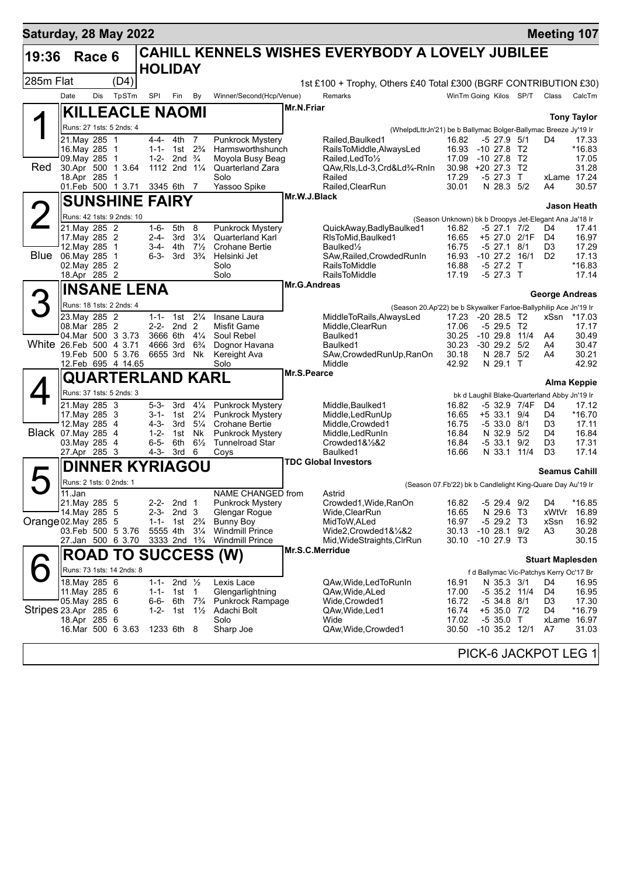| Saturday, 28 May 2022   |                               |        |                                          |                        |                                               |                      |                                                   |                 |                                                                      |                                                        |                                |              | <b>Meeting 107</b>                                 |                    |
|-------------------------|-------------------------------|--------|------------------------------------------|------------------------|-----------------------------------------------|----------------------|---------------------------------------------------|-----------------|----------------------------------------------------------------------|--------------------------------------------------------|--------------------------------|--------------|----------------------------------------------------|--------------------|
| 19:36                   |                               | Race 6 |                                          |                        |                                               |                      |                                                   |                 | CAHILL KENNELS WISHES EVERYBODY A LOVELY JUBILEE                     |                                                        |                                |              |                                                    |                    |
|                         |                               |        |                                          | <b>HOLIDAY</b>         |                                               |                      |                                                   |                 |                                                                      |                                                        |                                |              |                                                    |                    |
| 285m Flat               |                               |        | (D4)                                     |                        |                                               |                      |                                                   |                 | 1st £100 + Trophy, Others £40 Total £300 (BGRF CONTRIBUTION £30)     |                                                        |                                |              |                                                    |                    |
|                         | Date                          | Dis    | TpSTm                                    | SPI                    | Fin                                           | By                   | Winner/Second(Hcp/Venue)                          |                 | Remarks                                                              | WinTm Going Kilos SP/T                                 |                                |              | Class                                              | CalcTm             |
| ◢                       |                               |        | <b>KILLEACLE NAOMI</b>                   |                        |                                               |                      |                                                   | Mr.N.Friar      |                                                                      |                                                        |                                |              |                                                    | <b>Tony Taylor</b> |
|                         |                               |        | Runs: 27 1sts: 5 2nds: 4                 |                        |                                               |                      |                                                   |                 | (WhelpdLttrJn'21) be b Ballymac Bolger-Ballymac Breeze Jy'19 Ir      |                                                        |                                |              |                                                    |                    |
|                         | 21. May 285                   |        | $\overline{1}$                           | 4-4-                   | 4th                                           | 7                    | <b>Punkrock Mystery</b>                           |                 | Railed, Baulked 1                                                    | 16.82                                                  | $-5$ 27.9 $5/1$                |              | D4                                                 | 17.33              |
|                         | 16. May 285 1<br>09.May 285   |        | $\mathbf{1}$                             | $1 - 1 -$<br>$1 - 2 -$ | 1st<br>2nd $\frac{3}{4}$                      | $2\frac{3}{4}$       | Harmsworthshunch<br>Moyola Busy Beag              |                 | RailsToMiddle, AlwaysLed<br>Railed.LedTo1/2                          | 16.93<br>17.09                                         | $-1027.8$<br>$-10, 27.8$       | T2<br>T2     |                                                    | $*16.83$<br>17.05  |
| Red                     |                               |        | 30.Apr 500 1 3.64                        |                        | 1112 2nd 11/4                                 |                      | Quarterland Zara                                  |                 | QAw,Rls,Ld-3,Crd&Ld3/4-RnIn                                          | 30.98 +20 27.3                                         |                                | T2           |                                                    | 31.28              |
|                         | 18.Apr 285                    |        | -1                                       |                        |                                               |                      | Solo                                              |                 | Railed                                                               | 17.29                                                  | $-5$ 27.3                      | $\mathsf{T}$ | xLame 17.24                                        |                    |
|                         |                               |        | 01.Feb 500 1 3.71                        |                        | 3345 6th 7                                    |                      | Yassoo Spike                                      | Mr.W.J.Black    | Railed, ClearRun                                                     | 30.01                                                  | N 28.3                         | 5/2          | A4                                                 | 30.57              |
|                         |                               |        | <b>SUNSHINE FAIRY</b>                    |                        |                                               |                      |                                                   |                 |                                                                      |                                                        |                                |              |                                                    | <b>Jason Heath</b> |
|                         |                               |        | Runs: 42 1sts: 9 2nds: 10                |                        |                                               |                      |                                                   |                 |                                                                      | (Season Unknown) bk b Droopys Jet-Elegant Ana Ja'18 Ir |                                |              |                                                    |                    |
|                         | 21. May 285 2<br>17 May 285 2 |        |                                          | $1 - 6 -$<br>$2 - 4 -$ | 5th<br>3rd                                    | 8<br>$3\frac{1}{4}$  | <b>Punkrock Mystery</b><br>Quarterland Karl       |                 | QuickAway,BadlyBaulked1<br>RIsToMid, Baulked1                        | 16.82<br>16.65                                         | $-5$ 27.1 $7/2$<br>+5 27.0     | 2/1F         | D4<br>D4                                           | 17.41<br>16.97     |
|                         | 12. May 285                   |        | $\overline{1}$                           | 3-4-                   | 4th                                           | $7\frac{1}{2}$       | <b>Crohane Bertie</b>                             |                 | Baulked <sup>1</sup> / <sub>2</sub>                                  | 16.75                                                  | $-5$ 27.1                      | 8/1          | D <sub>3</sub>                                     | 17.29              |
| <b>Blue</b>             | 06. May 285                   |        | $\mathbf{1}$                             | $6 - 3 -$              | - 3rd                                         | $3\frac{3}{4}$       | Helsinki Jet                                      |                 | SAw, Railed, Crowded RunIn                                           | 16.93                                                  | $-10$ 27.2 $16/1$              |              | D <sub>2</sub>                                     | 17.13              |
|                         | 02. May 285<br>18.Apr 285 2   |        | $\overline{2}$                           |                        |                                               |                      | Solo<br>Solo                                      |                 | <b>RailsToMiddle</b><br><b>RailsToMiddle</b>                         | 16.88<br>17.19                                         | $-5$ 27.2<br>$-5$ 27.3 T       | $\top$       |                                                    | *16.83<br>17.14    |
|                         |                               |        |                                          |                        |                                               |                      |                                                   | Mr.G.Andreas    |                                                                      |                                                        |                                |              |                                                    |                    |
|                         |                               |        | <b>INSANE LENA</b>                       |                        |                                               |                      |                                                   |                 |                                                                      |                                                        |                                |              | George Andreas                                     |                    |
|                         |                               |        | Runs: 18 1sts: 2 2nds: 4                 |                        |                                               |                      |                                                   |                 | (Season 20.Ap'22) be b Skywalker Farloe-Ballyphilip Ace Jn'19 Ir     |                                                        |                                |              |                                                    |                    |
|                         | 23. May 285 2<br>08.Mar 285 2 |        |                                          | $2 - 2 -$              | 1-1- 1st<br>2nd <sub>2</sub>                  | $2\frac{1}{4}$       | Insane Laura<br>Misfit Game                       |                 | MiddleToRails, AlwaysLed<br>Middle, ClearRun                         | 17.23 -20 28.5<br>17.06                                | $-529.5$ T2                    | T2           | xSsn                                               | *17.03<br>17.17    |
|                         |                               |        | 04. Mar 500 3 3.73                       |                        | 3666 6th 41/4                                 |                      | Soul Rebel                                        |                 | Baulked1                                                             | 30.25                                                  | $-1029.8$                      | 11/4         | A4                                                 | 30.49              |
| White 26.Feb 500 4 3.71 |                               |        |                                          |                        | 4666 3rd                                      | $6\frac{3}{4}$       | Dognor Havana                                     |                 | Baulked1                                                             | 30.23                                                  | $-30$ 29.2 $5/2$               |              | A4                                                 | 30.47              |
|                         |                               |        | 19.Feb 500 5 3.76<br>12. Feb 695 4 14.65 |                        | 6655 3rd Nk                                   |                      | Kereight Ava<br>Solo                              |                 | SAw, Crowded Run Up, Ran On<br>Middle                                | 30.18<br>42.92                                         | N 28.7 5/2<br>N 29.1 T         |              | A4                                                 | 30.21<br>42.92     |
|                         |                               |        | QUARTERLAND KARL                         |                        |                                               |                      |                                                   | Mr.S.Pearce     |                                                                      |                                                        |                                |              |                                                    |                    |
|                         |                               |        |                                          |                        |                                               |                      |                                                   |                 |                                                                      |                                                        |                                |              |                                                    | <b>Alma Keppie</b> |
|                         | 21. May 285 3                 |        | Runs: 37 1sts: 5 2nds: 3                 | $5 - 3 -$              | 3rd                                           | $4\frac{1}{4}$       | Punkrock Mystery                                  |                 | Middle, Baulked1                                                     | 16.82                                                  |                                | -5 32.9 7/4F | bk d Laughil Blake-Quarterland Abby Jn'19 Ir<br>D4 | 17.12              |
|                         | 17. May 285 3                 |        |                                          | $3 - 1 -$              | 1st                                           | $2\frac{1}{4}$       | <b>Punkrock Mystery</b>                           |                 | Middle, Led Run Up                                                   | 16.65                                                  | +5 33.1                        | 9/4          | D4                                                 | *16.70             |
|                         | 12. May 285 4                 |        |                                          | $4 - 3 -$              | 3rd                                           | $5\frac{1}{4}$       | Crohane Bertie                                    |                 | Middle, Crowded1                                                     | 16.75                                                  | $-533.08/1$                    |              | D <sub>3</sub>                                     | 17.11              |
| Black 07. May 285 4     | 03. May 285 4                 |        |                                          | $1 - 2 -$<br>$6 - 5 -$ | 1st<br>6th                                    | Nk<br>$6\frac{1}{2}$ | <b>Punkrock Mystery</b><br><b>Tunnelroad Star</b> |                 | Middle, Led Run In<br>Crowded1&1/2&2                                 | 16.84<br>16.84                                         | N 32.9 5/2<br>$-533.1$         | 9/2          | D4<br>D <sub>3</sub>                               | 16.84<br>17.31     |
|                         | 27.Apr 285 3                  |        |                                          | 4-3-                   | 3rd                                           | 6                    | Coys                                              |                 | Baulked1                                                             | 16.66                                                  | N 33.1                         | 11/4         | D <sub>3</sub>                                     | 17.14              |
|                         |                               |        | <b>DINNER KYRIAGOU</b>                   |                        |                                               |                      |                                                   |                 | <b>TDC Global Investors</b>                                          |                                                        |                                |              |                                                    |                    |
|                         | Runs: 2 1sts: 0 2nds: 1       |        |                                          |                        |                                               |                      |                                                   |                 |                                                                      |                                                        |                                |              | Seamus Cahill                                      |                    |
|                         | 11.Jan                        |        |                                          |                        |                                               |                      | <b>NAME CHANGED</b> from                          |                 | (Season 07.Fb'22) bk b Candlelight King-Quare Day Au'19 Ir<br>Astrid |                                                        |                                |              |                                                    |                    |
|                         | 21. May 285 5                 |        |                                          |                        | 2-2- 2nd 1                                    |                      | <b>Punkrock Mystery</b>                           |                 | Crowded1, Wide, RanOn                                                | 16.82                                                  | $-5$ 29.4 $9/2$                |              | D4                                                 | *16.85             |
|                         | 14. May 285 5                 |        |                                          | $2 - 3 -$              | 2nd <sub>3</sub>                              |                      | Glengar Rogue                                     |                 | Wide, Clear Run                                                      | 16.65                                                  | N 29.6                         | Т3           | xWtVr                                              | 16.89<br>16.92     |
| Orange 02.May 285       |                               |        | -5<br>03.Feb 500 5 3.76                  | $1 - 1 -$              | 1st 2 <sup>3</sup> / <sub>4</sub><br>5555 4th | $3\frac{1}{4}$       | Bunny Boy<br><b>Windmill Prince</b>               |                 | MidToW, ALed<br>Wide2,Crowded1&1/4&2                                 | 16.97<br>30.13                                         | $-529.2$ T3<br>$-10\,28.1$     | 9/2          | xSsn<br>A3                                         | 30.28              |
|                         |                               |        | 27.Jan 500 6 3.70                        |                        | 3333 2nd 1 <sup>3</sup> / <sub>4</sub>        |                      | <b>Windmill Prince</b>                            |                 | Mid, Wide Straights, ClrRun                                          | 30.10                                                  | $-10$ 27.9 T3                  |              |                                                    | 30.15              |
|                         |                               |        |                                          |                        |                                               |                      | <b>ROAD TO SUCCESS (W)</b>                        | Mr.S.C.Merridue |                                                                      |                                                        |                                |              | <b>Stuart Maplesden</b>                            |                    |
|                         |                               |        | Runs: 73 1sts: 14 2nds: 8                |                        |                                               |                      |                                                   |                 |                                                                      |                                                        |                                |              | f d Ballymac Vic-Patchys Kerry Oc'17 Br            |                    |
|                         | 18. May 285 6                 |        |                                          | $1 - 1 -$              | 2nd $\frac{1}{2}$                             |                      | Lexis Lace                                        |                 | QAw, Wide, Led To Run In                                             | 16.91                                                  | N 35.3 3/1                     |              | D4                                                 | 16.95              |
|                         | 11. May 285 6                 |        |                                          | $1 - 1 -$              | 1st 1                                         |                      | Glengarlightning                                  |                 | QAw, Wide, ALed                                                      | 17.00                                                  | -5 35.2 11/4                   |              | D4                                                 | 16.95              |
| Stripes 23.Apr 285 6    | 05. May 285 6                 |        |                                          | 6-6-<br>1-2-           | 1st 1½                                        | 6th $7\frac{3}{4}$   | Punkrock Rampage<br>Adachi Bolt                   |                 | Wide, Crowded 1<br>QAw, Wide, Led1                                   | 16.72<br>16.74                                         | $-5$ 34.8 $8/1$<br>+5 35.0 7/2 |              | D3<br>D4                                           | 17.30<br>*16.79    |
|                         | 18.Apr 285 6                  |        |                                          |                        |                                               |                      | Solo                                              |                 | Wide                                                                 | 17.02                                                  | $-535.0$ T                     |              | xLame 16.97                                        |                    |
|                         |                               |        | 16.Mar 500 6 3.63                        |                        | 1233 6th 8                                    |                      | Sharp Joe                                         |                 | QAw, Wide, Crowded1                                                  | 30.50                                                  | $-10$ 35.2 $12/1$              |              | A7                                                 | 31.03              |
|                         |                               |        |                                          |                        |                                               |                      |                                                   |                 |                                                                      |                                                        |                                |              | PICK-6 JACKPOT LEG 1                               |                    |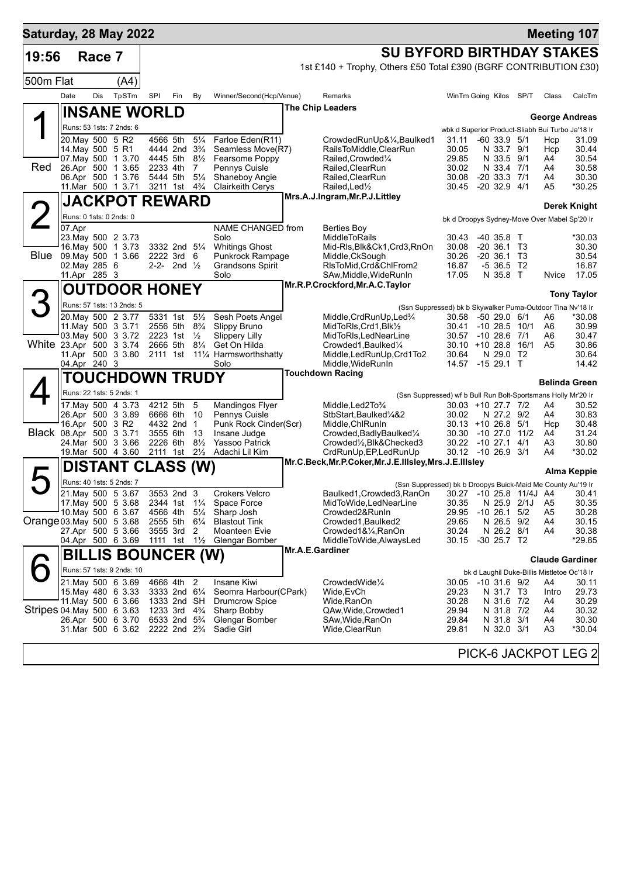| Saturday, 28 May 2022     |                                   |        |                                                |                                                                                  |                                        |                                  |                                             |                                                                                                                        |                |                                                  |      |                | <b>Meeting 107</b>     |
|---------------------------|-----------------------------------|--------|------------------------------------------------|----------------------------------------------------------------------------------|----------------------------------------|----------------------------------|---------------------------------------------|------------------------------------------------------------------------------------------------------------------------|----------------|--------------------------------------------------|------|----------------|------------------------|
| 19:56                     |                                   | Race 7 |                                                |                                                                                  |                                        |                                  |                                             | <b>SU BYFORD BIRTHDAY STAKES</b>                                                                                       |                |                                                  |      |                |                        |
|                           |                                   |        |                                                |                                                                                  |                                        |                                  |                                             | 1st £140 + Trophy, Others £50 Total £390 (BGRF CONTRIBUTION £30)                                                       |                |                                                  |      |                |                        |
| 500m Flat                 |                                   |        | (A4)                                           |                                                                                  |                                        |                                  |                                             |                                                                                                                        |                |                                                  |      |                |                        |
|                           | Date                              | Dis    | TpSTm                                          | SPI                                                                              | Fin                                    | By                               | Winner/Second(Hcp/Venue)                    | Remarks                                                                                                                |                | WinTm Going Kilos SP/T                           |      | Class          | CalcTm                 |
|                           |                                   |        | <b>INSANE WORLD</b>                            |                                                                                  |                                        |                                  |                                             | <b>The Chip Leaders</b>                                                                                                |                |                                                  |      |                |                        |
|                           |                                   |        | Runs: 53 1sts: 7 2nds: 6                       |                                                                                  |                                        |                                  |                                             |                                                                                                                        |                | wbk d Superior Product-Sliabh Bui Turbo Ja'18 Ir |      |                | <b>George Andreas</b>  |
|                           | 20. May 500 5 R2                  |        |                                                | 4566 5th                                                                         |                                        | $5\frac{1}{4}$                   | Farloe Eden(R11)                            | CrowdedRunUp&¼,Baulked1                                                                                                | 31.11          | $-60$ 33.9 $5/1$                                 |      | Hcp            | 31.09                  |
|                           | 14. May 500 5 R1                  |        | 07. May 500 1 3.70                             |                                                                                  | 4444 2nd 3 <sup>3</sup> / <sub>4</sub> |                                  | Seamless Move(R7)                           | RailsToMiddle, ClearRun                                                                                                | 30.05          | N 33.7 9/1                                       |      | Hcp            | 30.44                  |
| Red                       |                                   |        | 26.Apr 500 1 3.65                              | 4445 5th<br>2233 4th                                                             |                                        | $8\frac{1}{2}$<br>$\overline{7}$ | Fearsome Poppy<br>Pennys Cuisle             | Railed, Crowded <sup>1</sup> / <sub>4</sub><br>Railed, ClearRun                                                        | 29.85<br>30.02 | N 33.5 9/1<br>N 33.4 7/1                         |      | A4<br>A4       | 30.54<br>30.58         |
|                           |                                   |        | 06.Apr 500 1 3.76                              | 5444 5th                                                                         |                                        | $5\frac{1}{4}$                   | Shaneboy Angie                              | Railed, ClearRun                                                                                                       | 30.08          | $-20$ 33.3 $7/1$                                 |      | A4             | 30.30                  |
|                           |                                   |        | 11. Mar 500 1 3.71                             | 3211 1st                                                                         |                                        | $4\frac{3}{4}$                   | <b>Clairkeith Cerys</b>                     | Railed, Led <sup>1</sup> / <sub>2</sub><br>Mrs.A.J.Ingram, Mr.P.J.Littley                                              | 30.45          | $-20$ 32.9 $4/1$                                 |      | A5             | *30.25                 |
|                           |                                   |        | <b>JACKPOT REWARD</b>                          |                                                                                  |                                        |                                  |                                             |                                                                                                                        |                |                                                  |      |                | Derek Knight           |
|                           | Runs: 0 1sts: 0 2nds: 0<br>07.Apr |        |                                                |                                                                                  |                                        |                                  | NAME CHANGED from                           | Berties Boy                                                                                                            |                | bk d Droopys Sydney-Move Over Mabel Sp'20 Ir     |      |                |                        |
|                           |                                   |        | 23. May 500 2 3.73                             |                                                                                  |                                        |                                  | Solo                                        | <b>MiddleToRails</b>                                                                                                   | 30.43          | $-40$ 35.8 T                                     |      |                | *30.03                 |
| <b>Blue</b>               |                                   |        | 16. May 500 1 3.73                             |                                                                                  | 3332 2nd 5 <sup>1</sup> / <sub>4</sub> |                                  | <b>Whitings Ghost</b>                       | Mid-RIs, Blk&Ck1, Crd3, RnOn                                                                                           | 30.08          | $-20, 36.1, 73$                                  |      |                | 30.30                  |
|                           | 02. May 285 6                     |        | 09. May 500 1 3.66                             | 2222 3rd 6                                                                       | 2-2- 2nd $\frac{1}{2}$                 |                                  | Punkrock Rampage<br><b>Grandsons Spirit</b> | Middle, CkSough<br>RIsToMid, Crd&ChlFrom2                                                                              | 30.26<br>16.87 | $-20, 36.1, 73$<br>$-536.5$ T2                   |      |                | 30.54<br>16.87         |
|                           | 11.Apr 285 3                      |        |                                                |                                                                                  |                                        |                                  | Solo                                        | SAw, Middle, WideRunIn                                                                                                 | 17.05          | N 35.8 T                                         |      | Nvice          | 17.05                  |
|                           |                                   |        | <b>OUTDOOR HONEY</b>                           |                                                                                  |                                        |                                  |                                             | Mr.R.P.Crockford, Mr.A.C.Taylor                                                                                        |                |                                                  |      |                | <b>Tony Taylor</b>     |
|                           |                                   |        | Runs: 57 1sts: 13 2nds: 5                      |                                                                                  |                                        |                                  |                                             | (Ssn Suppressed) bk b Skywalker Puma-Outdoor Tina Nv'18 Ir                                                             |                |                                                  |      |                |                        |
|                           |                                   |        | 20. May 500 2 3.77                             |                                                                                  | 5331 1st                               | $5\frac{1}{2}$                   | Sesh Poets Angel                            | Middle, CrdRunUp, Led <sup>3</sup> /4                                                                                  | 30.58          | $-5029.06/1$                                     |      | A6             | *30.08                 |
|                           |                                   |        | 11 May 500 3 3 71<br>03. May 500 3 3.72        | 2556 5th<br>2223 1st                                                             |                                        | $8\frac{3}{4}$<br>$\frac{1}{2}$  | Slippy Bruno<br><b>Slippery Lilly</b>       | MidToRIs, Crd1, Blk1/2<br>MidToRIs, LedNearLine                                                                        | 30.41          | $-10$ 28.5 $10/1$<br>30.57 -10 28.6 7/1          |      | A6<br>A6       | 30.99<br>30.47         |
| White 23.Apr 500 3 3.74   |                                   |        |                                                | 2666 5th                                                                         |                                        | $8\frac{1}{4}$                   | Get On Hilda                                | Crowded1, Baulked1/4                                                                                                   |                | $30.10 + 1028.8$                                 | 16/1 | A <sub>5</sub> | 30.86                  |
|                           | 04.Apr 240 3                      |        | 11.Apr 500 3 3.80                              |                                                                                  |                                        |                                  | 2111 1st 111/4 Harmsworthshatty<br>Solo     | Middle, LedRunUp, Crd1To2<br>Middle, WideRunIn                                                                         | 30.64<br>14.57 | N 29.0 T2<br>$-1529.1$ T                         |      |                | 30.64<br>14.42         |
|                           |                                   |        | <b>TOUCHDOWN TRUDY</b>                         |                                                                                  |                                        |                                  |                                             | <b>Touchdown Racing</b>                                                                                                |                |                                                  |      |                |                        |
|                           |                                   |        | Runs: 22 1sts: 5 2nds: 1                       |                                                                                  |                                        |                                  |                                             | (Ssn Suppressed) wf b Bull Run Bolt-Sportsmans Holly Mr'20 Ir                                                          |                |                                                  |      |                | <b>Belinda Green</b>   |
|                           |                                   |        | 17. May 500 4 3.73                             | 4212 5th                                                                         |                                        | 5                                | Mandingos Flyer                             | Middle, Led 2To 3/4                                                                                                    |                | 30.03 +10 27.7 7/2                               |      | A4             | 30.52                  |
|                           | 16.Apr 500 3 R2                   |        | 26.Apr 500 3 3.89                              | 6666 6th                                                                         | 4432 2nd                               | 10<br>$\overline{1}$             | Pennys Cuisle<br>Punk Rock Cinder(Scr)      | StbStart, Baulked <sup>1</sup> / <sub>4</sub> &2                                                                       | 30.02          | N 27.2 9/2<br>$30.13 + 10.26.8$                  | 5/1  | A4             | 30.83<br>30.48         |
| Black 08.Apr 500 3 3.71   |                                   |        |                                                | 3555 6th                                                                         |                                        | 13                               | Insane Judge                                | Middle,ChlRunIn<br>Crowded, Badly Baulked <sup>1/4</sup>                                                               |                | 30.30 -10 27.0                                   | 11/2 | Hcp<br>A4      | 31.24                  |
|                           |                                   |        | 24. Mar 500 3 3.66<br>19. Mar 500 4 3.60       | 2226 6th<br>2111 1st                                                             |                                        | $8\frac{1}{2}$<br>$2\frac{1}{2}$ | Yassoo Patrick<br>Adachi Lil Kim            | Crowded1/ <sub>2</sub> , Blk&Checked3                                                                                  |                | 30.22 -10 27.1<br>30.12 -10 26.9 3/1             | 4/1  | A3<br>A4       | 30.80<br>*30.02        |
|                           |                                   |        |                                                |                                                                                  |                                        |                                  |                                             | CrdRunUp, EP, LedRunUp<br>Mr.C.Beck, Mr.P.Coker, Mr.J.E.IIIsley, Mrs.J.E.IIIsley                                       |                |                                                  |      |                |                        |
|                           |                                   |        | <b>DISTANT CLASS (W)</b>                       |                                                                                  |                                        |                                  |                                             |                                                                                                                        |                |                                                  |      |                | Alma Keppie            |
|                           |                                   |        | Runs: 40 1sts: 5 2nds: 7<br>21. May 500 5 3.67 | 3553 2nd 3                                                                       |                                        |                                  | <b>Crokers Velcro</b>                       | (Ssn Suppressed) bk b Droopys Buick-Maid Me County Au'19 Ir<br>Baulked1, Crowded3, RanOn 30.27 -10 25.8 11/4J A4 30.41 |                |                                                  |      |                |                        |
|                           |                                   |        | 17 May 500 5 3.68                              | 2344 1st 11/ <sub>4</sub>                                                        |                                        |                                  | Space Force                                 | MidToWide,LedNearLine                                                                                                  | 30.35          | N 25.9 2/1J                                      |      | A5             | 30.35                  |
| Orange 03. May 500 5 3.68 |                                   |        | 10. May 500 6 3.67                             | 4566 4th 51/4<br>2555 5th                                                        |                                        | $6\frac{1}{4}$                   | Sharp Josh<br><b>Blastout Tink</b>          | Crowded2&RunIn<br>Crowded1, Baulked2                                                                                   | 29.95<br>29.65 | $-10$ 26.1 5/2<br>N 26.5 9/2                     |      | A5<br>A4       | 30.28<br>30.15         |
|                           |                                   |        | 27.Apr 500 5 3.66                              | 3555 3rd                                                                         |                                        | 2                                | Moanteen Evie                               | Crowded1&¼,RanOn                                                                                                       | 30.24          | N 26.2 8/1                                       |      | A4             | 30.38                  |
|                           |                                   |        | 04.Apr 500 6 3.69                              | 1111 1st 1½                                                                      |                                        |                                  | Glengar Bomber                              | MiddleToWide, AlwaysLed                                                                                                | 30.15          | $-30$ 25.7 T2                                    |      |                | *29.85                 |
|                           |                                   |        | <b>BILLIS BOUNCER (W)</b>                      |                                                                                  |                                        |                                  |                                             | Mr.A.E.Gardiner                                                                                                        |                |                                                  |      |                | <b>Claude Gardiner</b> |
|                           |                                   |        | Runs: 57 1sts: 9 2nds: 10                      |                                                                                  |                                        |                                  |                                             |                                                                                                                        |                | bk d Laughil Duke-Billis Mistletoe Oc'18 Ir      |      |                |                        |
|                           |                                   |        | 21.May 500 6 3.69                              | 4666 4th 2<br>3333 2nd 61/4                                                      |                                        |                                  | Insane Kiwi<br>Seomra Harbour(CPark)        | CrowdedWide1/4                                                                                                         |                | 30.05 -10 31.6 9/2                               |      | A4             | 30.11                  |
|                           |                                   |        | 15. May 480 6 3.33<br>11. May 500 6 3.66       | 1333 2nd SH                                                                      |                                        |                                  | <b>Drumcrow Spice</b>                       | Wide,EvCh<br>Wide,RanOn                                                                                                | 29.23<br>30.28 | N 31.7 T3<br>N 31.6 7/2                          |      | Intro<br>A4    | 29.73<br>30.29         |
| Stripes 04 May 500 6 3.63 |                                   |        |                                                | 1233 3rd 4 <sup>3</sup> / <sub>4</sub>                                           |                                        |                                  | Sharp Bobby                                 | QAw, Wide, Crowded 1                                                                                                   | 29.94          | N 31.8 7/2                                       |      | A4             | 30.32                  |
|                           |                                   |        | 26.Apr 500 6 3.70<br>31.Mar 500 6 3.62         | 6533 2nd 5 <sup>3</sup> / <sub>4</sub><br>2222 2nd 2 <sup>3</sup> / <sub>4</sub> |                                        |                                  | Glengar Bomber<br>Sadie Girl                | SAw, Wide, RanOn<br>Wide, Clear Run                                                                                    | 29.84<br>29.81 | N 31.8 3/1<br>N 32.0 3/1                         |      | A4<br>A3       | 30.30<br>*30.04        |
|                           |                                   |        |                                                |                                                                                  |                                        |                                  |                                             |                                                                                                                        |                |                                                  |      |                |                        |
|                           |                                   |        |                                                |                                                                                  |                                        |                                  |                                             |                                                                                                                        |                | PICK-6 JACKPOT LEG 2                             |      |                |                        |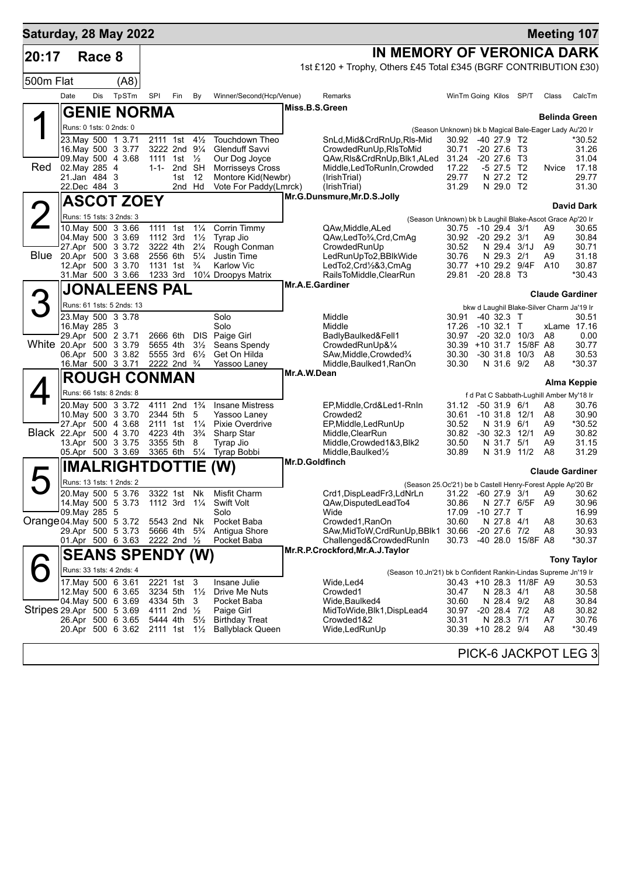| Saturday, 28 May 2022     |                                          |        |                                          |                      |                                                       |                                  |                                                  |                                                                                  |                         |                                |                   |                                           | <b>Meeting 107</b>   |
|---------------------------|------------------------------------------|--------|------------------------------------------|----------------------|-------------------------------------------------------|----------------------------------|--------------------------------------------------|----------------------------------------------------------------------------------|-------------------------|--------------------------------|-------------------|-------------------------------------------|----------------------|
| 20:17                     |                                          | Race 8 |                                          |                      |                                                       |                                  |                                                  | IN MEMORY OF VERONICA DARK                                                       |                         |                                |                   |                                           |                      |
|                           |                                          |        |                                          |                      |                                                       |                                  |                                                  | 1st £120 + Trophy, Others £45 Total £345 (BGRF CONTRIBUTION £30)                 |                         |                                |                   |                                           |                      |
| 500m Flat                 |                                          |        | (AB)                                     |                      |                                                       |                                  |                                                  |                                                                                  |                         |                                |                   |                                           |                      |
|                           | Date                                     | Dis    | TpSTm                                    | <b>SPI</b>           | Fin                                                   | By                               | Winner/Second(Hcp/Venue)                         | Remarks                                                                          | WinTm Going Kilos       |                                | SP/T              | Class                                     | CalcTm               |
|                           |                                          |        | <b>GENIE NORMA</b>                       |                      |                                                       |                                  |                                                  | Miss.B.S.Green                                                                   |                         |                                |                   | <b>Belinda Green</b>                      |                      |
|                           | Runs: 0 1sts: 0 2nds: 0                  |        |                                          |                      |                                                       |                                  |                                                  | (Season Unknown) bk b Magical Bale-Eager Lady Au'20 Ir                           |                         |                                |                   |                                           |                      |
|                           | 23. May 500 1 3.71                       |        |                                          | 2111 1st             |                                                       | $4\frac{1}{2}$                   | Touchdown Theo                                   | SnLd,Mid&CrdRnUp,RIs-Mid                                                         | 30.92                   | $-40$ 27.9 T <sub>2</sub>      |                   |                                           | *30.52               |
|                           | 16. May 500 3 3.77<br>09. May 500 4 3.68 |        |                                          | 1111                 | 3222 2nd 91/4<br>1st $\frac{1}{2}$                    |                                  | Glenduff Savvi<br>Our Dog Joyce                  | CrowdedRunUp, RIsToMid<br>QAw,Rls&CrdRnUp,Blk1,ALed                              | 30.71<br>31.24          | $-20$ 27.6<br>$-20$ 27.6       | - ТЗ<br>- ТЗ      |                                           | 31.26<br>31.04       |
| Red                       | 02. May 285 4                            |        |                                          | $1 - 1 -$            | 2nd SH                                                |                                  | <b>Morrisseys Cross</b>                          | Middle, Led To Run In, Crowded                                                   | 17.22                   | $-5$ 27.5                      | T2                | Nvice                                     | 17.18                |
|                           | 21.Jan 484 3<br>22.Dec 484 3             |        |                                          |                      | 1st<br>2nd Hd                                         | 12                               | Montore Kid(Newbr)<br>Vote For Paddy(Lmrck)      | (IrishTrial)<br>(IrishTrial)                                                     | 29.77<br>31.29          | N 27.2 T2<br>N 29.0 T2         |                   |                                           | 29.77<br>31.30       |
|                           |                                          |        | <b>ASCOT ZOEY</b>                        |                      |                                                       |                                  |                                                  | Mr.G.Dunsmure, Mr.D.S.Jolly                                                      |                         |                                |                   |                                           |                      |
|                           | Runs: 15 1sts: 3 2nds: 3                 |        |                                          |                      |                                                       |                                  |                                                  |                                                                                  |                         |                                |                   |                                           | <b>David Dark</b>    |
|                           | 10. May 500 3 3.66                       |        |                                          | 1111 1st             |                                                       | $1\frac{1}{4}$                   | Corrin Timmy                                     | (Season Unknown) bk b Laughil Blake-Ascot Grace Ap'20 Ir<br>QAw, Middle, ALed    | 30.75                   | $-10$ 29.4 $3/1$               |                   | A9                                        | 30.65                |
|                           | 04. May 500 3 3.69                       |        |                                          | 1112 3rd             |                                                       | $1\frac{1}{2}$                   | Tyrap Jio                                        | QAw,LedTo¾,Crd,CmAg                                                              | 30.92                   | $-20$ 29.2 $3/1$               |                   | A9                                        | 30.84                |
| Blue                      | 20.Apr 500 3 3.68                        |        | 27.Apr 500 3 3.72                        | 3222 4th<br>2556 6th |                                                       | $2\frac{1}{4}$<br>$5\frac{1}{4}$ | Rough Conman<br>Justin Time                      | CrowdedRunUp<br>LedRunUpTo2,BBlkWide                                             | 30.52<br>30.76          | N 29.4 3/1J<br>N 29.3          | 2/1               | A9<br>A9                                  | 30.71<br>31.18       |
|                           | 12.Apr 500 3 3.70                        |        |                                          | 1131 1st             |                                                       | $\frac{3}{4}$                    | Karlow Vic                                       | LedTo2,Crd1/2&3,CmAg                                                             | 30.77 +10 29.2 9/4F     |                                |                   | A10                                       | 30.87                |
|                           | 31.Mar 500 3 3.66                        |        |                                          | 1233 3rd             |                                                       |                                  | 10% Droopys Matrix                               | RailsToMiddle,ClearRun                                                           | 29.81                   | $-20$ 28.8 T <sub>3</sub>      |                   |                                           | *30.43               |
|                           |                                          |        | <b>JONALEENS PAL</b>                     |                      |                                                       |                                  |                                                  | Mr.A.E.Gardiner                                                                  |                         |                                |                   | <b>Claude Gardiner</b>                    |                      |
|                           |                                          |        | Runs: 61 1sts: 5 2nds: 13                |                      |                                                       |                                  |                                                  |                                                                                  |                         |                                |                   | bkw d Laughil Blake-Silver Charm Ja'19 Ir |                      |
|                           | 23. May 500 3 3.78<br>16. May 285 3      |        |                                          |                      |                                                       |                                  | Solo<br>Solo                                     | Middle<br>Middle                                                                 | 30.91<br>17.26          | $-40$ 32.3 T<br>$-10$ 32.1 T   |                   |                                           | 30.51<br>xLame 17.16 |
|                           | 29.Apr 500 2 3.71                        |        |                                          | 2666 6th             |                                                       | DIS.                             | Paige Girl                                       | BadlyBaulked&Fell1                                                               | 30.97                   |                                | $-20$ 32.0 10/3   | A8                                        | 0.00                 |
| White 20.Apr 500 3 3.79   |                                          |        |                                          | 5655 4th             |                                                       | $3\frac{1}{2}$                   | Seans Spendy                                     | CrowdedRunUp&1/4                                                                 | 30.39                   | +10 31.7                       | 15/8F A8          |                                           | 30.77                |
|                           | 16.Mar 500 3 3.71                        |        | 06.Apr 500 3 3.82                        | 5555 3rd             | 2222 2nd <sup>3</sup> / <sub>4</sub>                  | $6\frac{1}{2}$                   | Get On Hilda<br>Yassoo Laney                     | SAw, Middle, Crowded 3/4<br>Middle, Baulked1, RanOn                              | 30.30<br>30.30          | $-30$ 31.8 10/3<br>N 31.6 9/2  |                   | A8<br>A8                                  | 30.53<br>*30.37      |
|                           |                                          |        | <b>ROUGH CONMAN</b>                      |                      |                                                       |                                  |                                                  | Mr.A.W.Dean                                                                      |                         |                                |                   |                                           |                      |
|                           |                                          |        | Runs: 66 1sts: 8 2nds: 8                 |                      |                                                       |                                  |                                                  |                                                                                  |                         |                                |                   | f d Pat C Sabbath-Lughill Amber My'18 Ir  | Alma Keppie          |
|                           | 20. May 500 3 3.72                       |        |                                          |                      | 4111 2nd 1 <sup>3</sup> / <sub>4</sub>                |                                  | <b>Insane Mistress</b>                           | EP, Middle, Crd&Led1-RnIn                                                        | 31.12                   | -50 31.9 6/1                   |                   | A8                                        | 30.76                |
|                           | 27.Apr 500 4 3.68                        |        | 10. May 500 3 3.70                       | 2344 5th             |                                                       | 5<br>$1\frac{1}{4}$              | Yassoo Laney<br><b>Pixie Overdrive</b>           | Crowded <sub>2</sub>                                                             | 30.61                   | $-10$ 31.8 12/1                |                   | A8<br>A9                                  | 30.90<br>*30.52      |
| Black 22.Apr 500 4 3.70   |                                          |        |                                          | 2111 1st<br>4223 4th |                                                       | $3\frac{3}{4}$                   | Sharp Star                                       | EP, Middle, LedRunUp<br>Middle, ClearRun                                         | 30.52<br>30.82          | N 31.9 6/1<br>$-30$ 32.3 12/1  |                   | A9                                        | 30.82                |
|                           | 13.Apr 500 3 3.75                        |        |                                          | 3355 5th             |                                                       | 8                                | Tyrap Jio                                        | Middle, Crowded 1&3, Blk2                                                        | 30.50                   | N 31.7                         | 5/1               | A9                                        | 31.15                |
|                           | 05.Apr 500 3 3.69                        |        |                                          |                      | 3365 6th                                              | $5\frac{1}{4}$                   | Tyrap Bobbi                                      | Middle, Baulked <sup>1</sup> / <sub>2</sub><br>Mr.D.Goldfinch                    | 30.89                   | N 31.9                         | 11/2              | A8                                        | 31.29                |
|                           |                                          |        | <b>IMALRIGHTDOTTIE</b>                   |                      |                                                       |                                  | (W)                                              |                                                                                  |                         |                                |                   | <b>Claude Gardiner</b>                    |                      |
|                           |                                          |        | Runs: 13 1sts: 1 2nds: 2                 | 3322 1st Nk          |                                                       |                                  | Misfit Charm                                     | (Season 25.Oc'21) be b Castell Henry-Forest Apple Ap'20 Br                       |                         |                                |                   |                                           |                      |
|                           |                                          |        | 20. May 500 5 3.76                       |                      |                                                       |                                  | 14. May 500 5 3.73 1112 3rd 11/4 Swift Volt      | Crd1, DispLeadFr3, LdNrLn 31.22 -60 27.9 3/1 A9 30.62<br>QAw, Disputed Lead To 4 | 30.86                   |                                | N 27.7 6/5F       | A9                                        | 30.96                |
|                           | 09. May 285 5                            |        |                                          |                      |                                                       |                                  | Solo                                             | Wide                                                                             | 17.09                   | $-10$ 27.7 T                   |                   |                                           | 16.99                |
| Orange 04. May 500 5 3.72 |                                          |        | 29.Apr 500 5 3.73                        |                      | 5543 2nd Nk<br>5666 4th 5 <sup>3</sup> / <sub>4</sub> |                                  | Pocket Baba<br>Antigua Shore                     | Crowded1, RanOn<br>SAw,MidToW,CrdRunUp,BBlk1                                     | 30.60<br>30.66          | N 27.8 4/1<br>$-20$ 27.6 $7/2$ |                   | A8<br>A8                                  | 30.63<br>30.93       |
|                           |                                          |        | 01.Apr 500 6 3.63 2222 2nd 1/2           |                      |                                                       |                                  | Pocket Baba                                      | Challenged&CrowdedRunIn                                                          | 30.73                   |                                | -40 28.0 15/8F A8 |                                           | *30.37               |
|                           |                                          |        | <b>SEANS SPENDY (W)</b>                  |                      |                                                       |                                  |                                                  | Mr.R.P.Crockford, Mr.A.J.Taylor                                                  |                         |                                |                   |                                           | <b>Tony Taylor</b>   |
|                           |                                          |        | Runs: 33 1sts: 4 2nds: 4                 |                      |                                                       |                                  |                                                  | (Season 10.Jn'21) bk b Confident Rankin-Lindas Supreme Jn'19 Ir                  |                         |                                |                   |                                           |                      |
|                           |                                          |        | 17 May 500 6 3.61                        |                      | 2221 1st 3                                            |                                  | Insane Julie                                     | Wide,Led4                                                                        | 30.43 +10 28.3 11/8F A9 |                                |                   |                                           | 30.53                |
|                           |                                          |        | 12. May 500 6 3.65<br>04. May 500 6 3.69 | 4334 5th             | 3234 5th $1\frac{1}{2}$                               | 3                                | Drive Me Nuts<br>Pocket Baba                     | Crowded1<br>Wide, Baulked4                                                       | 30.47<br>30.60          | N 28.3 4/1<br>N 28.4 9/2       |                   | A8<br>A8                                  | 30.58<br>30.84       |
| Stripes 29 Apr 500 5 3 69 |                                          |        |                                          | 4111 2nd ½           |                                                       |                                  | Paige Girl                                       | MidToWide, Blk1, DispLead4                                                       | 30.97                   | -20 28.4 7/2                   |                   | A8                                        | 30.82                |
|                           |                                          |        | 26.Apr 500 6 3.65                        | 5444 4th             |                                                       | $5\frac{1}{2}$                   | <b>Birthday Treat</b>                            | Crowded1&2                                                                       | 30.31                   | N 28.3 7/1                     |                   | A7                                        | 30.76                |
|                           |                                          |        |                                          |                      |                                                       |                                  | 20.Apr 500 6 3.62 2111 1st 11/2 Ballyblack Queen | Wide, Led Run Up                                                                 | 30.39 +10 28.2 9/4      |                                |                   | A8                                        | *30.49               |
|                           |                                          |        |                                          |                      |                                                       |                                  |                                                  |                                                                                  |                         |                                |                   |                                           | PICK-6 JACKPOT LEG 3 |
|                           |                                          |        |                                          |                      |                                                       |                                  |                                                  |                                                                                  |                         |                                |                   |                                           |                      |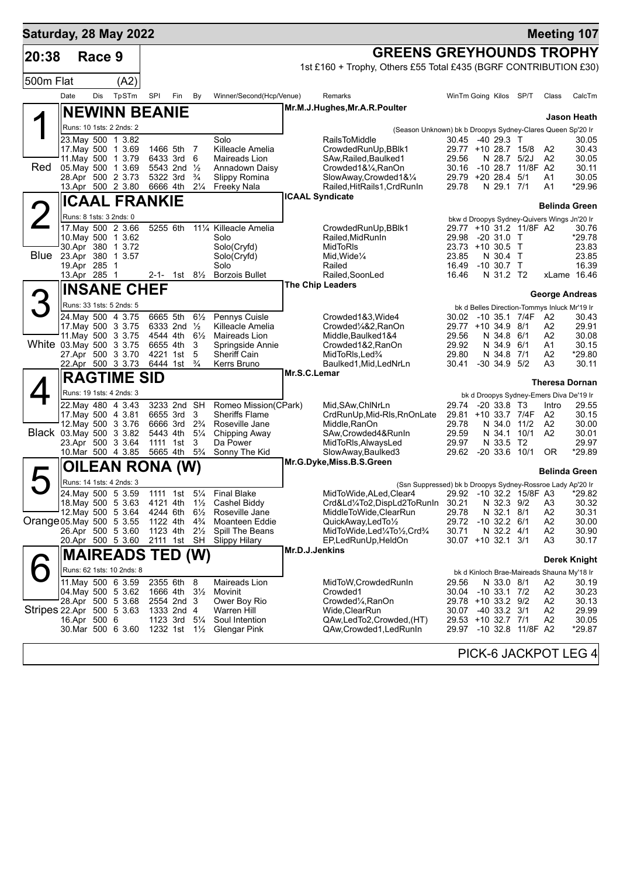| Saturday, 28 May 2022     |                         |        |                                                |                      |                                                    |                                  |                                               |                |                                                                                       |                                          |                                |                         |                                              | <b>Meeting 107</b>    |
|---------------------------|-------------------------|--------|------------------------------------------------|----------------------|----------------------------------------------------|----------------------------------|-----------------------------------------------|----------------|---------------------------------------------------------------------------------------|------------------------------------------|--------------------------------|-------------------------|----------------------------------------------|-----------------------|
| 20:38                     |                         | Race 9 |                                                |                      |                                                    |                                  |                                               |                | <b>GREENS GREYHOUNDS TROPHY</b>                                                       |                                          |                                |                         |                                              |                       |
|                           |                         |        |                                                |                      |                                                    |                                  |                                               |                | 1st £160 + Trophy, Others £55 Total £435 (BGRF CONTRIBUTION £30)                      |                                          |                                |                         |                                              |                       |
| 500m Flat                 |                         |        | (A2)                                           |                      |                                                    |                                  |                                               |                |                                                                                       |                                          |                                |                         |                                              |                       |
|                           | Date                    | Dis    | TpSTm                                          | SPI                  | Fin                                                | By                               | Winner/Second(Hcp/Venue)                      |                | Remarks                                                                               | WinTm Going Kilos SP/T                   |                                |                         | Class                                        | CalcTm                |
|                           |                         |        | <b>NEWINN BEANIE</b>                           |                      |                                                    |                                  |                                               |                | Mr.M.J.Hughes, Mr.A.R.Poulter                                                         |                                          |                                |                         |                                              | Jason Heath           |
|                           |                         |        | Runs: 10 1sts: 2 2nds: 2                       |                      |                                                    |                                  |                                               |                | (Season Unknown) bk b Droopys Sydney-Clares Queen Sp'20 Ir                            |                                          |                                |                         |                                              |                       |
|                           |                         |        | 23. May 500 1 3.82                             |                      |                                                    |                                  | Solo                                          |                | <b>RailsToMiddle</b>                                                                  | 30.45                                    | -40 29.3 T                     |                         |                                              | 30.05                 |
|                           |                         |        | 17. May 500 1 3.69<br>11. May 500 1 3.79       | 1466 5th             | 6433 3rd 6                                         | 7                                | Killeacle Amelia<br>Maireads Lion             |                | CrowdedRunUp, BBlk1<br>SAw, Railed, Baulked1                                          | 29.77 +10 28.7 15/8<br>29.56             | N 28.7                         | 5/2J                    | A2<br>A2                                     | 30.43<br>30.05        |
| <b>Red</b>                |                         |        | 05. May 500 1 3.69                             |                      | 5543 2nd 1/2                                       |                                  | Annadown Daisy                                |                | Crowded1&1/4, RanOn                                                                   | 30.16                                    |                                | -10 28.7 11/8F A2       |                                              | 30.11                 |
|                           |                         |        | 28.Apr 500 2 3.73<br>13.Apr 500 2 3.80         | 5322 3rd<br>6666 4th |                                                    | $\frac{3}{4}$<br>$2\frac{1}{4}$  | Slippy Romina<br>Freeky Nala                  |                | SlowAway,Crowded1&1/4<br>Railed, HitRails1, CrdRunIn                                  | 29.79 +20 28.4 5/1<br>29.78              | N 29.1 7/1                     |                         | A1<br>A1                                     | 30.05<br>*29.96       |
|                           |                         |        | <b>ICAAL FRANKIE</b>                           |                      |                                                    |                                  |                                               |                | <b>ICAAL Syndicate</b>                                                                |                                          |                                |                         |                                              |                       |
|                           |                         |        |                                                |                      |                                                    |                                  |                                               |                |                                                                                       |                                          |                                |                         |                                              | <b>Belinda Green</b>  |
|                           | Runs: 8 1sts: 3 2nds: 0 |        | 17. May 500 2 3.66                             | 5255 6th             |                                                    |                                  | 111/4 Killeacle Amelia                        |                | CrowdedRunUp, BBlk1                                                                   |                                          |                                | 29.77 +10 31.2 11/8F A2 | bkw d Droopys Sydney-Quivers Wings Jn'20 Ir  | 30.76                 |
|                           |                         |        | 10. May 500 1 3.62                             |                      |                                                    |                                  | Solo                                          |                | Railed, MidRunIn                                                                      | 29.98                                    | $-20$ 31.0 T                   |                         |                                              | *29.78                |
| Blue 23.Apr 380 1 3.57    |                         |        | 30.Apr 380 1 3.72                              |                      |                                                    |                                  | Solo(Cryfd)<br>Solo(Cryfd)                    |                | MidToRIs<br>Mid, Wide $\frac{1}{4}$                                                   | 23.73 +10 30.5 T<br>23.85                | N 30.4 T                       |                         |                                              | 23.83<br>23.85        |
|                           | 19.Apr 285 1            |        |                                                |                      |                                                    |                                  | Solo                                          |                | Railed                                                                                | 16.49                                    | $-10$ 30.7 T                   |                         |                                              | 16.39                 |
|                           | 13.Apr 285 1            |        |                                                |                      |                                                    | 2-1- 1st $8\frac{1}{2}$          | <b>Borzois Bullet</b>                         |                | Railed, SoonLed<br>The Chip Leaders                                                   | 16.46                                    | N 31.2 T2                      |                         |                                              | xLame 16.46           |
|                           |                         |        | <b>INSANE CHEF</b>                             |                      |                                                    |                                  |                                               |                |                                                                                       |                                          |                                |                         |                                              | <b>George Andreas</b> |
| 3                         |                         |        | Runs: 33 1sts: 5 2nds: 5                       |                      |                                                    |                                  |                                               |                |                                                                                       |                                          |                                |                         | bk d Belles Direction-Tommys Inluck Mr'19 Ir |                       |
|                           |                         |        | 24. May 500 4 3.75<br>17 May 500 3 3.75        | 6665 5th             | 6333 2nd 1/2                                       | $6\frac{1}{2}$                   | Pennys Cuisle<br>Killeacle Amelia             |                | Crowded1&3, Wide4<br>Crowded1/4&2, RanOn                                              | 30.02<br>29.77 +10 34.9 8/1              |                                | -10 35.1 7/4F           | A2<br>A2                                     | 30.43<br>29.91        |
|                           |                         |        | 11. May 500 3 3.75                             | 4544 4th             |                                                    | $6\frac{1}{2}$                   | Maireads Lion                                 |                | Middle, Baulked 1&4                                                                   | 29.56                                    | N 34.8 6/1                     |                         | A2                                           | 30.08                 |
| White 03. May 500 3 3.75  |                         |        |                                                | 6655 4th             |                                                    | 3                                | Springside Annie                              |                | Crowded1&2, RanOn                                                                     | 29.92                                    | N 34.9 6/1                     |                         | A1                                           | 30.15                 |
|                           |                         |        | 27.Apr 500 3 3.70<br>22.Apr 500 3 3.73         |                      | 4221 1st<br>6444 1st                               | 5<br>$\frac{3}{4}$               | Sheriff Cain<br>Kerrs Bruno                   |                | MidToRIs, Led%<br>Baulked1, Mid, LedNrLn                                              | 29.80<br>30.41                           | N 34.8 7/1<br>$-30$ 34.9 $5/2$ |                         | A2<br>A3                                     | *29.80<br>30.11       |
|                           |                         |        | <b>RAGTIME SID</b>                             |                      |                                                    |                                  |                                               | Mr.S.C.Lemar   |                                                                                       |                                          |                                |                         |                                              |                       |
|                           |                         |        | Runs: 19 1sts: 4 2nds: 3                       |                      |                                                    |                                  |                                               |                |                                                                                       |                                          |                                |                         | bk d Droopys Sydney-Emers Diva De'19 Ir      | <b>Theresa Dornan</b> |
|                           |                         |        | 22.May 480 4 3.43                              |                      | 3233 2nd SH                                        |                                  | Romeo Mission(CPark)                          |                | Mid, SAw, ChlNrLn                                                                     | 29.74                                    | $-20, 33.8, 13$                |                         | Intro                                        | 29.55                 |
|                           |                         |        | 17 May 500 4 3.81<br>12. May 500 3 3.76        |                      | 6655 3rd<br>6666 3rd 2 <sup>3</sup> / <sub>4</sub> | 3                                | <b>Sheriffs Flame</b><br>Roseville Jane       |                | CrdRunUp, Mid-RIs, RnOnLate<br>Middle, RanOn                                          | 29.81 +10 33.7 7/4F<br>29.78             |                                | N 34.0 11/2             | A2<br>A <sub>2</sub>                         | 30.15<br>30.00        |
| Black 03. May 500 3 3.82  |                         |        |                                                | 5443 4th             |                                                    | $5\frac{1}{4}$                   | Chipping Away                                 |                | SAw, Crowded 4& RunIn                                                                 | 29.59                                    | N 34.1                         | 10/1                    | A2                                           | 30.01                 |
|                           |                         |        | 23.Apr 500 3 3.64                              |                      | 1111 1st                                           | 3<br>$5\frac{3}{4}$              | Da Power                                      |                | MidToRIs, AlwaysLed                                                                   | 29.97<br>29.62                           | N 33.5 T2                      |                         |                                              | 29.97<br>*29.89       |
|                           |                         |        | 10.Mar 500 4 3.85                              | 5665 4th             |                                                    |                                  | Sonny The Kid                                 |                | SlowAway, Baulked3<br>Mr.G.Dyke, Miss.B.S.Green                                       |                                          | $-20, 33.6, 10/1$              |                         | 0R                                           |                       |
|                           |                         |        | OILEAN RONA (W)                                |                      |                                                    |                                  |                                               |                |                                                                                       |                                          |                                |                         |                                              | <b>Belinda Green</b>  |
|                           |                         |        | Runs: 14 1sts: 4 2nds: 3<br>24. May 500 5 3.59 |                      | 1111 1st                                           | $5\frac{1}{4}$                   | <b>Final Blake</b>                            |                | (Ssn Suppressed) bk b Droopys Sydney-Rossroe Lady Ap'20 Ir<br>MidToWide, ALed, Clear4 |                                          |                                | 29.92 -10 32.2 15/8F A3 |                                              | *29.82                |
|                           |                         |        |                                                |                      |                                                    |                                  | 18. May 500 5 3.63 4121 4th 11/2 Cashel Biddy |                | Crd&Ld1/4To2,DispLd2ToRunIn                                                           | 30.21                                    | N 32.3 9/2                     |                         | A3                                           | 30.32                 |
|                           |                         |        | 12. May 500 5 3.64                             | 4244 6th             |                                                    | $6\frac{1}{2}$                   | Roseville Jane                                |                | MiddleToWide,ClearRun                                                                 | 29.78                                    | N 32.1 8/1                     |                         | A2                                           | 30.31                 |
| Orange 05 May 500 5 3.55  |                         |        | 26.Apr 500 5 3.60                              | 1122 4th<br>1123 4th |                                                    | $4\frac{3}{4}$<br>$2\frac{1}{2}$ | <b>Moanteen Eddie</b><br>Spill The Beans      |                | QuickAway,LedTo1/2<br>MidToWide,Led¼To½,Crd¾                                          | 29.72<br>30.71                           | $-10$ 32.2 $6/1$<br>N 32.2 4/1 |                         | A2<br>A2                                     | 30.00<br>30.90        |
|                           |                         |        | 20.Apr 500 5 3.60                              |                      |                                                    | 2111 1st SH                      | Slippy Hilary                                 |                | EP,LedRunUp,HeldOn                                                                    | 30.07 +10 32.1 3/1                       |                                |                         | A3                                           | 30.17                 |
|                           |                         |        | <b>MAIREADS TED (W)</b>                        |                      |                                                    |                                  |                                               | Mr.D.J.Jenkins |                                                                                       |                                          |                                |                         |                                              | <b>Derek Knight</b>   |
|                           |                         |        | Runs: 62 1sts: 10 2nds: 8                      |                      |                                                    |                                  |                                               |                |                                                                                       |                                          |                                |                         | bk d Kinloch Brae-Maireads Shauna My'18 Ir   |                       |
|                           |                         |        | 11. May 500 6 3.59                             | 2355 6th             |                                                    | 8                                | Maireads Lion                                 |                | MidToW, Crowded Run In                                                                | 29.56                                    | N 33.0 8/1                     |                         | A2                                           | 30.19                 |
|                           |                         |        | 04. May 500 5 3.62<br>28.Apr 500 5 3.68        |                      | 1666 4th<br>2554 2nd 3                             | $3\frac{1}{2}$                   | Movinit<br>Ower Boy Rio                       |                | Crowded1<br>Crowded <sup>1</sup> / <sub>4</sub> , RanOn                               | 30.04 -10 33.1 7/2<br>29.78 +10 33.2 9/2 |                                |                         | A2<br>A2                                     | 30.23<br>30.13        |
| Stripes 22.Apr 500 5 3.63 |                         |        |                                                |                      | 1333 2nd 4                                         |                                  | Warren Hill                                   |                | Wide,ClearRun                                                                         | 30.07                                    | $-40$ 33.2 $3/1$               |                         | A2                                           | 29.99                 |
|                           | 16.Apr 500 6            |        | 30.Mar 500 6 3.60                              |                      | 1123 3rd 51/4<br>1232 1st $1\frac{1}{2}$           |                                  | Soul Intention<br>Glengar Pink                |                | QAw,LedTo2,Crowded,(HT)<br>QAw,Crowded1,LedRunIn                                      | 29.53 +10 32.7 7/1                       |                                | 29.97 -10 32.8 11/8F A2 | A2                                           | 30.05<br>*29.87       |
|                           |                         |        |                                                |                      |                                                    |                                  |                                               |                |                                                                                       |                                          |                                |                         |                                              |                       |
|                           |                         |        |                                                |                      |                                                    |                                  |                                               |                |                                                                                       |                                          |                                |                         |                                              | PICK-6 JACKPOT LEG 4  |
|                           |                         |        |                                                |                      |                                                    |                                  |                                               |                |                                                                                       |                                          |                                |                         |                                              |                       |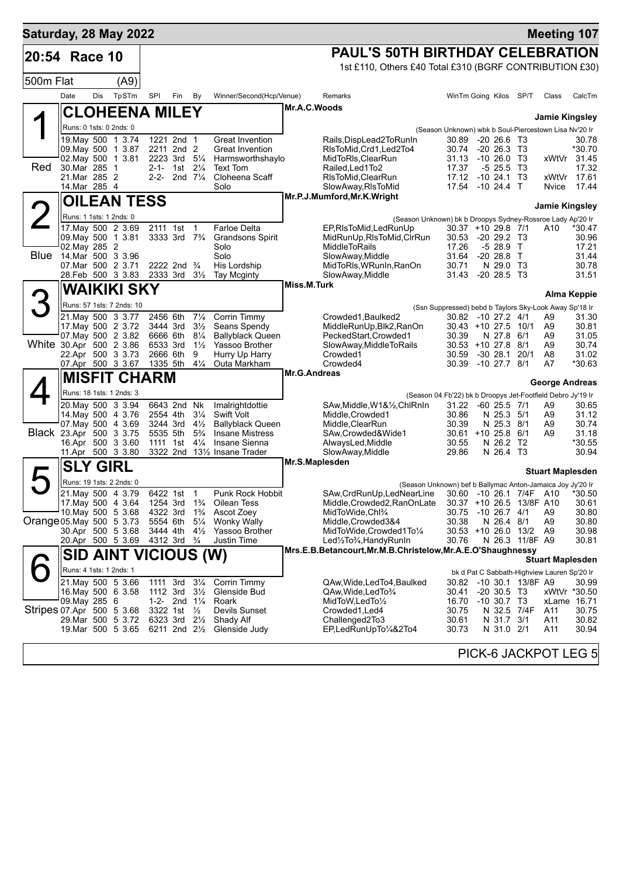| Saturday, 28 May 2022     |                                     |     |                                                |                                        |                                                    |                                  |                                                   |                |                                                                                               |                                                                              |             |                                  |                         | <b>Meeting 107</b>                          |                             |
|---------------------------|-------------------------------------|-----|------------------------------------------------|----------------------------------------|----------------------------------------------------|----------------------------------|---------------------------------------------------|----------------|-----------------------------------------------------------------------------------------------|------------------------------------------------------------------------------|-------------|----------------------------------|-------------------------|---------------------------------------------|-----------------------------|
| 20:54 Race 10             |                                     |     |                                                |                                        |                                                    |                                  |                                                   |                | <b>PAUL'S 50TH BIRTHDAY CELEBRATION</b>                                                       |                                                                              |             |                                  |                         |                                             |                             |
|                           |                                     |     |                                                |                                        |                                                    |                                  |                                                   |                | 1st £110, Others £40 Total £310 (BGRF CONTRIBUTION £30)                                       |                                                                              |             |                                  |                         |                                             |                             |
| 500m Flat                 |                                     |     | (A9)                                           |                                        |                                                    |                                  |                                                   |                |                                                                                               |                                                                              |             |                                  |                         |                                             |                             |
|                           | Date                                | Dis | TpSTm                                          | SPI                                    | Fin                                                | By                               | Winner/Second(Hcp/Venue)                          |                | Remarks                                                                                       | WinTm Going Kilos SP/T                                                       |             |                                  |                         | Class                                       | CalcTm                      |
|                           |                                     |     | <b>CLOHEENA MILEY</b>                          |                                        |                                                    |                                  |                                                   | Mr.A.C.Woods   |                                                                                               |                                                                              |             |                                  |                         | <b>Jamie Kingsley</b>                       |                             |
|                           | Runs: 0 1sts: 0 2nds: 0             |     |                                                |                                        |                                                    |                                  |                                                   |                |                                                                                               | (Season Unknown) wbk b Soul-Piercestown Lisa Nv'20 Ir                        |             |                                  |                         |                                             |                             |
|                           |                                     |     | 19 May 500 1 3.74                              |                                        | 1221 2nd 1                                         |                                  | <b>Great Invention</b><br><b>Great Invention</b>  |                | Rails, DispLead2ToRunIn<br>RIsToMid, Crd1, Led2To4                                            | 30.89<br>30.74                                                               |             | $-20, 26.6$ T3                   |                         |                                             | 30.78<br>*30.70             |
|                           |                                     |     | 09. May 500 1 3.87<br>02. May 500 1 3.81       |                                        | 2211 2nd 2<br>2223 3rd                             | $5\frac{1}{4}$                   | Harmsworthshaylo                                  |                | MidToRIs, ClearRun                                                                            | 31.13                                                                        |             | $-20, 26.3, 73$<br>$-1026.0$ T3  |                         |                                             | xWtVr 31.45                 |
| Red                       | 30.Mar 285 1<br>21.Mar 285 2        |     |                                                |                                        | 2-1- 1st $2\frac{1}{4}$<br>2-2- 2nd $7\frac{1}{4}$ |                                  | <b>Text Tom</b><br>Cloheena Scaff                 |                | Railed, Led 1To 2                                                                             | 17.37<br>17.12                                                               |             | $-5$ 25.5<br>$-10, 24.1, 13$     | T3                      | xWtVr                                       | 17.32<br>17.61              |
|                           | 14. Mar 285 4                       |     |                                                |                                        |                                                    |                                  | Solo                                              |                | RIsToMid, ClearRun<br>SlowAway, RIsToMid                                                      | 17.54                                                                        | $-1024.4$ T |                                  |                         | Nvice                                       | 17.44                       |
|                           |                                     |     | <b>OILEAN TESS</b>                             |                                        |                                                    |                                  |                                                   |                | Mr.P.J.Mumford, Mr.K. Wright                                                                  |                                                                              |             |                                  |                         |                                             |                             |
|                           | Runs: 1 1sts: 1 2nds: 0             |     |                                                |                                        |                                                    |                                  |                                                   |                | (Season Unknown) bk b Droopys Sydney-Rossroe Lady Ap'20 Ir                                    |                                                                              |             |                                  |                         | <b>Jamie Kingsley</b>                       |                             |
|                           |                                     |     | 17. May 500 2 3.69                             | 2111 1st                               |                                                    | $\overline{1}$                   | <b>Farloe Delta</b>                               |                | EP, RIsToMid, Led RunUp                                                                       | 30.37 +10 29.8 7/1                                                           |             |                                  |                         | A10                                         | *30.47                      |
|                           | 09. May 500 1 3.81<br>02. May 285 2 |     |                                                |                                        | 3333 3rd 7 <sup>3</sup> / <sub>4</sub>             |                                  | Grandsons Spirit<br>Solo                          |                | MidRunUp, RIsToMid, CIrRun<br><b>MiddleToRails</b>                                            | 30.53<br>17.26                                                               |             | $-2029.2$ T3<br>$-528.9$         | $\top$                  |                                             | 30.96<br>17.21              |
| Blue                      | 14.Mar 500 3 3.96                   |     |                                                |                                        |                                                    |                                  | Solo                                              |                | SlowAway, Middle                                                                              | 31.64                                                                        | $-20$ 28.8  |                                  | $\top$                  |                                             | 31.44                       |
|                           | 07. Mar 500 2 3.71                  |     | 28.Feb 500 3 3.83                              | 2333 3rd                               | 2222 2nd $\frac{3}{4}$                             | $3\frac{1}{2}$                   | His Lordship<br><b>Tay Mcginty</b>                |                | MidToRIs, WRunIn, RanOn<br>SlowAway, Middle                                                   | 30.71<br>31.43                                                               |             | N 29.0 T3<br>$-20$ 28.5 T3       |                         |                                             | 30.78<br>31.51              |
|                           |                                     |     | WAIKIKI SKY                                    |                                        |                                                    |                                  |                                                   | Miss.M.Turk    |                                                                                               |                                                                              |             |                                  |                         |                                             |                             |
|                           |                                     |     |                                                |                                        |                                                    |                                  |                                                   |                |                                                                                               |                                                                              |             |                                  |                         |                                             | Alma Keppie                 |
|                           |                                     |     | Runs: 57 1sts: 7 2nds: 10<br>21 May 500 3 3.77 | 2456 6th                               |                                                    | $7\frac{1}{4}$                   | Corrin Timmy                                      |                | Crowded1, Baulked2                                                                            | (Ssn Suppressed) bebd b Taylors Sky-Look Away Sp'18 Ir<br>30.82 -10 27.2 4/1 |             |                                  |                         | A9                                          | 31.30                       |
|                           |                                     |     | 17 May 500 2 3.72                              | 3444 3rd                               |                                                    | $3\frac{1}{2}$                   | Seans Spendy                                      |                | MiddleRunUp, Blk2, RanOn                                                                      | 30.43 +10 27.5 10/1                                                          |             |                                  |                         | A9                                          | 30.81                       |
| White 30.Apr 500 2 3.86   |                                     |     | 07. May 500 2 3.82                             | 6666 6th<br>6533 3rd                   |                                                    | $8\frac{1}{4}$<br>$1\frac{1}{2}$ | <b>Ballyblack Queen</b><br>Yassoo Brother         |                | PeckedStart, Crowded1<br>SlowAway, MiddleToRails                                              | 30.39<br>$30.53 + 10 27.8$                                                   |             | N 27.8 6/1                       | 8/1                     | A9<br>A9                                    | 31.05<br>30.74              |
|                           |                                     |     | 22.Apr 500 3 3.73                              | 2666 6th                               |                                                    | 9                                | Hurry Up Harry                                    |                | Crowded1                                                                                      | 30.59                                                                        |             | $-30$ 28.1                       | 20/1                    | A8                                          | 31.02                       |
|                           |                                     |     | 07.Apr 500 3 3.67                              | 1335 5th                               |                                                    | $4\frac{1}{4}$                   | Outa Markham                                      | Mr.G.Andreas   | Crowded4                                                                                      | 30.39                                                                        |             | $-10$ 27.7 $8/1$                 |                         | A7                                          | *30.63                      |
|                           |                                     |     | <b>MISFIT CHARM</b>                            |                                        |                                                    |                                  |                                                   |                |                                                                                               |                                                                              |             |                                  |                         | George Andreas                              |                             |
|                           |                                     |     | Runs: 18 1sts: 1 2nds: 3                       |                                        |                                                    |                                  |                                                   |                | (Season 04.Fb'22) bk b Droopys Jet-Footfield Debro Jy'19 Ir                                   |                                                                              |             |                                  |                         |                                             |                             |
|                           |                                     |     | 20. May 500 3 3.94<br>14. May 500 4 3.76       | 2554 4th                               | 6643 2nd                                           | Nk<br>$3\frac{1}{4}$             | Imalrightdottie<br><b>Swift Volt</b>              |                | SAw, Middle, W1&1/2, ChlRnIn<br>Middle, Crowded1                                              | 31.22<br>30.86                                                               |             | $-60$ 25.5 $7/1$<br>N 25.3 5/1   |                         | A9<br>A9                                    | 30.65<br>31.12              |
|                           | Black 23.Apr 500 3 3.75             |     | 07 May 500 4 3.69                              | 3244 3rd<br>5535 5th                   |                                                    | $4\frac{1}{2}$<br>$5\frac{3}{4}$ | <b>Ballyblack Queen</b><br><b>Insane Mistress</b> |                | Middle, ClearRun<br>SAw,Crowded&Wide1                                                         | 30.39<br>30.61 +10 25.8 6/1                                                  |             | N 25.3 8/1                       |                         | A9<br>A9                                    | 30.74<br>31.18              |
|                           |                                     |     | 16.Apr 500 3 3.60                              | 1111 1st                               |                                                    | $4\frac{1}{4}$                   | Insane Sienna                                     |                | AlwaysLed, Middle                                                                             | 30.55                                                                        |             | N 26.2 T2                        |                         |                                             | *30.55                      |
|                           |                                     |     | 11.Apr 500 3 3.80                              |                                        |                                                    |                                  | 3322 2nd 131/2 Insane Trader                      |                | SlowAway, Middle                                                                              | 29.86                                                                        |             | N 26.4 T3                        |                         |                                             | 30.94                       |
|                           | <b>SLY GIRL</b>                     |     |                                                |                                        |                                                    |                                  |                                                   | Mr.S.Maplesden |                                                                                               |                                                                              |             |                                  |                         | <b>Stuart Maplesden</b>                     |                             |
|                           |                                     |     | Runs: 19 1sts: 2 2nds: 0                       |                                        |                                                    |                                  |                                                   |                | (Season Unknown) bef b Ballymac Anton-Jamaica Joy Jy'20 Ir                                    |                                                                              |             |                                  |                         |                                             |                             |
|                           |                                     |     | 21. May 500 4 3.79<br>17 May 500 4 3.64        | 1254 3rd 1 <sup>3</sup> / <sub>4</sub> | 6422 1st 1                                         |                                  | Punk Rock Hobbit<br>Oilean Tess                   |                | SAw, Crd Run Up, Led Near Line 30.60 - 10 26.1 7/4F A10 *30.50<br>Middle, Crowded2, RanOnLate | 30.37 +10 26.5 13/8F A10                                                     |             |                                  |                         |                                             | 30.61                       |
|                           |                                     |     | 10. May 500 5 3.68                             | 4322 3rd                               |                                                    | $1\frac{3}{4}$                   | Ascot Zoey                                        |                | MidToWide,Chl <sup>3</sup> /4                                                                 | 30.75                                                                        |             | $-10$ 26.7 $4/1$                 |                         | A9                                          | 30.80                       |
| Orange 05 May 500 5 3.73  |                                     |     | 30.Apr 500 5 3.68                              | 5554 6th<br>3444 4th                   |                                                    | $5\frac{1}{4}$<br>$4\frac{1}{2}$ | <b>Wonky Wally</b><br>Yassoo Brother              |                | Middle, Crowded 3&4<br>MidToWide,Crowded1To1/4                                                | 30.38<br>30.53 +10 26.0 13/2                                                 |             | N 26.4 8/1                       |                         | A9<br>A9                                    | 30.80<br>30.98              |
|                           |                                     |     | 20.Apr 500 5 3.69                              |                                        | 4312 3rd <sup>3</sup> / <sub>4</sub>               |                                  | Justin Time                                       |                | Led1/2To3/4, Handy RunIn                                                                      | 30.76                                                                        |             |                                  | N 26.3 11/8F A9         |                                             | 30.81                       |
|                           |                                     |     | <b>SID AINT VICIOUS (W)</b>                    |                                        |                                                    |                                  |                                                   |                | Mrs.E.B.Betancourt, Mr.M.B.Christelow, Mr.A.E.O'Shaughnessy                                   |                                                                              |             |                                  |                         | <b>Stuart Maplesden</b>                     |                             |
|                           | Runs: 4 1sts: 1 2nds: 1             |     |                                                |                                        |                                                    |                                  |                                                   |                |                                                                                               |                                                                              |             |                                  |                         | bk d Pat C Sabbath-Highview Lauren Sp'20 Ir |                             |
|                           |                                     |     | 21. May 500 5 3.66                             |                                        | 1111 3rd 31/ <sub>4</sub>                          |                                  | Corrin Timmy                                      |                | QAw, Wide, Led To 4, Baulked                                                                  |                                                                              |             |                                  | 30.82 -10 30.1 13/8F A9 |                                             | 30.99                       |
|                           | 09. May 285 6                       |     | 16. May 500 6 3.58                             |                                        | 1112 3rd 31/2<br>1-2- 2nd $1\frac{1}{4}$           |                                  | Glenside Bud<br>Roark                             |                | QAw, Wide, Led To 3/4<br>MidToW, LedTo1/2                                                     | 30.41<br>16.70                                                               |             | $-20, 30.5, 13$<br>$-10$ 30.7 T3 |                         |                                             | xWtVr *30.50<br>xLame 16.71 |
| Stripes 07 Apr 500 5 3.68 |                                     |     |                                                |                                        | 3322 1st 1/2                                       |                                  | <b>Devils Sunset</b>                              |                | Crowded1, Led4                                                                                | 30.75                                                                        |             |                                  | N 32.5 7/4F             | A11                                         | 30.75                       |
|                           |                                     |     | 29.Mar 500 5 3.72<br>19.Mar 500 5 3.65         | 6323 3rd 21/2                          | 6211 2nd $2\frac{1}{2}$                            |                                  | Shady Alf<br>Glenside Judy                        |                | Challenged2To3<br>EP,LedRunUpTo1/4&2To4                                                       | 30.61<br>30.73                                                               |             | N 31.7<br>N 31.0 2/1             | 3/1                     | A11<br>A11                                  | 30.82<br>30.94              |
|                           |                                     |     |                                                |                                        |                                                    |                                  |                                                   |                |                                                                                               |                                                                              |             |                                  |                         |                                             |                             |
|                           |                                     |     |                                                |                                        |                                                    |                                  |                                                   |                |                                                                                               |                                                                              |             |                                  |                         |                                             | PICK-6 JACKPOT LEG 5        |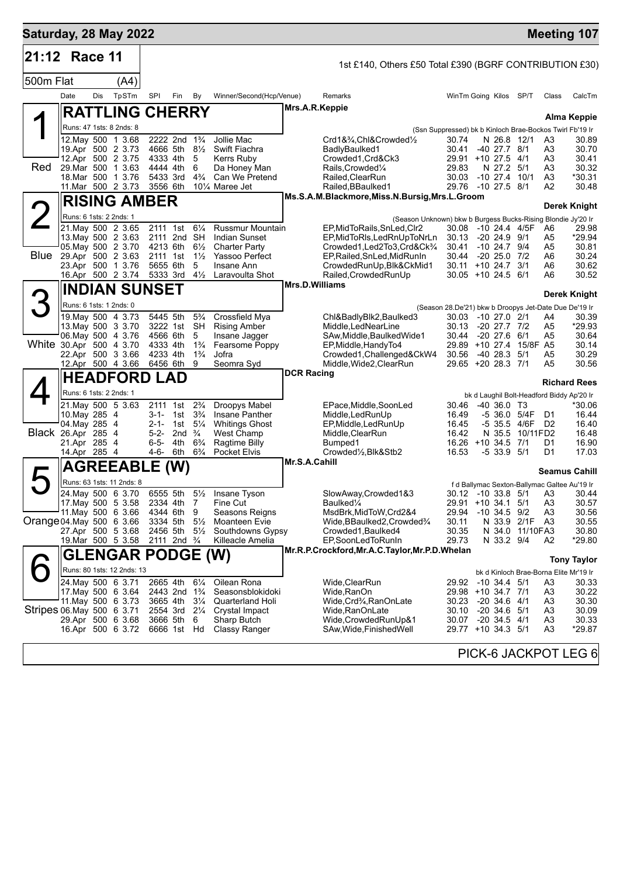| Saturday, 28 May 2022     |                         |     |                                                 |                        |                                                         |                                  |                                               |                       |                                                                                          |                                             |                                  |                          |                      | <b>Meeting 107</b>                                                      |
|---------------------------|-------------------------|-----|-------------------------------------------------|------------------------|---------------------------------------------------------|----------------------------------|-----------------------------------------------|-----------------------|------------------------------------------------------------------------------------------|---------------------------------------------|----------------------------------|--------------------------|----------------------|-------------------------------------------------------------------------|
| 21:12                     | Race 11                 |     |                                                 |                        |                                                         |                                  |                                               |                       | 1st £140, Others £50 Total £390 (BGRF CONTRIBUTION £30)                                  |                                             |                                  |                          |                      |                                                                         |
| 500m Flat                 |                         |     | (A4)                                            |                        |                                                         |                                  |                                               |                       |                                                                                          |                                             |                                  |                          |                      |                                                                         |
|                           | Date                    | Dis | TpSTm                                           | <b>SPI</b>             | Fin                                                     | By                               | Winner/Second(Hcp/Venue)                      |                       | Remarks                                                                                  | WinTm Going Kilos SP/T                      |                                  |                          | Class                | CalcTm                                                                  |
|                           |                         |     | <b>RATTLING CHERRY</b>                          |                        |                                                         |                                  |                                               | Mrs.A.R.Keppie        |                                                                                          |                                             |                                  |                          |                      |                                                                         |
|                           |                         |     | Runs: 47 1sts: 8 2nds: 8                        |                        |                                                         |                                  |                                               |                       |                                                                                          |                                             |                                  |                          |                      | Alma Keppie<br>(Ssn Suppressed) bk b Kinloch Brae-Bockos Twirl Fb'19 Ir |
|                           |                         |     | 12. May 500 1 3.68                              |                        | 2222 2nd 1 <sup>3</sup> / <sub>4</sub>                  |                                  | Jollie Mac                                    |                       | Crd1&3⁄4,Chl&Crowded1⁄2                                                                  | 30.74                                       | N 26.8 12/1                      |                          | A3                   | 30.89                                                                   |
|                           |                         |     | 19.Apr 500 2 3.73<br>12.Apr 500 2 3.75          | 4333 4th               | 4666 5th 81/2                                           | 5                                | Swift Fiachra<br><b>Kerrs Ruby</b>            |                       | BadlyBaulked1<br>Crowded1, Crd&Ck3                                                       | 30.41<br>29.91 +10 27.5 4/1                 | $-40$ 27.7 $8/1$                 |                          | A3<br>A3             | 30.70<br>30.41                                                          |
| Red                       |                         |     | 29. Mar 500 1 3.63                              | 4444 4th               |                                                         | 6                                | Da Honey Man                                  |                       | Rails, Crowded <sup>1/4</sup>                                                            | 29.83                                       | N 27.2 5/1                       |                          | A <sub>3</sub>       | 30.32                                                                   |
|                           |                         |     | 18. Mar 500 1 3.76<br>11.Mar 500 2 3.73         | 5433 3rd<br>3556 6th   |                                                         | $4\frac{3}{4}$                   | Can We Pretend<br>101/ <sub>4</sub> Maree Jet |                       | Railed, ClearRun<br>Railed, BBaulked1                                                    | 30.03<br>29.76 -10 27.5 8/1                 | $-10$ 27.4 $10/1$                |                          | A3<br>A2             | *30.31<br>30.48                                                         |
|                           |                         |     | <b>RISING AMBER</b>                             |                        |                                                         |                                  |                                               |                       | Ms.S.A.M.Blackmore, Miss.N.Bursig, Mrs.L.Groom                                           |                                             |                                  |                          |                      |                                                                         |
|                           | Runs: 6 1sts: 2 2nds: 1 |     |                                                 |                        |                                                         |                                  |                                               |                       |                                                                                          |                                             |                                  |                          |                      | <b>Derek Knight</b>                                                     |
|                           |                         |     | 21. May 500 2 3.65                              | 2111 1st               |                                                         | $6\frac{1}{4}$                   | <b>Russmur Mountain</b>                       |                       | (Season Unknown) bkw b Burgess Bucks-Rising Blondie Jy'20 Ir<br>EP,MidToRails,SnLed,Clr2 | 30.08                                       |                                  | -10 24.4 4/5F            | A6                   | 29.98                                                                   |
|                           |                         |     | 13. May 500 2 3.63                              |                        | 2111 2nd SH                                             |                                  | Indian Sunset                                 |                       | EP, MidToRIs, LedRnUpToNrLn                                                              | 30.13                                       | $-20$ 24.9 $9/1$                 |                          | A <sub>5</sub>       | *29.94                                                                  |
|                           |                         |     | 05. May 500 2 3.70<br>Blue 29.Apr 500 2 3.63    | 4213 6th<br>2111 1st   |                                                         | $6\frac{1}{2}$<br>$1\frac{1}{2}$ | <b>Charter Party</b><br>Yassoo Perfect        |                       | Crowded1, Led2To3, Crd&Ck3/4<br>EP, Railed, SnLed, MidRunIn                              | 30.41<br>30.44                              | $-10$ 24.7 $9/4$<br>$-2025.07/2$ |                          | A <sub>5</sub><br>A6 | 30.81<br>30.24                                                          |
|                           |                         |     | 23.Apr 500 1 3.76<br>16.Apr 500 2 3.74          | 5655 6th<br>5333 3rd   |                                                         | 5<br>$4\frac{1}{2}$              | Insane Ann<br>Laravoulta Shot                 |                       | CrowdedRunUp, Blk&CkMid1<br>Railed, Crowded RunUp                                        | $30.11 + 1024.731$<br>$30.05 + 10.24.5$ 6/1 |                                  |                          | A6<br>A6             | 30.62<br>30.52                                                          |
|                           |                         |     | <b>INDIAN SUNSET</b>                            |                        |                                                         |                                  |                                               | <b>Mrs.D.Williams</b> |                                                                                          |                                             |                                  |                          |                      |                                                                         |
| 3                         |                         |     |                                                 |                        |                                                         |                                  |                                               |                       |                                                                                          |                                             |                                  |                          |                      | <b>Derek Knight</b>                                                     |
|                           | Runs: 6 1sts: 1 2nds: 0 |     | 19. May 500 4 3.73                              | 5445 5th               |                                                         | $5\frac{3}{4}$                   | Crossfield Mya                                |                       | Chl&BadlyBlk2,Baulked3                                                                   | 30.03                                       | -10 27.0 2/1                     |                          | A4                   | (Season 28.De'21) bkw b Droopys Jet-Date Due De'19 Ir<br>30.39          |
|                           |                         |     | 13. May 500 3 3.70                              |                        | 3222 1st                                                | SH                               | <b>Rising Amber</b>                           |                       | Middle, LedNearLine                                                                      | 30.13                                       | -20 27.7 7/2                     |                          | A <sub>5</sub>       | *29.93                                                                  |
| White 30.Apr 500 4 3.70   |                         |     | 06. May 500 4 3.76                              | 4566 6th<br>4333 4th   |                                                         | 5<br>$1\frac{3}{4}$              | Insane Jagger<br>Fearsome Poppy               |                       | SAw, Middle, Baulked Wide1<br>EP, Middle, Handy To4                                      | 30.44                                       | $-20$ 27.6 6/1                   | 29.89 +10 27.4 15/8F A5  | A <sub>5</sub>       | 30.64<br>30.14                                                          |
|                           |                         |     | 22.Apr 500 3 3.66                               | 4233 4th               |                                                         | $1\frac{3}{4}$                   | Jofra                                         |                       | Crowded1, Challenged&CkW4                                                                | 30.56                                       | $-40$ 28.3 $5/1$                 |                          | A5                   | 30.29                                                                   |
|                           |                         |     | 12.Apr 500 4 3.66                               | 6456 6th               |                                                         | 9                                | Seomra Syd                                    | <b>DCR Racing</b>     | Middle, Wide2, ClearRun                                                                  | 29.65 +20 28.3 7/1                          |                                  |                          | A <sub>5</sub>       | 30.56                                                                   |
|                           |                         |     | <b>HEADFORD LAD</b>                             |                        |                                                         |                                  |                                               |                       |                                                                                          |                                             |                                  |                          |                      | <b>Richard Rees</b>                                                     |
|                           | Runs: 6 1sts: 2 2nds: 1 |     | 21. May 500 5 3.63                              |                        | 2111 1st                                                | $2\frac{3}{4}$                   | Droopys Mabel                                 |                       | EPace, Middle, SoonLed                                                                   | 30.46                                       | $-40,36.0$ T <sub>3</sub>        |                          |                      | bk d Laughil Bolt-Headford Biddy Ap'20 Ir<br>*30.06                     |
|                           | 10. May 285 4           |     |                                                 | $3 - 1 -$              | 1st                                                     | $3\frac{3}{4}$                   | Insane Panther                                |                       | Middle, LedRunUp                                                                         | 16.49                                       |                                  | $-536.05/4F$             | D1                   | 16.44                                                                   |
| <b>Black 26.Apr 285 4</b> | 04. May 285 4           |     |                                                 | $2 - 1 -$<br>$5 - 2 -$ | 1st<br>2nd                                              | $5\frac{1}{4}$<br>$\frac{3}{4}$  | <b>Whitings Ghost</b><br>West Champ           |                       | EP, Middle, Led Run Up<br>Middle, ClearRun                                               | 16.45<br>16.42                              | N 35.5                           | $-535.54/6F$<br>10/11FD2 | D <sub>2</sub>       | 16.40<br>16.48                                                          |
|                           | 21.Apr 285 4            |     |                                                 | $6 - 5 -$              | 4th                                                     | $6\frac{3}{4}$                   | <b>Ragtime Billy</b>                          |                       | Bumped1                                                                                  | 16.26                                       | $+10$ 34.5 7/1                   |                          | D1                   | 16.90                                                                   |
|                           | 14.Apr 285 4            |     |                                                 | 4-6-                   | 6th                                                     | $6\frac{3}{4}$                   | Pocket Elvis                                  | Mr.S.A.Cahill         | Crowded1/2, Blk&Stb2                                                                     | 16.53                                       | $-533.95/1$                      |                          | D1                   | 17.03                                                                   |
|                           |                         |     | <b>AGREEABLE</b>                                |                        | (W)                                                     |                                  |                                               |                       |                                                                                          |                                             |                                  |                          |                      | <b>Seamus Cahill</b>                                                    |
|                           |                         |     | Runs: 63 1sts: 11 2nds: 8<br>24. May 500 6 3.70 |                        |                                                         |                                  | 6555 5th 51/ <sub>2</sub> Insane Tyson        |                       | SlowAway,Crowded1&3                                                                      |                                             |                                  | 30.12 -10 33.8 5/1 A3    |                      | f d Ballymac Sexton-Ballymac Galtee Au'19 Ir<br>30.44                   |
|                           |                         |     | 17. May 500 5 3.58                              | 2334 4th 7             |                                                         |                                  | Fine Cut                                      |                       | Baulked <sup>1/4</sup>                                                                   | 29.91 +10 34.1 5/1                          |                                  |                          | A3                   | 30.57                                                                   |
| Orange 04 May 500 6 3.66  |                         |     | 11. May 500 6 3.66                              | 3334 5th               | 4344 6th 9                                              | $5\frac{1}{2}$                   | Seasons Reigns<br>Moanteen Evie               |                       | MsdBrk, MidToW, Crd2&4<br>Wide, BBaulked 2, Crowded 3/4                                  | 29.94<br>30.11                              | $-10$ 34.5 $9/2$                 | N 33.9 2/1F              | A3<br>A3             | 30.56<br>30.55                                                          |
|                           |                         |     | 27.Apr 500 5 3.68                               | 2456 5th               |                                                         | $5\frac{1}{2}$                   | Southdowns Gypsy                              |                       | Crowded1, Baulked4                                                                       | 30.35                                       |                                  | N 34.0 11/10FA3          |                      | 30.80                                                                   |
|                           |                         |     | 19. Mar 500 5 3.58                              |                        | 2111 2nd $\frac{3}{4}$                                  |                                  | Killeacle Amelia                              |                       | EP,SoonLedToRunIn<br>Mr.R.P.Crockford, Mr.A.C. Taylor, Mr.P.D. Whelan                    | 29.73                                       | N 33.2 9/4                       |                          | A2                   | *29.80                                                                  |
|                           |                         |     | <b>GLENGAR PODGE (W)</b>                        |                        |                                                         |                                  |                                               |                       |                                                                                          |                                             |                                  |                          |                      | <b>Tony Taylor</b>                                                      |
|                           |                         |     | Runs: 80 1sts: 12 2nds: 13                      |                        |                                                         |                                  |                                               |                       |                                                                                          |                                             |                                  |                          |                      | bk d Kinloch Brae-Borna Elite Mr'19 Ir                                  |
|                           |                         |     | 24. May 500 6 3.71<br>17. May 500 6 3.64        |                        | 2665 4th 61/4<br>2443 2nd 1 <sup>3</sup> / <sub>4</sub> |                                  | Oilean Rona<br>Seasonsblokidoki               |                       | Wide, ClearRun<br>Wide,RanOn                                                             | 29.92 -10 34.4 5/1<br>29.98 +10 34.7 7/1    |                                  |                          | A3<br>A3             | 30.33<br>30.22                                                          |
|                           |                         |     | 11. May 500 6 3.73                              |                        | 3665 4th 31/4                                           |                                  | Quarterland Holi                              |                       | Wide, Crd <sup>3</sup> / <sub>4</sub> , RanOnLate                                        | 30.23                                       | -20 34.6 4/1                     |                          | A3                   | 30.30                                                                   |
| Stripes 06 May 500 6 3.71 |                         |     | 29.Apr 500 6 3.68                               | 2554 3rd 21/4          | 3666 5th 6                                              |                                  | Crystal Impact<br>Sharp Butch                 |                       | Wide, RanOnLate<br>Wide,CrowdedRunUp&1                                                   | 30.10 -20 34.6 5/1<br>30.07                 | $-20, 34.5, 4/1$                 |                          | A3<br>A3             | 30.09<br>30.33                                                          |
|                           |                         |     | 16.Apr 500 6 3.72                               |                        | 6666 1st Hd                                             |                                  | Classy Ranger                                 |                       | SAw, Wide, Finished Well                                                                 | 29.77 +10 34.3 5/1                          |                                  |                          | A3                   | *29.87                                                                  |
|                           |                         |     |                                                 |                        |                                                         |                                  |                                               |                       |                                                                                          |                                             |                                  |                          |                      |                                                                         |
|                           |                         |     |                                                 |                        |                                                         |                                  |                                               |                       |                                                                                          |                                             |                                  |                          |                      | PICK-6 JACKPOT LEG 6                                                    |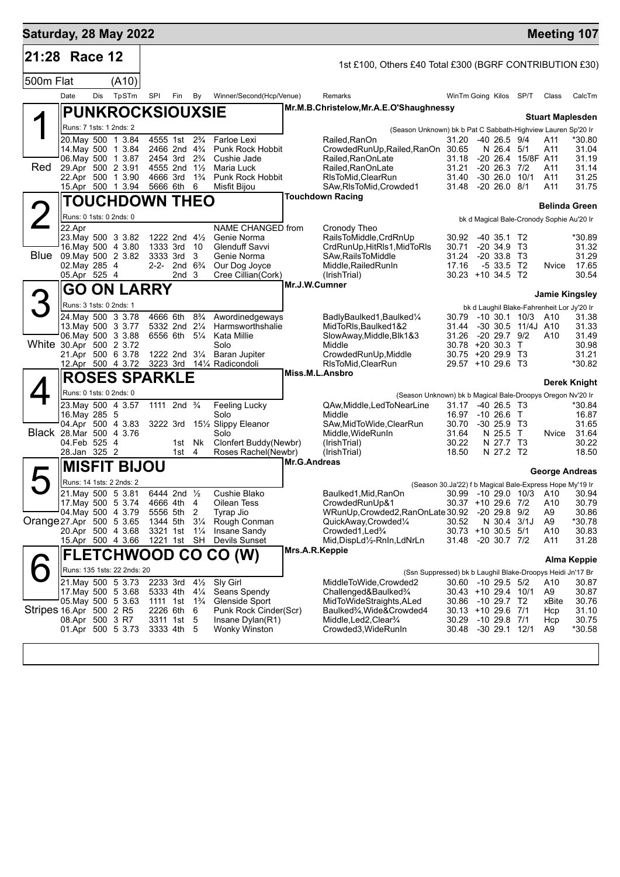| Saturday, 28 May 2022    |                                                   |     |       |                         |                                      |                                                            |                                           |                     |                                                                                     |                                       |                                 |                                     |                                            | <b>Meeting 107</b>            |
|--------------------------|---------------------------------------------------|-----|-------|-------------------------|--------------------------------------|------------------------------------------------------------|-------------------------------------------|---------------------|-------------------------------------------------------------------------------------|---------------------------------------|---------------------------------|-------------------------------------|--------------------------------------------|-------------------------------|
| 21:28                    | Race 12                                           |     |       |                         |                                      |                                                            |                                           |                     | 1st £100, Others £40 Total £300 (BGRF CONTRIBUTION £30)                             |                                       |                                 |                                     |                                            |                               |
| 500m Flat                |                                                   |     | (A10) |                         |                                      |                                                            |                                           |                     |                                                                                     |                                       |                                 |                                     |                                            |                               |
|                          | Date                                              | Dis | TpSTm | SPI                     |                                      | Fin By                                                     | Winner/Second(Hcp/Venue)                  |                     | Remarks                                                                             | WinTm Going Kilos SP/T                |                                 |                                     | Class                                      | CalcTm                        |
|                          |                                                   |     |       | <b>PUNKROCKSIOUXSIE</b> |                                      |                                                            |                                           |                     | Mr.M.B.Christelow, Mr.A.E.O'Shaughnessy                                             |                                       |                                 |                                     |                                            | <b>Stuart Maplesden</b>       |
|                          | Runs: 7 1sts: 1 2nds: 2                           |     |       |                         |                                      |                                                            |                                           |                     | (Season Unknown) bk b Pat C Sabbath-Highview Lauren Sp'20 Ir                        |                                       |                                 |                                     |                                            |                               |
|                          | 20. May 500 1 3.84                                |     |       |                         |                                      | 4555 1st 2 <sup>3</sup> / <sub>4</sub>                     | Farloe Lexi                               |                     | Railed,RanOn                                                                        | 31.20 -40 26.5 9/4                    |                                 |                                     | A11                                        | *30.80                        |
|                          | 14 May 500 1 3.84                                 |     |       |                         |                                      | 2466 2nd 4 <sup>3</sup> / <sub>4</sub>                     | Punk Rock Hobbit                          |                     | CrowdedRunUp, Railed, RanOn 30.65                                                   |                                       | N 26.4 5/1                      |                                     | A11                                        | 31.04                         |
| Red                      | 06. May 500 1 3.87<br>29.Apr 500 2 3.91           |     |       |                         |                                      | 2454 3rd 2 <sup>3</sup> / <sub>4</sub><br>4555 2nd 11/2    | Cushie Jade<br>Maria Luck                 |                     | Railed, RanOnLate<br>Railed.RanOnLate                                               | 31.18<br>31.21                        | $-20, 26.4$<br>$-20$ 26.3 $7/2$ | 15/8F A11                           | A11                                        | 31.19<br>31.14                |
|                          | 22.Apr 500 1 3.90                                 |     |       |                         | 4666 3rd                             | $1\frac{3}{4}$                                             | Punk Rock Hobbit                          |                     | RIsToMid, ClearRun                                                                  | 31.40                                 | $-30, 26.0$                     | 10/1                                | A11                                        | 31.25                         |
|                          | 15.Apr 500 1 3.94                                 |     |       |                         | 5666 6th                             | 6                                                          | Misfit Bijou                              |                     | SAw, RIsToMid, Crowded1                                                             | 31.48 -20 26.0 8/1                    |                                 |                                     | A11                                        | 31.75                         |
|                          |                                                   |     |       | <b>TOUCHDOWN THEO</b>   |                                      |                                                            |                                           |                     | <b>Touchdown Racing</b>                                                             |                                       |                                 |                                     |                                            | <b>Belinda Green</b>          |
|                          | Runs: 0 1sts: 0 2nds: 0                           |     |       |                         |                                      |                                                            |                                           |                     |                                                                                     |                                       |                                 |                                     | bk d Magical Bale-Cronody Sophie Au'20 Ir  |                               |
|                          | 22.Apr<br>23. May 500 3 3.82                      |     |       |                         |                                      | 1222 2nd $4\frac{1}{2}$                                    | NAME CHANGED from<br>Genie Norma          |                     | Cronody Theo<br>RailsToMiddle, CrdRnUp                                              | 30.92                                 | $-40$ 35.1 T <sub>2</sub>       |                                     |                                            | *30.89                        |
|                          | 16. May 500 4 3.80                                |     |       |                         | 1333 3rd                             | -10                                                        | Glenduff Savvi                            |                     | CrdRunUp, HitRIs1, MidToRIs                                                         | 30.71                                 | $-20, 34.9$                     | - ТЗ                                |                                            | 31.32                         |
| Blue                     | 09. May 500 2 3.82                                |     |       |                         | 3333 3rd                             | 3                                                          | Genie Norma                               |                     | SAw, Rails To Middle                                                                | 31.24                                 | $-20, 33.8$                     | Т3                                  |                                            | 31.29                         |
|                          | 02. May 285 4<br>05.Apr 525 4                     |     |       |                         |                                      | 2-2- 2nd 6 <sup>3</sup> / <sub>4</sub><br>2nd <sub>3</sub> | Our Dog Joyce<br>Cree Cillian(Cork)       |                     | Middle, Railed RunIn<br>(IrishTrial)                                                | 17.16<br>30.23 +10 34.5 T2            | $-5$ 33.5                       | T <sub>2</sub>                      | Nvice                                      | 17.65<br>30.54                |
|                          |                                                   |     |       |                         |                                      |                                                            |                                           | Mr.J.W.Cumner       |                                                                                     |                                       |                                 |                                     |                                            |                               |
|                          |                                                   |     |       | <b>GO ON LARRY</b>      |                                      |                                                            |                                           |                     |                                                                                     |                                       |                                 |                                     |                                            | <b>Jamie Kingsley</b>         |
|                          | Runs: 3 1sts: 0 2nds: 1                           |     |       |                         |                                      |                                                            |                                           |                     |                                                                                     |                                       |                                 |                                     | bk d Laughil Blake-Fahrenheit Lor Jy'20 Ir |                               |
|                          | 24. May 500 3 3.78<br>13 May 500 3 3.77           |     |       |                         | 4666 6th                             | $8\frac{3}{4}$<br>5332 2nd 21/4                            | Awordinedgeways<br>Harmsworthshalie       |                     | BadlyBaulked1, Baulked1/4<br>MidToRIs, Baulked1&2                                   | 30.79<br>31.44                        |                                 | -10 30.1 10/3<br>-30 30.5 11/4J A10 | A10                                        | 31.38<br>31.33                |
|                          | 06. May 500 3 3.88                                |     |       |                         |                                      | 6556 6th 5¼                                                | Kata Millie                               |                     | SlowAway, Middle, Blk1&3                                                            | 31.26                                 | $-20$ 29.7 $9/2$                |                                     | A10                                        | 31.49                         |
| White 30.Apr 500 2 3.72  | 21.Apr 500 6 3.78                                 |     |       |                         |                                      |                                                            | Solo<br>1222 2nd 31/4 Baran Jupiter       |                     | Middle<br>CrowdedRunUp, Middle                                                      | 30.78 +20 30.3 T<br>30.75 +20 29.9 T3 |                                 |                                     |                                            | 30.98<br>31.21                |
|                          | 12.Apr 500 4 3.72                                 |     |       |                         |                                      |                                                            | 3223 3rd 141/4 Radicondoli                |                     | RIsToMid, ClearRun                                                                  | 29.57 +10 29.6 T3                     |                                 |                                     |                                            | *30.82                        |
|                          |                                                   |     |       | <b>ROSES SPARKLE</b>    |                                      |                                                            |                                           |                     | Miss.M.L.Ansbro                                                                     |                                       |                                 |                                     |                                            |                               |
|                          | Runs: 0 1sts: 0 2nds: 0                           |     |       |                         |                                      |                                                            |                                           |                     | (Season Unknown) bk b Magical Bale-Droopys Oregon Nv'20 Ir                          |                                       |                                 |                                     |                                            | Derek Knight                  |
|                          | 23. May 500 4 3.57                                |     |       |                         | 1111 2nd <sup>3</sup> / <sub>4</sub> |                                                            | Feeling Lucky                             |                     | QAw, Middle, Led To Near Line                                                       | 31.17                                 | $-40, 26.5$ T <sub>3</sub>      |                                     |                                            | *30.84                        |
|                          | 16. May 285 5                                     |     |       |                         |                                      |                                                            | Solo                                      |                     | Middle                                                                              | 16.97                                 | $-10,26.6$ T                    |                                     |                                            | 16.87                         |
| Black 28. Mar 500 4 3.76 | 04.Apr 500 4 3.83                                 |     |       |                         |                                      |                                                            | 3222 3rd 151/2 Slippy Eleanor<br>Solo     |                     | SAw, MidToWide, ClearRun<br>Middle, WideRunIn                                       | 30.70<br>31.64                        | $-3025.9$ T3<br>N 25.5 T        |                                     | Nvice                                      | 31.65<br>31.64                |
|                          | 04.Feb 525 4                                      |     |       |                         |                                      | 1st Nk                                                     | Clonfert Buddy(Newbr)                     |                     | (IrishTrial)                                                                        | 30.22                                 | N 27.7 T3                       |                                     |                                            | 30.22                         |
|                          | 28.Jan 325 2                                      |     |       |                         |                                      | $1st$ 4                                                    | Roses Rachel(Newbr)                       | <b>Mr.G.Andreas</b> | (IrishTrial)                                                                        | 18.50                                 | N 27.2 T2                       |                                     |                                            | 18.50                         |
|                          |                                                   |     |       | <b>MISFIT BIJOU</b>     |                                      |                                                            |                                           |                     |                                                                                     |                                       |                                 |                                     |                                            | George Andreas                |
|                          | Runs: 14 1sts: 2 2nds: 2                          |     |       |                         |                                      |                                                            |                                           |                     | (Season 30.Ja'22) f b Magical Bale-Express Hope My'19 Ir                            |                                       |                                 |                                     |                                            |                               |
|                          | 21. May 500 5 3.81                                |     |       |                         | 6444 2nd 1/2                         |                                                            | Cushie Blako                              |                     | Baulked1, Mid, RanOn                                                                |                                       |                                 |                                     |                                            | 30.99 -10 29.0 10/3 A10 30.94 |
|                          | 17. May 500 5 3.74<br>04 May 500 4 3.79           |     |       |                         | 4666 4th<br>5556 5th                 | 4<br>2                                                     | Oilean Tess<br>Tyrap Jio                  |                     | CrowdedRunUp&1<br>WRunUp, Crowded 2, RanOn Late 30.92                               | 30.37 +10 29.6 7/2                    | $-20$ 29.8 $9/2$                |                                     | A10<br>A9                                  | 30.79<br>30.86                |
| Orange 27 Apr 500 5 3.65 |                                                   |     |       |                         | 1344 5th                             | $3\frac{1}{4}$                                             | Rough Conman                              |                     | QuickAway,Crowded1/4                                                                | 30.52                                 | N 30.4                          | 3/1J                                | A9                                         | *30.78                        |
|                          | 20.Apr 500 4 3.68<br>15.Apr 500 4 3.66            |     |       |                         | 3321 1st                             | $1\frac{1}{4}$<br>1221 1st SH                              | Insane Sandy<br>Devils Sunset             |                     | Crowded1, Led <sup>3</sup> / <sub>4</sub><br>Mid, DispLd1/2-RnIn, LdNrLn            | 30.73 +10 30.5 5/1<br>31.48           | $-20, 30.7, 7/2$                |                                     | A10<br>A11                                 | 30.83<br>31.28                |
|                          |                                                   |     |       |                         |                                      |                                                            |                                           | Mrs.A.R.Keppie      |                                                                                     |                                       |                                 |                                     |                                            |                               |
|                          |                                                   |     |       |                         |                                      |                                                            | <b>FLETCHWOOD CO CO (W)</b>               |                     |                                                                                     |                                       |                                 |                                     |                                            | Alma Keppie                   |
|                          | Runs: 135 1sts: 22 2nds: 20<br>21. May 500 5 3.73 |     |       |                         | 2233 3rd                             | $4\frac{1}{2}$                                             | Sly Girl                                  |                     | (Ssn Suppressed) bk b Laughil Blake-Droopys Heidi Jn'17 Br<br>MiddleToWide,Crowded2 | 30.60 -10 29.5 5/2                    |                                 |                                     | A10                                        | 30.87                         |
|                          | 17. May 500 5 3.68                                |     |       |                         | 5333 4th                             | $4\frac{1}{4}$                                             | Seans Spendy                              |                     | Challenged&Baulked <sup>3</sup> / <sub>4</sub>                                      | 30.43 +10 29.4 10/1                   |                                 |                                     | A9                                         | 30.87                         |
|                          | 05 May 500 5 3.63                                 |     |       |                         | 1111 1st                             | $1\frac{3}{4}$                                             | Glenside Sport                            |                     | MidToWideStraights, ALed                                                            | 30.86 -10 29.7 T2                     |                                 |                                     | xBite                                      | 30.76                         |
| Stripes 16.Apr 500 2 R5  | 08.Apr 500 3 R7                                   |     |       |                         | 2226 6th<br>3311 1st                 | 6<br>5                                                     | Punk Rock Cinder(Scr)<br>Insane Dylan(R1) |                     | Baulked3⁄4, Wide&Crowded4<br>Middle, Led 2, Clear <sup>3</sup> / <sub>4</sub>       | 30.13 +10 29.6 7/1<br>30.29           | -10 29.8 7/1                    |                                     | Hcp<br>Hcp                                 | 31.10<br>30.75                |
|                          | 01.Apr 500 5 3.73                                 |     |       |                         | 3333 4th                             | 5                                                          | <b>Wonky Winston</b>                      |                     | Crowded3, WideRunIn                                                                 | 30.48                                 | -30 29.1 12/1                   |                                     | A9                                         | *30.58                        |
|                          |                                                   |     |       |                         |                                      |                                                            |                                           |                     |                                                                                     |                                       |                                 |                                     |                                            |                               |
|                          |                                                   |     |       |                         |                                      |                                                            |                                           |                     |                                                                                     |                                       |                                 |                                     |                                            |                               |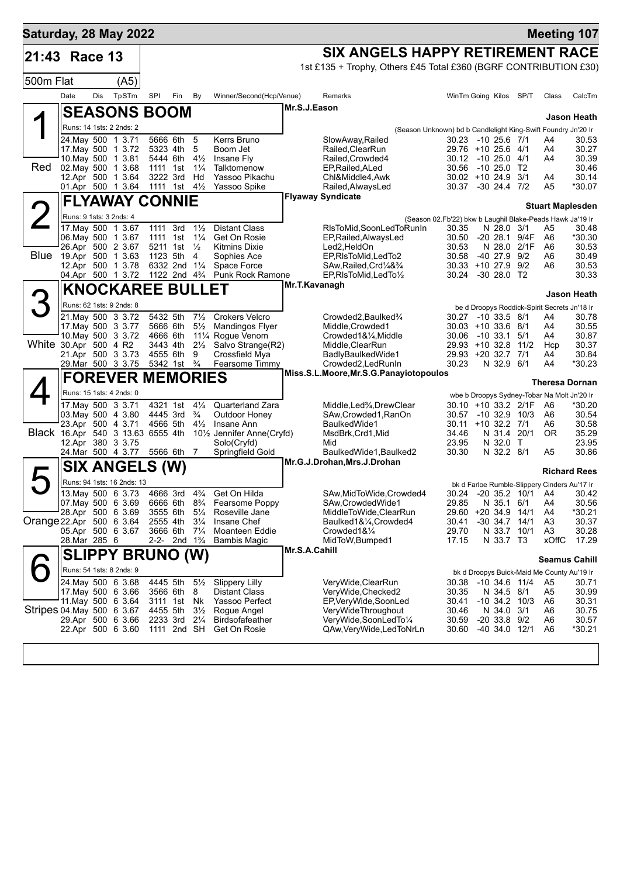| Saturday, 28 May 2022             |                         |            |                                          |      |                                                    |                                  |                                                     |               |                                                                            |                                                               |                                              |              | <b>Meeting 107</b>      |                     |
|-----------------------------------|-------------------------|------------|------------------------------------------|------|----------------------------------------------------|----------------------------------|-----------------------------------------------------|---------------|----------------------------------------------------------------------------|---------------------------------------------------------------|----------------------------------------------|--------------|-------------------------|---------------------|
| 21:43 Race 13                     |                         |            |                                          |      |                                                    |                                  |                                                     |               | SIX ANGELS HAPPY RETIREMENT RACE                                           |                                                               |                                              |              |                         |                     |
|                                   |                         |            |                                          |      |                                                    |                                  |                                                     |               | 1st £135 + Trophy, Others £45 Total £360 (BGRF CONTRIBUTION £30)           |                                                               |                                              |              |                         |                     |
| 500m Flat                         |                         |            | (A5)                                     |      |                                                    |                                  |                                                     |               |                                                                            |                                                               |                                              |              |                         |                     |
|                                   | Date                    | <b>Dis</b> | TpSTm                                    | SPI  | Fin                                                | By                               | Winner/Second(Hcp/Venue)                            |               | Remarks                                                                    |                                                               | WinTm Going Kilos SP/T                       |              | Class                   | CalcTm              |
|                                   |                         |            | <b>SEASONS BOOM</b>                      |      |                                                    |                                  |                                                     |               | Mr.S.J.Eason                                                               |                                                               |                                              |              |                         | Jason Heath         |
|                                   |                         |            | Runs: 14 1sts: 2 2nds: 2                 |      |                                                    |                                  |                                                     |               |                                                                            | (Season Unknown) bd b Candlelight King-Swift Foundry Jn'20 Ir |                                              |              |                         |                     |
|                                   |                         |            | 24. May 500 1 3.71                       |      | 5666 6th                                           | 5                                | Kerrs Bruno                                         |               | SlowAway, Railed                                                           |                                                               | 30.23 -10 25.6 7/1                           |              | A4                      | 30.53               |
|                                   |                         |            | 17. May 500 1 3.72                       |      | 5323 4th                                           | 5                                | Boom Jet                                            |               | Railed, ClearRun                                                           |                                                               | 29.76 +10 25.6 4/1                           |              | A4                      | 30.27               |
| Red                               |                         |            | 10. May 500 1 3.81<br>02. May 500 1 3.68 |      | 5444 6th<br>1111 1st                               | $4\frac{1}{2}$<br>$1\frac{1}{4}$ | Insane Fly<br>Talktomenow                           |               | Railed, Crowded4<br>EP, Railed, ALed                                       | 30.56                                                         | 30.12 -10 25.0 4/1<br>$-1025.0$ T2           |              | A4                      | 30.39<br>30.46      |
|                                   |                         |            | 12.Apr 500 1 3.64                        |      | 3222 3rd                                           | Hd                               | Yassoo Pikachu                                      |               | Chl&Middle4,Awk                                                            |                                                               | $30.02 + 10.24.9$                            | 3/1          | A4                      | 30.14               |
|                                   |                         |            | 01.Apr 500 1 3.64                        |      | 1111 1st $4\frac{1}{2}$                            |                                  | Yassoo Spike                                        |               | Railed, AlwaysLed                                                          |                                                               | 30.37 -30 24.4 7/2                           |              | A5                      | *30.07              |
|                                   |                         |            | <b>FLYAWAY CONNIE</b>                    |      |                                                    |                                  |                                                     |               | <b>Flyaway Syndicate</b>                                                   |                                                               |                                              |              | <b>Stuart Maplesden</b> |                     |
| $\angle$                          |                         |            | Runs: 9 1sts: 3 2nds: 4                  |      |                                                    |                                  |                                                     |               |                                                                            | (Season 02.Fb'22) bkw b Laughil Blake-Peads Hawk Ja'19 Ir     |                                              |              |                         |                     |
|                                   |                         |            | 17. May 500 1 3.67                       | 1111 | 3rd                                                | $1\frac{1}{2}$                   | <b>Distant Class</b>                                |               | RIsToMid, SoonLedToRunIn                                                   | 30.35                                                         | N 28.0                                       | 3/1          | A5                      | 30.48               |
|                                   |                         |            | 06. May 500 1 3.67<br>26.Apr 500 2 3.67  |      | 1111 1st<br>5211 1st                               | $1\frac{1}{4}$<br>$\frac{1}{2}$  | Get On Rosie<br><b>Kitmins Dixie</b>                |               | EP, Railed, Always Led<br>Led2,HeldOn                                      | 30.50<br>30.53                                                | $-20, 28.1$<br>N 28.0                        | 9/4F<br>2/1F | A6<br>A6                | $*30.30$<br>30.53   |
| <b>Blue</b>                       |                         |            | 19.Apr 500 1 3.63                        |      | 1123 5th                                           | 4                                | Sophies Ace                                         |               | EP, RIsToMid, LedTo2                                                       | 30.58                                                         | $-4027.9$                                    | 9/2          | A6                      | 30.49               |
|                                   |                         |            | 12.Apr 500 1 3.78                        |      | 6332 2nd 11/4                                      |                                  | Space Force                                         |               | SAw, Railed, Crd <sup>1</sup> / <sub>4</sub> & <sup>3</sup> / <sub>4</sub> |                                                               | $30.33 + 10.27.9$                            | 9/2          | A6                      | 30.53               |
|                                   |                         |            | 04.Apr 500 1 3.72                        |      | 1122 2nd 4 <sup>3</sup> / <sub>4</sub>             |                                  | Punk Rock Ramone                                    |               | EP, RIsToMid, LedTo1/2<br>Mr.T.Kavanagh                                    |                                                               | 30.24 -30 28.0 T2                            |              |                         | 30.33               |
|                                   |                         |            | <b>KNOCKAREE BULLET</b>                  |      |                                                    |                                  |                                                     |               |                                                                            |                                                               |                                              |              |                         | <b>Jason Heath</b>  |
| 3                                 |                         |            | Runs: 62 1sts: 9 2nds: 8                 |      |                                                    |                                  |                                                     |               |                                                                            |                                                               | be d Droopys Roddick-Spirit Secrets Jn'18 Ir |              |                         |                     |
|                                   |                         |            | 21. May 500 3 3.72                       |      | 5432 5th                                           | $7\frac{1}{2}$                   | <b>Crokers Velcro</b>                               |               | Crowded2, Baulked3/4                                                       | 30.27                                                         | -10 33.5 8/1                                 |              | A4                      | 30.78               |
|                                   |                         |            | 17. May 500 3 3.77<br>10. May 500 3 3.72 |      | 5666 6th<br>4666 6th                               | $5\frac{1}{2}$                   | Mandingos Flyer<br>111⁄4 Rogue Venom                |               | Middle, Crowded1<br>Crowded1&1/4, Middle                                   | 30.06                                                         | $30.03 + 10.33.6$ 8/1<br>-10 33.1 5/1        |              | A4<br>A4                | 30.55<br>30.87      |
| White 30.Apr 500 4 R2             |                         |            |                                          |      | 3443 4th                                           |                                  | 21/ <sub>2</sub> Salvo Strange(R2)                  |               | Middle, ClearRun                                                           |                                                               | 29.93 +10 32.8 11/2                          |              | Hcp                     | 30.37               |
|                                   |                         |            | 21.Apr 500 3 3.73                        |      | 4555 6th                                           | 9                                | Crossfield Mya                                      |               | BadlyBaulkedWide1                                                          |                                                               | 29.93 +20 32.7 7/1                           |              | A4                      | 30.84               |
|                                   |                         |            | 29. Mar 500 3 3.75                       |      | 5342 1st                                           | $\frac{3}{4}$                    | Fearsome Timmy                                      |               | Crowded2, LedRunIn<br>Miss.S.L.Moore, Mr.S.G.Panayiotopoulos               | 30.23                                                         | N 32.9 6/1                                   |              | A4                      | *30.23              |
|                                   |                         |            | <b>FOREVER MEMORIES</b>                  |      |                                                    |                                  |                                                     |               |                                                                            |                                                               |                                              |              | <b>Theresa Dornan</b>   |                     |
|                                   |                         |            | Runs: 15 1sts: 4 2nds: 0                 |      |                                                    |                                  |                                                     |               |                                                                            |                                                               | wbe b Droopys Sydney-Tobar Na Molt Jn'20 Ir  |              |                         |                     |
|                                   |                         |            | 17. May 500 3 3.71                       |      | 4321 1st                                           | $4\frac{1}{4}$                   | <b>Quarterland Zara</b>                             |               | Middle, Led <sup>3</sup> / <sub>4</sub> , Drew Clear                       |                                                               | 30.10 +10 33.2 2/1F                          |              | A6                      | *30.20              |
|                                   |                         |            | 03. May 500 4 3.80<br>23.Apr 500 4 3.71  |      | 4445 3rd<br>4566 5th                               | $\frac{3}{4}$<br>$4\frac{1}{2}$  | Outdoor Honey<br>Insane Ann                         |               | SAw,Crowded1,RanOn<br>BaulkedWide1                                         | 30.57<br>30.11                                                | $-10$ 32.9 $10/3$<br>$+10$ 32.2 7/1          |              | A6<br>A6                | 30.54<br>30.58      |
| Black 16.Apr 540 3 13.63 6555 4th |                         |            |                                          |      |                                                    |                                  | 10 <sup>1</sup> / <sub>2</sub> Jennifer Anne(Cryfd) |               | MsdBrk, Crd1, Mid                                                          | 34.46                                                         | N 31.4 20/1                                  |              | <b>OR</b>               | 35.29               |
|                                   |                         |            | 12.Apr 380 3 3.75                        |      |                                                    |                                  | Solo(Cryfd)                                         |               | Mid                                                                        | 23.95                                                         | N 32.0 T                                     |              |                         | 23.95               |
|                                   |                         |            | 24. Mar 500 4 3.77                       |      | 5566 6th 7                                         |                                  | Springfield Gold                                    |               | BaulkedWide1, Baulked2<br>Mr.G.J.Drohan, Mrs.J.Drohan                      | 30.30                                                         | N 32.2 8/1                                   |              | A5                      | 30.86               |
|                                   |                         |            | SIX ANGELS (W)                           |      |                                                    |                                  |                                                     |               |                                                                            |                                                               |                                              |              |                         | <b>Richard Rees</b> |
|                                   |                         |            | Runs: 94 1sts: 16 2nds: 13               |      |                                                    |                                  |                                                     |               |                                                                            |                                                               | bk d Farloe Rumble-Slippery Cinders Au'17 Ir |              |                         |                     |
|                                   |                         |            | 13. May 500 6 3.73                       |      | 4666 3rd                                           | $4\frac{3}{4}$                   | Get On Hilda                                        |               | SAw, MidToWide, Crowded4<br>SAw, Crowded Wide1                             |                                                               | 30.24 -20 35.2 10/1 A4                       |              |                         | 30.42               |
|                                   |                         |            | 07. May 500 6 3.69<br>28.Apr 500 6 3.69  |      | 6666 6th 8 <sup>3</sup> / <sub>4</sub><br>3555 6th | $5\frac{1}{4}$                   | Fearsome Poppy<br>Roseville Jane                    |               | MiddleToWide,ClearRun                                                      | 29.85<br>29.60                                                | N 35.1 6/1<br>$+20,34.9,14/1$                |              | A4<br>A4                | 30.56<br>$*30.21$   |
| Orange 22.Apr 500 6 3.64          |                         |            |                                          |      | 2555 4th                                           | $3\frac{1}{4}$                   | Insane Chef                                         |               | Baulked1&1⁄4, Crowded4                                                     | 30.41                                                         | $-30$ 34.7 14/1                              |              | A3                      | 30.37               |
|                                   |                         |            | 05.Apr 500 6 3.67                        |      | 3666 6th                                           | $7\frac{1}{4}$                   | Moanteen Eddie                                      |               | Crowded1&1⁄4                                                               | 29.70                                                         | N 33.7 10/1                                  |              | A3                      | 30.28               |
|                                   | 28.Mar 285 6            |            |                                          |      | 2-2- 2nd 1 <sup>3</sup> / <sub>4</sub>             |                                  | Bambis Magic                                        | Mr.S.A.Cahill | MidToW, Bumped1                                                            | 17.15                                                         | N 33.7 T3                                    |              | xOffC                   | 17.29               |
|                                   | <b>SLIPPY BRUNO (W)</b> |            |                                          |      |                                                    |                                  |                                                     |               |                                                                            |                                                               | <b>Seamus Cahill</b>                         |              |                         |                     |
|                                   |                         |            | Runs: 54 1sts: 8 2nds: 9                 |      |                                                    |                                  |                                                     |               |                                                                            |                                                               | bk d Droopys Buick-Maid Me County Au'19 Ir   |              |                         |                     |
|                                   |                         |            | 24. May 500 6 3.68<br>17. May 500 6 3.66 |      | 4445 5th<br>3566 6th                               | $5\frac{1}{2}$<br>8              | <b>Slippery Lilly</b><br>Distant Class              |               | VeryWide, ClearRun<br>VeryWide, Checked2                                   | 30.38<br>30.35                                                | -10 34.6 11/4<br>N 34.5 8/1                  |              | A5<br>A5                | 30.71<br>30.99      |
|                                   |                         |            | 11 May 500 6 3.64                        |      | 3111 1st Nk                                        |                                  | Yassoo Perfect                                      |               | EP, Very Wide, Soon Led                                                    | 30.41                                                         | $-10$ 34.2 $10/3$                            |              | A6                      | 30.31               |
| Stripes 04. May 500 6 3.67        |                         |            |                                          |      | 4455 5th                                           | $3\frac{1}{2}$                   | Rogue Angel                                         |               | VeryWideThroughout                                                         | 30.46                                                         | N 34.0 3/1                                   |              | A6                      | 30.75               |
|                                   |                         |            | 29.Apr 500 6 3.66                        |      | 2233 3rd                                           | $2\frac{1}{4}$                   | <b>Birdsofafeather</b>                              |               | VeryWide,SoonLedTo1/4                                                      | 30.59                                                         | $-20$ 33.8 $9/2$<br>$-40, 34.0, 12/1$        |              | A6<br>A6                | 30.57               |
|                                   |                         |            | 22.Apr 500 6 3.60                        |      | 1111 2nd SH                                        |                                  | Get On Rosie                                        |               | QAw, Very Wide, Led ToNrLn                                                 | 30.60                                                         |                                              |              |                         | *30.21              |
|                                   |                         |            |                                          |      |                                                    |                                  |                                                     |               |                                                                            |                                                               |                                              |              |                         |                     |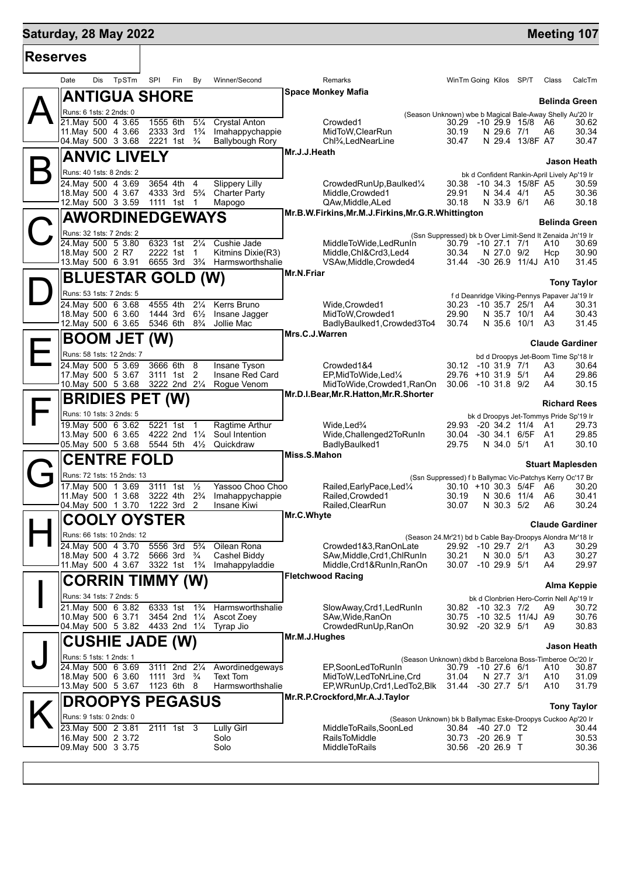## **Saturday, 28 May 2022 Meeting 107**

| <b>Reserves</b> |                                                                  |                                                                                |                                                         |                                                                       |                                                                                    |  |                         |                    |  |
|-----------------|------------------------------------------------------------------|--------------------------------------------------------------------------------|---------------------------------------------------------|-----------------------------------------------------------------------|------------------------------------------------------------------------------------|--|-------------------------|--------------------|--|
|                 | Dis<br>TpSTm<br>Date                                             | SPI<br>Fin<br>By                                                               | Winner/Second                                           | Remarks                                                               | WinTm Going Kilos SP/T                                                             |  | Class                   | CalcTm             |  |
|                 | <b>ANTIGUA SHORE</b>                                             |                                                                                |                                                         | <b>Space Monkey Mafia</b>                                             |                                                                                    |  | <b>Belinda Green</b>    |                    |  |
|                 | Runs: 6 1sts: 2 2nds: 0                                          |                                                                                |                                                         |                                                                       | (Season Unknown) wbe b Magical Bale-Away Shelly Au'20 Ir                           |  |                         |                    |  |
|                 | 21. May 500 4 3.65                                               | 1555 6th<br>$5\frac{1}{4}$                                                     | <b>Crystal Anton</b>                                    | Crowded1                                                              | 30.29 -10 29.9 15/8 A6                                                             |  |                         | 30.62              |  |
|                 | 11. May 500 4 3.66<br>04 May 500 3 3.68                          | 2333 3rd<br>$1\frac{3}{4}$<br>2221 1st <sup>3</sup> / <sub>4</sub>             | Imahappychappie<br><b>Ballybough Rory</b>               | MidToW, ClearRun<br>Chl <sup>3</sup> / <sub>4</sub> , LedNearLine     | 30.19<br>N 29.6 7/1<br>30.47<br>N 29.4 13/8F A7                                    |  | A6                      | 30.34<br>30.47     |  |
|                 |                                                                  |                                                                                |                                                         | Mr.J.J.Heath                                                          |                                                                                    |  |                         |                    |  |
|                 | <b>ANVIC LIVELY</b>                                              |                                                                                |                                                         |                                                                       |                                                                                    |  |                         | Jason Heath        |  |
|                 | Runs: 40 1sts: 8 2nds: 2                                         |                                                                                |                                                         |                                                                       | bk d Confident Rankin-April Lively Ap'19 Ir                                        |  |                         |                    |  |
|                 | 24. May 500 4 3.69<br>18. May 500 4 3.67                         | 3654 4th 4<br>4333 3rd 5 <sup>3</sup> / <sub>4</sub>                           | <b>Slippery Lilly</b><br><b>Charter Party</b>           | CrowdedRunUp, Baulked1/4<br>Middle.Crowded1                           | -10 34.3 15/8F A5<br>30.38<br>29.91<br>N 34.4 4/1                                  |  | A5                      | 30.59<br>30.36     |  |
|                 | 12. May 500 3 3.59                                               | 1111 1st<br>$\overline{1}$                                                     | Mapogo                                                  | QAw, Middle, ALed                                                     | 30.18<br>N 33.9 6/1                                                                |  | A6                      | 30.18              |  |
|                 | <b>AWORDINEDGEWAYS</b>                                           |                                                                                |                                                         | Mr.B.W.Firkins, Mr.M.J.Firkins, Mr.G.R.Whittington                    |                                                                                    |  |                         |                    |  |
|                 |                                                                  |                                                                                |                                                         |                                                                       |                                                                                    |  | Belinda Green           |                    |  |
|                 | Runs: 32 1sts: 7 2nds: 2<br>24. May 500 5 3.80                   | 6323 1st<br>$2\frac{1}{4}$                                                     | Cushie Jade                                             | MiddleToWide,LedRunIn                                                 | (Ssn Suppressed) bk b Over Limit-Send It Zenaida Jn'19 Ir<br>30.79 -10 27.1 7/1    |  | A10                     | 30.69              |  |
|                 | 18. May 500 2 R7                                                 | 2222 1st 1                                                                     | Kitmins Dixie(R3)                                       | Middle,Chl&Crd3,Led4                                                  | 30.34<br>N 27.0 9/2                                                                |  | Hcp                     | 30.90              |  |
|                 | 13.May 500 6 3.91                                                |                                                                                | 6655 3rd 3 <sup>3</sup> / <sub>4</sub> Harmsworthshalie | VSAw, Middle, Crowded4                                                | 31.44 -30 26.9 11/4J A10                                                           |  |                         | 31.45              |  |
|                 | <b>BLUESTAR GOLD (W)</b>                                         |                                                                                |                                                         | <b>Mr.N.Friar</b>                                                     |                                                                                    |  |                         | <b>Tony Taylor</b> |  |
|                 | Runs: 53 1sts: 7 2nds: 5                                         |                                                                                |                                                         |                                                                       | f d Deanridge Viking-Pennys Papaver Ja'19 Ir                                       |  |                         |                    |  |
|                 | 24. May 500 6 3.68                                               | 4555 4th<br>$2\frac{1}{4}$                                                     | Kerrs Bruno                                             | Wide.Crowded1                                                         | 30.23<br>$-10$ 35.7 25/1                                                           |  | A4                      | 30.31              |  |
|                 | 18. May 500 6 3.60                                               | 1444 3rd<br>$6\frac{1}{2}$                                                     | Insane Jagger                                           | MidToW, Crowded1                                                      | 29.90<br>N 35.7 10/1                                                               |  | A4                      | 30.43              |  |
|                 | 12. May 500 6 3.65                                               | 5346 6th<br>$8\frac{3}{4}$                                                     | Jollie Mac                                              | BadlyBaulked1, Crowded3To4<br>Mrs.C.J.Warren                          | 30.74<br>N 35.6 10/1                                                               |  | A3                      | 31.45              |  |
|                 | <b>BOOM JET</b>                                                  | (W)                                                                            |                                                         |                                                                       |                                                                                    |  | <b>Claude Gardiner</b>  |                    |  |
|                 | Runs: 58 1sts: 12 2nds: 7                                        |                                                                                |                                                         |                                                                       | bd d Droopys Jet-Boom Time Sp'18 Ir                                                |  |                         |                    |  |
|                 | 24. May 500 5 3.69                                               | 3666 6th 8                                                                     | Insane Tyson                                            | Crowded1&4                                                            | 30.12 -10 31.9 7/1                                                                 |  | A3                      | 30.64              |  |
|                 | 17. May 500 5 3.67<br>10. May 500 5 3.68 3222 2nd 21/4           | 3111 1st 2                                                                     | Insane Red Card<br>Rogue Venom                          | EP, MidToWide, Led <sup>1/4</sup><br>MidToWide, Crowded1, RanOn       | 29.76 +10 31.9 5/1<br>30.06 -10 31.8 9/2                                           |  | A4<br>A4                | 29.86<br>30.15     |  |
|                 |                                                                  |                                                                                |                                                         | Mr.D.I.Bear, Mr.R.Hatton, Mr.R.Shorter                                |                                                                                    |  |                         |                    |  |
|                 | <b>BRIDIES PET (W)</b>                                           |                                                                                |                                                         | <b>Richard Rees</b>                                                   |                                                                                    |  |                         |                    |  |
|                 | Runs: 10 1sts: 3 2nds: 5                                         |                                                                                |                                                         |                                                                       | bk d Droopys Jet-Tommys Pride Sp'19 Ir                                             |  |                         |                    |  |
|                 | 19. May 500 6 3.62<br>13. May 500 6 3.65                         | 5221 1st<br>$\mathbf{1}$<br>4222 2nd 11/4                                      | Ragtime Arthur<br>Soul Intention                        | Wide, Led <sup>3</sup> / <sub>4</sub><br>Wide, Challenged 2 To Run In | 29.93 -20 34.2 11/4<br>-30 34.1 6/5F<br>30.04                                      |  | A1<br>- A1              | 29.73<br>29.85     |  |
|                 | 05. May 500 5 3.68 5544 5th 41/2                                 |                                                                                | Quickdraw                                               | BadlyBaulked1                                                         | 29.75<br>N 34.0 5/1                                                                |  | A1                      | 30.10              |  |
|                 | <b>CENTRE FOLD</b>                                               |                                                                                |                                                         | Miss.S.Mahon                                                          |                                                                                    |  |                         |                    |  |
|                 | Runs: 72 1sts: 15 2nds: 13                                       |                                                                                |                                                         |                                                                       |                                                                                    |  | <b>Stuart Maplesden</b> |                    |  |
|                 | 17 May 500 1 3.69                                                | 3111 1st<br>$\frac{1}{2}$                                                      | Yassoo Choo Choo                                        | Railed, Early Pace, Led 1/4                                           | (Ssn Suppressed) f b Ballymac Vic-Patchys Kerry Oc'17 Br<br>30.10 +10 30.3 5/4F A6 |  |                         | 30.20              |  |
|                 | 11. May 500 1 3.68                                               | $2\frac{3}{4}$<br>3222 4th                                                     | Imahappychappie                                         | Railed, Crowded1                                                      | 30.19<br>N 30.6 11/4                                                               |  | A6                      | 30.41              |  |
|                 | 04. May 500 1 3.70                                               | 1222 3rd 2                                                                     | Insane Kiwi                                             | Railed, ClearRun                                                      | 30.07<br>N 30.3 5/2                                                                |  | A6                      | 30.24              |  |
|                 | <b>COOLY OYSTER</b>                                              |                                                                                |                                                         | Mr.C.Whyte                                                            |                                                                                    |  | <b>Claude Gardiner</b>  |                    |  |
|                 | Runs: 66 1sts: 10 2nds: 12                                       |                                                                                |                                                         |                                                                       | (Season 24.Mr'21) bd b Cable Bay-Droopys Alondra Mr'18 Ir                          |  |                         |                    |  |
|                 | 24. May 500 4 3.70                                               | 5556 3rd 5 <sup>3</sup> / <sub>4</sub>                                         | Oilean Rona                                             | Crowded1&3, RanOnLate                                                 | 29.92 -10 29.7 2/1                                                                 |  | A3                      | 30.29              |  |
|                 | 18. May 500 4 3.72                                               | 5666 3rd <sup>3</sup> / <sub>4</sub><br>3322 1st 1 <sup>3</sup> / <sub>4</sub> | Cashel Biddy                                            | SAw, Middle, Crd1, ChlRunIn                                           | 30.21<br>N 30.0 5/1                                                                |  | A3<br>A4                | 30.27              |  |
|                 | 11.May 500 4 3.67                                                |                                                                                | Imahappyladdie                                          | Middle, Crd1&RunIn, RanOn<br><b>Fletchwood Racing</b>                 | 30.07 -10 29.9 5/1                                                                 |  |                         | 29.97              |  |
|                 | <b>CORRIN TIMMY (W)</b>                                          |                                                                                |                                                         |                                                                       |                                                                                    |  |                         | Alma Keppie        |  |
|                 | Runs: 34 1sts: 7 2nds: 5                                         |                                                                                |                                                         |                                                                       | bk d Clonbrien Hero-Corrin Nell Ap'19 Ir                                           |  |                         |                    |  |
|                 | 21. May 500 6 3.82                                               | 6333 1st 1 <sup>3</sup> / <sub>4</sub>                                         | Harmsworthshalie                                        | SlowAway, Crd1, Led RunIn<br>SAw.Wide.RanOn                           | 30.82 -10 32.3 7/2                                                                 |  | A9                      | 30.72              |  |
|                 | 10. May 500 6 3.71<br>04. May 500 5 3.82 4433 2nd 11/4 Tyrap Jio | 3454 2nd 11/4 Ascot Zoey                                                       |                                                         | CrowdedRunUp, RanOn                                                   | 30.75 -10 32.5 11/4J A9<br>30.92 -20 32.9 5/1                                      |  | A9                      | 30.76<br>30.83     |  |
|                 | <b>CUSHIE JADE (W)</b>                                           |                                                                                |                                                         | Mr.M.J.Hughes                                                         |                                                                                    |  |                         |                    |  |
|                 |                                                                  |                                                                                |                                                         |                                                                       |                                                                                    |  |                         | Jason Heath        |  |
|                 | Runs: 5 1sts: 1 2nds: 1<br>24. May 500 6 3.69                    | 3111 2nd 21/4                                                                  | Awordinedgeways                                         | EP,SoonLedToRunIn                                                     | (Season Unknown) dkbd b Barcelona Boss-Timberoe Oc'20 Ir<br>30.79 -10 27.6 6/1     |  | A10                     | 30.87              |  |
|                 | 18. May 500 6 3.60                                               | 1111 3rd <sup>3</sup> / <sub>4</sub>                                           | Text Tom                                                | MidToW, LedToNrLine, Crd                                              | 31.04<br>N 27.7 3/1                                                                |  | A10                     | 31.09              |  |
|                 | 13. May 500 5 3.67                                               | 1123 6th 8                                                                     | Harmsworthshalie                                        | EP, WRunUp, Crd1, Led To 2, Blk                                       | 31.44<br>-30 27.7 5/1                                                              |  | A10                     | 31.79              |  |
|                 | <b>DROOPYS PEGASUS</b>                                           |                                                                                |                                                         | Mr.R.P.Crockford, Mr.A.J.Taylor                                       |                                                                                    |  |                         |                    |  |
|                 | Runs: 9 1sts: 0 2nds: 0                                          |                                                                                |                                                         |                                                                       |                                                                                    |  |                         | <b>Tony Taylor</b> |  |
|                 | 23.May 500 2 3.81                                                | 2111 1st 3                                                                     | <b>Lully Girl</b>                                       | MiddleToRails, SoonLed                                                | (Season Unknown) bk b Ballymac Eske-Droopys Cuckoo Ap'20 Ir<br>30.84 -40 27.0 T2   |  |                         | 30.44              |  |
|                 | 16. May 500 2 3.72                                               |                                                                                | Solo                                                    | <b>RailsToMiddle</b>                                                  | 30.73 -20 26.9 T                                                                   |  |                         | 30.53              |  |
|                 | 09 May 500 3 3 75                                                |                                                                                | Solo                                                    | <b>MiddleToRails</b>                                                  | 30.56 -20 26.9 T                                                                   |  |                         | 30.36              |  |
|                 |                                                                  |                                                                                |                                                         |                                                                       |                                                                                    |  |                         |                    |  |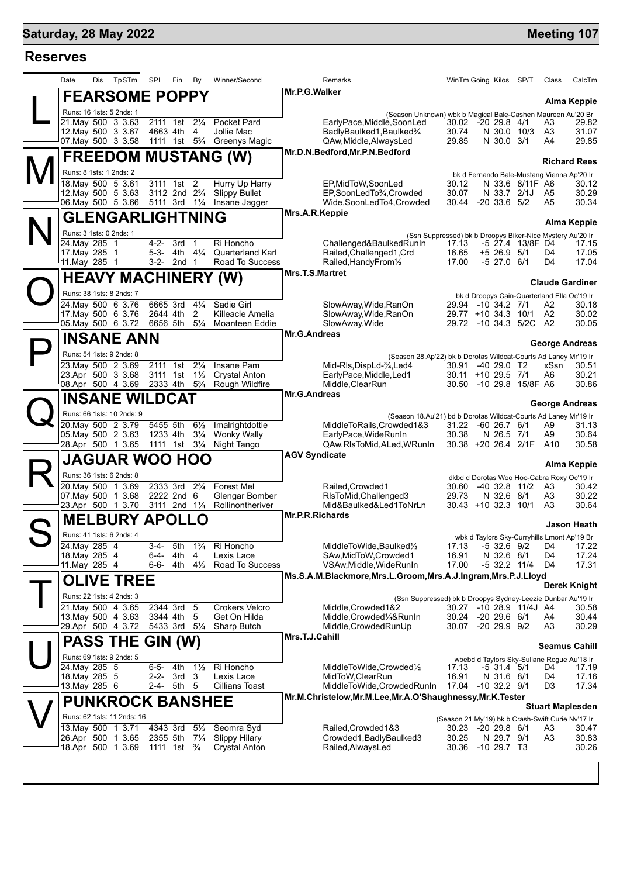# **Saturday, 28 May 2022 Manual Control of the Control of the Control of the Control of the Meeting 107**

| <b>Reserves</b> |                                                  |                                                           |                                                       |                                                                                          |                                                                                |                  |                |                         |  |  |
|-----------------|--------------------------------------------------|-----------------------------------------------------------|-------------------------------------------------------|------------------------------------------------------------------------------------------|--------------------------------------------------------------------------------|------------------|----------------|-------------------------|--|--|
|                 | TpSTm<br>Date<br>Dis                             | SPI<br>Fin<br>By                                          | Winner/Second                                         | Remarks                                                                                  | WinTm Going Kilos SP/T                                                         |                  | Class          | CalcTm                  |  |  |
|                 | <b>FEARSOME POPPY</b>                            |                                                           |                                                       | Mr.P.G.Walker                                                                            |                                                                                |                  |                | Alma Keppie             |  |  |
|                 | Runs: 16 1sts: 5 2nds: 1                         |                                                           |                                                       |                                                                                          | (Season Unknown) wbk b Magical Bale-Cashen Maureen Au'20 Br                    |                  |                |                         |  |  |
|                 | 21. May 500 3 3.63<br>12. May 500 3 3.67         | 2111 1st<br>$2\frac{1}{4}$<br>4663 4th<br>4               | Pocket Pard<br>Jollie Mac                             | EarlyPace, Middle, SoonLed<br>BadlyBaulked1, Baulked3/4                                  | 30.02<br>-20 29.8 4/1<br>30.74<br>N 30.0 10/3                                  |                  | A3<br>A3       | 29.82<br>31.07          |  |  |
|                 | 07 May 500 3 3.58                                |                                                           | 1111 1st 5 <sup>3</sup> / <sub>4</sub> Greenys Magic  | QAw, Middle, Always Led                                                                  | N 30.0 3/1<br>29.85                                                            |                  | A4             | 29.85                   |  |  |
|                 | <b>FREEDOM MUSTANG (W)</b>                       |                                                           |                                                       | Mr.D.N.Bedford, Mr.P.N.Bedford                                                           |                                                                                |                  |                |                         |  |  |
|                 | Runs: 8 1sts: 1 2nds: 2                          |                                                           |                                                       |                                                                                          |                                                                                |                  |                | <b>Richard Rees</b>     |  |  |
|                 | 18. May 500 5 3.61                               | 3111 1st 2                                                | Hurry Up Harry                                        | EP, MidToW, SoonLed                                                                      | bk d Fernando Bale-Mustang Vienna Ap'20 Ir<br>30.12                            | N 33.6 8/11F A6  |                | 30.12                   |  |  |
|                 | 12. May 500 5 3.63                               | 3112 2nd 2 <sup>3</sup> / <sub>4</sub>                    | <b>Slippy Bullet</b>                                  | EP,SoonLedTo3/4,Crowded                                                                  | 30.07                                                                          | N 33.7 2/1J A5   |                | 30.29                   |  |  |
|                 | 06 May 500 5 3.66                                | 5111 3rd 11/4 Insane Jagger                               |                                                       | Wide,SoonLedTo4,Crowded<br>Mrs.A.R.Keppie                                                | $-20$ 33.6 $5/2$<br>30.44                                                      |                  | A5             | 30.34                   |  |  |
|                 | <b>GLENGARLIGHTNING</b>                          |                                                           |                                                       |                                                                                          |                                                                                |                  |                | Alma Keppie             |  |  |
|                 | Runs: 3 1sts: 0 2nds: 1                          |                                                           |                                                       |                                                                                          | (Ssn Suppressed) bk b Droopys Biker-Nice Mystery Au'20 Ir                      |                  |                |                         |  |  |
|                 | 24. May 285 1<br>17. May 285 1                   | $4 - 2 -$<br>3rd<br>$\overline{1}$<br>$5 - 3 -$<br>4th 4¼ | Ri Honcho<br><b>Quarterland Karl</b>                  | Challenged&BaulkedRunIn<br>Railed, Challenged 1, Crd                                     | 17.13<br>16.65<br>$+5$ 26.9 $5/1$                                              | -5 27.4 13/8F D4 | D4             | 17.15<br>17.05          |  |  |
|                 | 11. May 285 1                                    | 3-2- 2nd 1                                                | Road To Success                                       | Railed, Handy From 1/2                                                                   | 17.00<br>$-5$ 27.0 6/1                                                         |                  | D4             | 17.04                   |  |  |
|                 | <b>HEAVY MACHINERY (W)</b>                       |                                                           |                                                       | <b>Mrs.T.S.Martret</b>                                                                   |                                                                                |                  |                |                         |  |  |
|                 | Runs: 38 1sts: 8 2nds: 7                         |                                                           |                                                       |                                                                                          |                                                                                |                  |                | <b>Claude Gardiner</b>  |  |  |
|                 | 24. May 500 6 3.76                               | 6665 3rd<br>$4\frac{1}{4}$                                | Sadie Girl                                            | SlowAway, Wide, RanOn                                                                    | bk d Droopys Cain-Quarterland Ella Oc'19 Ir<br>29.94 -10 34.2 7/1              |                  | A2             | 30.18                   |  |  |
|                 | 17 May 500 6 3.76                                | 2<br>2644 4th                                             | Killeacle Amelia                                      | SlowAway, Wide, RanOn                                                                    | 29.77 +10 34.3 10/1 A2                                                         |                  |                | 30.02                   |  |  |
|                 | 05. May 500 6 3.72                               | $5\frac{1}{4}$<br>6656 5th                                | Moanteen Eddie                                        | SlowAway, Wide<br><b>Mr.G.Andreas</b>                                                    | 29.72 -10 34.3 5/2C A2                                                         |                  |                | 30.05                   |  |  |
|                 | <b>INSANE ANN</b>                                |                                                           |                                                       |                                                                                          |                                                                                |                  |                | George Andreas          |  |  |
|                 | Runs: 54 1sts: 9 2nds: 8                         |                                                           |                                                       |                                                                                          | (Season 28.Ap'22) bk b Dorotas Wildcat-Courts Ad Laney Mr'19 Ir                |                  |                |                         |  |  |
|                 | 23. May 500 2 3.69<br>23.Apr 500 3 3.68          | 2111 1st<br>$2\frac{1}{4}$<br>$3111$ 1st $1\frac{1}{2}$   | Insane Pam<br><b>Crystal Anton</b>                    | Mid-RIs, DispLd-3/4, Led4<br>EarlyPace, Middle, Led1                                     | 30.91<br>-40 29.0 T2<br>30.11 +10 29.5 7/1                                     |                  | xSsn<br>A6     | 30.51<br>30.21          |  |  |
|                 | 08.Apr 500 4 3.69                                |                                                           | 2333 4th 5 <sup>3</sup> / <sub>4</sub> Rough Wildfire | Middle, ClearRun                                                                         | 30.50 -10 29.8 15/8F A6                                                        |                  |                | 30.86                   |  |  |
|                 | <b>INSANE WILDCAT</b>                            |                                                           |                                                       | Mr.G.Andreas                                                                             |                                                                                |                  |                |                         |  |  |
|                 | Runs: 66 1sts: 10 2nds: 9                        |                                                           |                                                       | <b>George Andreas</b><br>(Season 18.Au'21) bd b Dorotas Wildcat-Courts Ad Laney Mr'19 Ir |                                                                                |                  |                |                         |  |  |
|                 | 20. May 500 2 3.79                               | 5455 5th<br>$6\frac{1}{2}$                                | Imalrightdottie                                       | MiddleToRails, Crowded1&3                                                                | 31.22<br>$-60$ 26.7 $6/1$                                                      |                  | A9             | 31.13                   |  |  |
|                 | 05. May 500 2 3.63<br>28.Apr 500 1 3.65          | 1233 4th<br>$3\frac{1}{4}$<br>1111 1st 31⁄4               | <b>Wonky Wally</b><br>Night Tango                     | EarlyPace, WideRunIn<br>QAw, RIs To Mid, ALed, WRunIn                                    | 30.38<br>N 26.5 7/1<br>30.38 +20 26.4 2/1F                                     |                  | A9<br>A10      | 30.64<br>30.58          |  |  |
|                 |                                                  |                                                           |                                                       | <b>AGV Syndicate</b>                                                                     |                                                                                |                  |                |                         |  |  |
|                 | <b>JAGUAR WOO HOO</b>                            |                                                           |                                                       |                                                                                          |                                                                                |                  |                | Alma Keppie             |  |  |
|                 | Runs: 36 1sts: 6 2nds: 8                         |                                                           |                                                       |                                                                                          | dkbd d Dorotas Woo Hoo-Cabra Roxy Oc'19 Ir                                     |                  |                |                         |  |  |
|                 | 20. May 500 1 3.69<br>07. May 500 1 3.68         | 2333 3rd<br>$2\frac{3}{4}$<br>2222 2nd 6                  | <b>Forest Mel</b><br>Glengar Bomber                   | Railed, Crowded1<br>RIsToMid, Challenged 3                                               | $-40$ 32.8 11/2<br>30.60<br>29.73<br>N 32.6 8/1                                |                  | A3<br>A3       | 30.42<br>30.22          |  |  |
|                 | 23.Apr 500 1 3.70                                |                                                           | 3111 2nd 11/4 Rollinontheriver                        | Mid&Baulked&Led1ToNrLn                                                                   | 30.43 +10 32.3 10/1                                                            |                  | A <sub>3</sub> | 30.64                   |  |  |
|                 | MELBURY APOLLO                                   |                                                           |                                                       | Mr.P.R.Richards                                                                          |                                                                                |                  |                | Jason Heath             |  |  |
|                 | Runs: 41 1sts: 6 2nds: 4                         |                                                           |                                                       |                                                                                          | wbk d Taylors Sky-Curryhills Lmont Ap'19 Br                                    |                  |                |                         |  |  |
|                 | 24. May 285 4                                    | $3-4-$<br>5th<br>$1\frac{3}{4}$                           | Ri Honcho                                             | MiddleToWide,Baulked1/2                                                                  | 17.13<br>$-532.69/2$                                                           |                  | D4             | 17.22                   |  |  |
|                 | 18. May 285 4<br>11. May 285 4                   | 4<br>6-4-<br>4th<br>6-6-<br>4th 4½                        | Lexis Lace<br>Road To Success                         | SAw, MidToW, Crowded1<br>VSAw, Middle, WideRunIn                                         | 16.91<br>N 32.6 8/1<br>17.00<br>$-5$ 32.2 11/4                                 |                  | D4<br>D4       | 17.24<br>17.31          |  |  |
|                 |                                                  |                                                           |                                                       | Ms.S.A.M.Blackmore, Mrs.L.Groom, Mrs.A.J.Ingram, Mrs.P.J.Lloyd                           |                                                                                |                  |                |                         |  |  |
|                 | <b>OLIVE TREE</b>                                |                                                           |                                                       |                                                                                          |                                                                                |                  |                | Derek Knight            |  |  |
|                 | Runs: 22 1sts: 4 2nds: 3<br>21. May 500 4 3.65   |                                                           |                                                       |                                                                                          | (Ssn Suppressed) bk b Droopys Sydney-Leezie Dunbar Au'19 Ir                    |                  |                |                         |  |  |
|                 | 13. May 500 4 3.63                               | 2344 3rd 5<br>3344 4th<br>5                               | <b>Crokers Velcro</b><br>Get On Hilda                 | Middle, Crowded 1&2<br>Middle, Crowded <sup>1</sup> / <sub>4</sub> &RunIn                | 30.27 -10 28.9 11/4J A4<br>$-20$ 29.6 $6/1$<br>30.24                           |                  | A4             | 30.58<br>30.44          |  |  |
|                 | 29.Apr 500 4 3.72                                | 5433 3rd 51/4                                             | Sharp Butch                                           | Middle, Crowded RunUp                                                                    | -20 29.9 9/2<br>30.07                                                          |                  | A3             | 30.29                   |  |  |
|                 | <b>PASS THE GIN (W)</b>                          |                                                           |                                                       | Mrs.T.J.Cahill                                                                           |                                                                                |                  |                | <b>Seamus Cahill</b>    |  |  |
|                 | Runs: 69 1sts: 9 2nds: 5                         |                                                           |                                                       |                                                                                          | wbebd d Taylors Sky-Sullane Rogue Au'18 Ir                                     |                  |                |                         |  |  |
|                 | 24. May 285 5                                    | $6 - 5 -$<br>$1\frac{1}{2}$<br>4th                        | Ri Honcho                                             | MiddleToWide,Crowded1/2                                                                  | 17.13<br>-5 31.4 5/1                                                           |                  | D4             | 17.19                   |  |  |
|                 | 18. May 285 5<br>13. May 285 6                   | $2 - 2 -$<br>3rd<br>3<br>2-4- 5th 5                       | Lexis Lace<br>Cillians Toast                          | MidToW, ClearRun<br>MiddleToWide, Crowded RunIn                                          | 16.91<br>N 31.6 8/1<br>17.04<br>$-10$ 32.2 $9/1$                               |                  | D4<br>D3       | 17.16<br>17.34          |  |  |
|                 |                                                  |                                                           |                                                       | Mr.M.Christelow, Mr.M.Lee, Mr.A.O'Shaughnessy, Mr.K. Tester                              |                                                                                |                  |                |                         |  |  |
|                 | <b>PUNKROCK BANSHEE</b>                          |                                                           |                                                       |                                                                                          |                                                                                |                  |                | <b>Stuart Maplesden</b> |  |  |
|                 | Runs: 62 1sts: 11 2nds: 16<br>13. May 500 1 3.71 | 4343 3rd<br>$5\frac{1}{2}$                                | Seomra Syd                                            | Railed, Crowded 1&3                                                                      | (Season 21.My'19) bk b Crash-Swift Curie Nv'17 Ir<br>$-20$ 29.8 $6/1$<br>30.23 |                  | A3             | 30.47                   |  |  |
|                 | 26.Apr 500 1 3.65                                | 2355 5th 71/4                                             | <b>Slippy Hilary</b>                                  | Crowded1, Badly Baulked3                                                                 | 30.25<br>N 29.7 9/1                                                            |                  | A3             | 30.83                   |  |  |
|                 | 18.Apr 500 1 3.69                                | 1111 1st $\frac{3}{4}$                                    | <b>Crystal Anton</b>                                  | Railed, AlwaysLed                                                                        | 30.36<br>$-1029.7$ T3                                                          |                  |                | 30.26                   |  |  |
|                 |                                                  |                                                           |                                                       |                                                                                          |                                                                                |                  |                |                         |  |  |